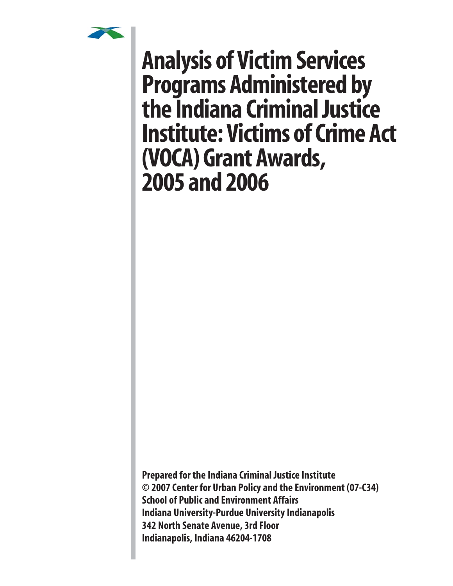

**Analysis of Victim Services Programs Administered by the Indiana Criminal Justice Institute: Victims of Crime Act (VOCA) Grant Awards, 2005 and 2006**

**Prepared for the Indiana Criminal Justice Institute © 2007 Center for Urban Policy and the Environment (07-C34) School of Public and Environment Affairs Indiana University-Purdue University Indianapolis 342 North Senate Avenue, 3rd Floor Indianapolis, Indiana 46204-1708**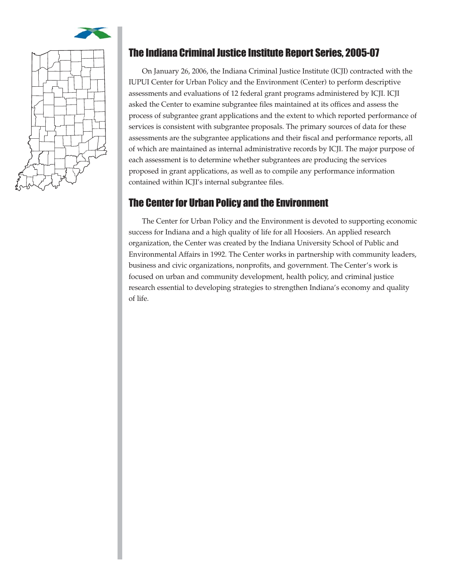



## The Indiana Criminal Justice Institute Report Series, 2005-07

On January 26, 2006, the Indiana Criminal Justice Institute (ICJI) contracted with the IUPUI Center for Urban Policy and the Environment (Center) to perform descriptive assessments and evaluations of 12 federal grant programs administered by ICJI. ICJI asked the Center to examine subgrantee files maintained at its offices and assess the process of subgrantee grant applications and the extent to which reported performance of services is consistent with subgrantee proposals. The primary sources of data for these assessments are the subgrantee applications and their fiscal and performance reports, all of which are maintained as internal administrative records by ICJI. The major purpose of each assessment is to determine whether subgrantees are producing the services proposed in grant applications, as well as to compile any performance information contained within ICJI's internal subgrantee files.

## The Center for Urban Policy and the Environment

The Center for Urban Policy and the Environment is devoted to supporting economic success for Indiana and a high quality of life for all Hoosiers. An applied research organization, the Center was created by the Indiana University School of Public and Environmental Affairs in 1992. The Center works in partnership with community leaders, business and civic organizations, nonprofits, and government. The Center's work is focused on urban and community development, health policy, and criminal justice research essential to developing strategies to strengthen Indiana's economy and quality of life.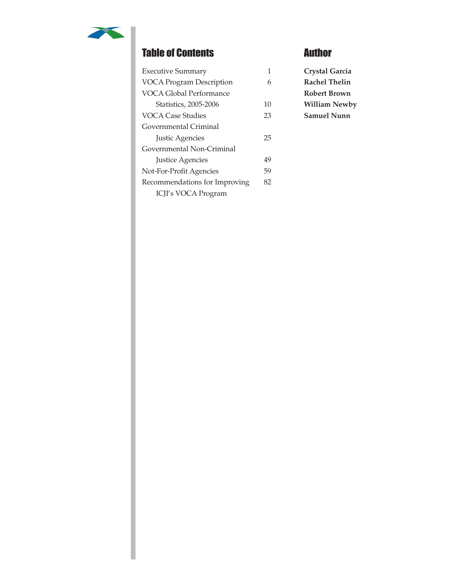

## Table of Contents

| <b>Executive Summary</b>        |    |
|---------------------------------|----|
| <b>VOCA Program Description</b> | 6  |
| VOCA Global Performance         |    |
| <b>Statistics, 2005-2006</b>    | 10 |
| <b>VOCA Case Studies</b>        | 23 |
| Governmental Criminal           |    |
| <b>Justic Agencies</b>          | 25 |
| Governmental Non-Criminal       |    |
| <b>Justice Agencies</b>         | 49 |
| Not-For-Profit Agencies         | 59 |
| Recommendations for Improving   | 82 |
| <b>ICJI's VOCA Program</b>      |    |

## Author

| <b>Crystal Garcia</b> |
|-----------------------|
| <b>Rachel Thelin</b>  |
| Robert Brown          |
| <b>William Newby</b>  |
| <b>Samuel Nunn</b>    |
|                       |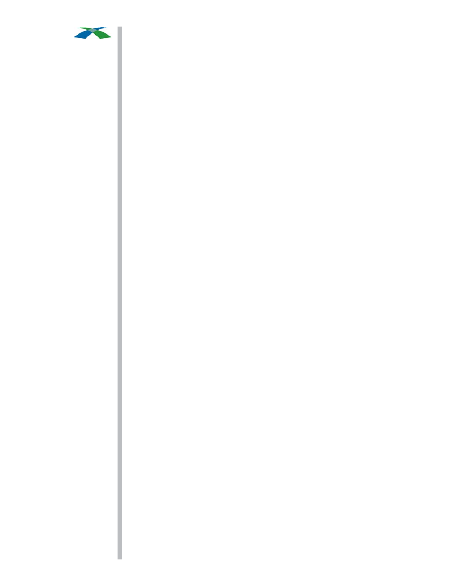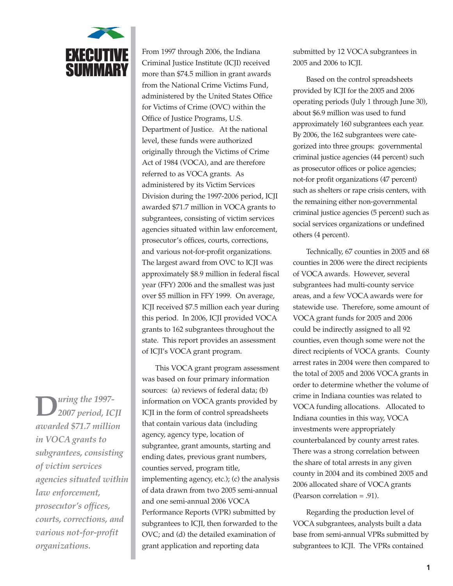

**D***uring the 1997- 2007 period, ICJI awarded \$71.7 million in VOCA grants to subgrantees, consisting of victim services agencies situated within law enforce ment, prosecutor's offices, courts, correc tions, and various not-for-profit organizations.*

From 1997 through 2006, the Indiana Criminal Justice Institute (ICJI) received more than \$74.5 million in grant awards from the National Crime Victims Fund, administered by the United States Office for Victims of Crime (OVC) within the Office of Justice Programs, U.S. Department of Justice. At the national level, these funds were authorized originally through the Victims of Crime Act of 1984 (VOCA), and are therefore referred to as VOCA grants. As administered by its Victim Services Division during the 1997-2006 period, ICJI awarded \$71.7 million in VOCA grants to subgrantees, consisting of victim services agencies situated within law enforcement, prosecutor's offices, courts, corrections, and various not-for-profit organizations. The largest award from OVC to ICJI was approximately \$8.9 million in federal fiscal year (FFY) 2006 and the smallest was just over \$5 million in FFY 1999. On average, ICJI received \$7.5 million each year during this period. In 2006, ICJI provided VOCA grants to 162 subgrantees throughout the state. This report provides an assessment of ICJI's VOCA grant program.

This VOCA grant program assessment was based on four primary information sources: (a) reviews of federal data; (b) information on VOCA grants provided by ICJI in the form of control spreadsheets that contain various data (including agency, agency type, location of subgrantee, grant amounts, starting and ending dates, previous grant numbers, counties served, program title, implementing agency, etc.); (c) the analysis of data drawn from two 2005 semi-annual and one semi-annual 2006 VOCA Performance Reports (VPR) submitted by subgrantees to ICJI, then forwarded to the OVC; and (d) the detailed examination of grant application and reporting data

submitted by 12 VOCA subgrantees in 2005 and 2006 to ICJI.

Based on the control spreadsheets provided by ICJI for the 2005 and 2006 operating periods (July 1 through June 30), about \$6.9 million was used to fund approximately 160 subgrantees each year. By 2006, the 162 subgrantees were categorized into three groups: governmental criminal justice agencies (44 percent) such as prosecutor offices or police agencies; not-for profit organizations (47 percent) such as shelters or rape crisis centers, with the remaining either non-governmental criminal justice agencies (5 percent) such as social services organizations or undefined others (4 percent).

Technically, 67 counties in 2005 and 68 counties in 2006 were the direct recipients of VOCA awards. However, several subgrantees had multi-county service areas, and a few VOCA awards were for statewide use. Therefore, some amount of VOCA grant funds for 2005 and 2006 could be indirectly assigned to all 92 counties, even though some were not the direct recipients of VOCA grants. County arrest rates in 2004 were then compared to the total of 2005 and 2006 VOCA grants in order to determine whether the volume of crime in Indiana counties was related to VOCA funding allocations. Allocated to Indiana counties in this way, VOCA investments were appropriately counterbalanced by county arrest rates. There was a strong correlation between the share of total arrests in any given county in 2004 and its combined 2005 and 2006 allocated share of VOCA grants (Pearson correlation = .91).

Regarding the production level of VOCA subgrantees, analysts built a data base from semi-annual VPRs submitted by subgrantees to ICJI. The VPRs contained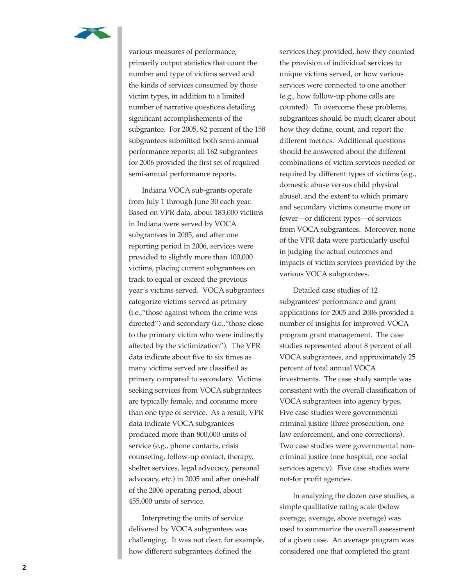various measures of performance, primarily output statistics that count the number and type of victims served and the kinds of services consumed by those victim types, in addition to a limited number of narrative questions detailing significant accomplishements of the subgrantee. For 2005, 92 percent of the 158 subgrantees submitted both semi-annual performance reports; all 162 subgrantees for 2006 provided the first set of required semi-annual performance reports.

Indiana VOCA sub-grants operate from July 1 through June 30 each year. Based on VPR data, about 183,000 victims in Indiana were served by VOCA subgrantees in 2005, and after one reporting period in 2006, services were provided to slightly more than 100,000 victims, placing current subgrantees on track to equal or exceed the previous year's victims served. VOCA subgrantees categorize victims served as primary (i.e.,"those against whom the crime was directed") and secondary (i.e., "those close to the primary victim who were indirectly affected by the victimization"). The VPR data indicate about five to six times as many victims served are classified as primary compared to secondary. Victims seeking services from VOCA subgrantees are typically female, and consume more than one type of service. As a result, VPR data indicate VOCA subgrantees produced more than 800,000 units of service (e.g., phone contacts, crisis counseling, follow-up contact, therapy, shelter services, legal advocacy, personal advocacy, etc.) in 2005 and after one-half of the 2006 operating period, about 455,000 units of service.

Interpreting the units of service delivered by VOCA subgrantees was challenging. It was not clear, for example, how different subgrantees defined the

services they provided, how they counted the provision of individual services to unique victims served, or how various services were connected to one another (e.g., how follow-up phone calls are counted). To overcome these problems, subgrantees should be much clearer about how they define, count, and report the different metrics. Additional questions should be answered about the different combinations of victim services needed or required by different types of victims (e.g., domestic abuse versus child physical abuse), and the extent to which primary and secondary victims consume more or fewer—or different types—of services from VOCA subgrantees. Moreover, none of the VPR data were particularly useful in judging the actual outcomes and impacts of victim services provided by the various VOCA subgrantees.

Detailed case studies of 12 subgrantees' performance and grant applications for 2005 and 2006 provided a number of insights for improved VOCA program grant management. The case studies represented about 8 percent of all VOCA subgrantees, and approximately 25 percent of total annual VOCA investments. The case study sample was consistent with the overall classification of VOCA subgrantees into agency types. Five case studies were governmental criminal justice (three prosecution, one law enforcement, and one corrections). Two case studies were governmental noncriminal justice (one hospital, one social services agency). Five case studies were not-for profit agencies.

In analyzing the dozen case studies, a simple qualitative rating scale (below average, average, above average) was used to summarize the overall assessment of a given case. An average program was considered one that completed the grant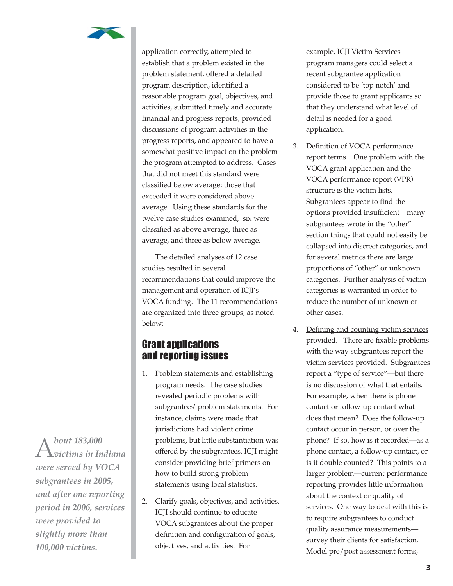

application correctly, attempted to establish that a problem existed in the problem statement, offered a detailed program description, identified a reasonable program goal, objectives, and activities, submitted timely and accurate financial and progress reports, provided discussions of program activities in the progress reports, and appeared to have a somewhat positive impact on the problem the program attempted to address. Cases that did not meet this standard were classified below average; those that exceeded it were considered above average. Using these standards for the twelve case studies examined, six were classified as above average, three as average, and three as below average.

The detailed analyses of 12 case studies resulted in several recommendations that could improve the management and operation of ICJI's VOCA funding. The 11 recommendations are organized into three groups, as noted below:

## Grant applications and reporting issues

- 1. Problem statements and establishing program needs. The case studies revealed periodic problems with subgrantees' problem statements. For instance, claims were made that jurisdictions had violent crime problems, but little substantiation was offered by the subgrantees. ICJI might consider providing brief primers on how to build strong problem statements using local statistics.
- 2. Clarify goals, objectives, and activities. ICJI should continue to educate VOCA subgrantees about the proper definition and configuration of goals, objectives, and activities. For

example, ICJI Victim Services program managers could select a recent subgrantee application considered to be 'top notch' and provide those to grant applicants so that they understand what level of detail is needed for a good application.

- 3. Definition of VOCA performance report terms. One problem with the VOCA grant application and the VOCA performance report (VPR) structure is the victim lists. Subgrantees appear to find the options provided insufficient—many subgrantees wrote in the "other" section things that could not easily be collapsed into discreet categories, and for several metrics there are large proportions of "other" or unknown categories. Further analysis of victim categories is warranted in order to reduce the number of unknown or other cases.
- 4. Defining and counting victim services provided. There are fixable problems with the way subgrantees report the victim services provided. Subgrantees report a "type of service"—but there is no discussion of what that entails. For example, when there is phone contact or follow-up contact what does that mean? Does the follow-up contact occur in person, or over the phone? If so, how is it recorded—as a phone contact, a follow-up contact, or is it double counted? This points to a larger problem—current performance reporting provides little information about the context or quality of services. One way to deal with this is to require subgrantees to conduct quality assurance measurements survey their clients for satisfaction. Model pre/post assessment forms,

A*bout 183,000 victims in Indiana were served by VOCA subgrantees in 2005, and after one reporting period in 2006, services were provided to slightly more than 100,000 victims.*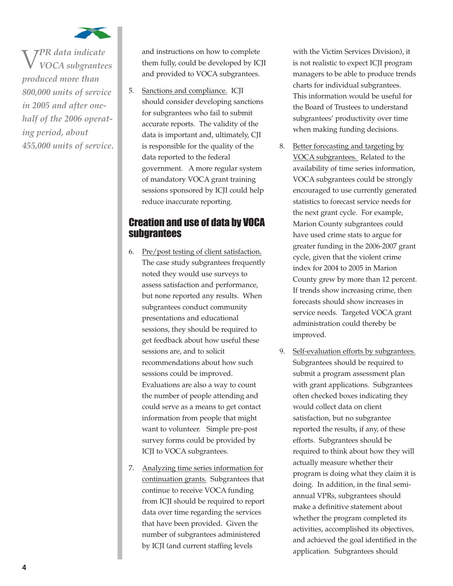

V*PR data indicate VOCA subgrantees produced more than 800,000 units of service in 2005 and after onehalf of the 2006 operating period, about 455,000 units of service.*

and instructions on how to complete them fully, could be developed by ICJI and provided to VOCA subgrantees.

5. Sanctions and compliance. ICJI should consider developing sanctions for subgrantees who fail to submit accurate reports. The validity of the data is important and, ultimately, CJI is responsible for the quality of the data reported to the federal government. A more regular system of mandatory VOCA grant training sessions sponsored by ICJI could help reduce inaccurate reporting.

## Creation and use of data by VOCA subgrantees

- 6. Pre/post testing of client satisfaction. The case study subgrantees frequently noted they would use surveys to assess satisfaction and performance, but none reported any results. When subgrantees conduct community presentations and educational sessions, they should be required to get feedback about how useful these sessions are, and to solicit recommendations about how such sessions could be improved. Evaluations are also a way to count the number of people attending and could serve as a means to get contact information from people that might want to volunteer. Simple pre-post survey forms could be provided by ICJI to VOCA subgrantees.
- 7. Analyzing time series information for continuation grants. Subgrantees that continue to receive VOCA funding from ICJI should be required to report data over time regarding the services that have been provided. Given the number of subgrantees administered by ICJI (and current staffing levels

with the Victim Services Division), it is not realistic to expect ICJI program managers to be able to produce trends charts for individual subgrantees. This information would be useful for the Board of Trustees to understand subgrantees' productivity over time when making funding decisions.

- 8. Better forecasting and targeting by VOCA subgrantees. Related to the availability of time series information, VOCA subgrantees could be strongly encouraged to use currently generated statistics to forecast service needs for the next grant cycle. For example, Marion County subgrantees could have used crime stats to argue for greater funding in the 2006-2007 grant cycle, given that the violent crime index for 2004 to 2005 in Marion County grew by more than 12 percent. If trends show increasing crime, then forecasts should show increases in service needs. Targeted VOCA grant administration could thereby be improved.
- 9. Self-evaluation efforts by subgrantees. Subgrantees should be required to submit a program assessment plan with grant applications. Subgrantees often checked boxes indicating they would collect data on client satisfaction, but no subgrantee reported the results, if any, of these efforts. Subgrantees should be required to think about how they will actually measure whether their program is doing what they claim it is doing. In addition, in the final semiannual VPRs, subgrantees should make a definitive statement about whether the program completed its activities, accomplished its objectives, and achieved the goal identified in the application. Subgrantees should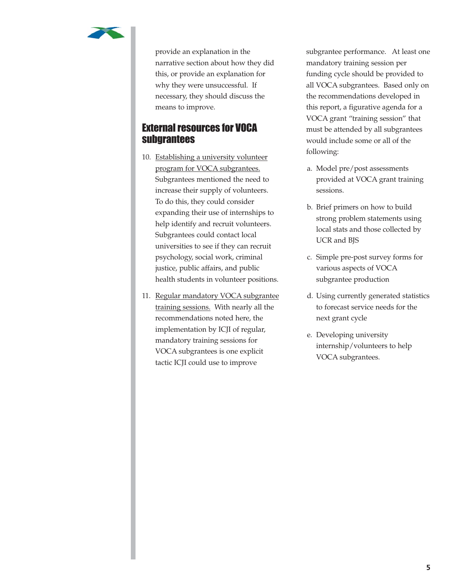

provide an explanation in the narrative section about how they did this, or provide an explanation for why they were unsuccessful. If necessary, they should discuss the means to improve.

## External resources for VOCA subgrantees

- 10. Establishing a university volunteer program for VOCA subgrantees. Subgrantees mentioned the need to increase their supply of volunteers. To do this, they could consider expanding their use of internships to help identify and recruit volunteers. Subgrantees could contact local universities to see if they can recruit psychology, social work, criminal justice, public affairs, and public health students in volunteer positions.
- 11. Regular mandatory VOCA subgrantee training sessions. With nearly all the recommendations noted here, the implementation by ICJI of regular, mandatory training sessions for VOCA subgrantees is one explicit tactic ICJI could use to improve

subgrantee performance. At least one mandatory training session per funding cycle should be provided to all VOCA subgrantees. Based only on the recommendations developed in this report, a figurative agenda for a VOCA grant "training session" that must be attended by all subgrantees would include some or all of the following:

- a. Model pre/post assessments provided at VOCA grant training sessions.
- b. Brief primers on how to build strong problem statements using local stats and those collected by UCR and BJS
- c. Simple pre-post survey forms for various aspects of VOCA subgrantee production
- d. Using currently generated statistics to forecast service needs for the next grant cycle
- e. Developing university internship/volunteers to help VOCA subgrantees.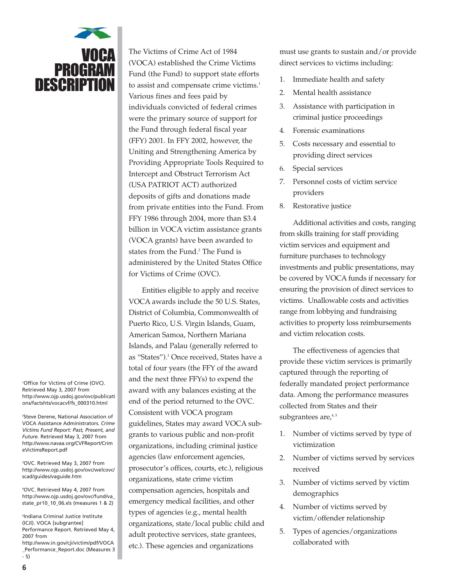# VOCA PROGRAM **DESCRIPTION**

1 Office for Victims of Crime (OVC). Retrieved May 3, 2007 from http://www.ojp.usdoj.gov/ovc/publicati ons/factshts/vocacvf/fs\_000310.html

2 Steve Derene, National Association of VOCA Assistance Administrators. *Crime Victims Fund Report: Past, Present, and Future.* Retrieved May 3, 2007 from http://www.navaa.org/CVFReport/Crim eVictimsReport.pdf

3 OVC. Retrieved May 3, 2007 from http://www.ojp.usdoj.gov/ovc/welcovc/ scad/guides/vaguide.htm

4 OVC. Retrieved May 4, 2007 from http://www.ojp.usdoj.gov/ovc/fund/va\_ state\_pr10\_10\_06.xls (measures 1 & 2)

5 Indiana Criminal Justice Institute (ICJI). VOCA [subgrantee] Performance Report. Retrieved May 4, 2007 from

http://www.in.gov/cji/victim/pdf/VOCA \_Performance\_Report.doc (Measures 3 - 5)

The Victims of Crime Act of 1984 (VOCA) established the Crime Victims Fund (the Fund) to support state efforts to assist and compensate crime victims.<sup>1</sup> Various fines and fees paid by individuals convicted of federal crimes were the primary source of support for the Fund through federal fiscal year (FFY) 2001. In FFY 2002, however, the Uniting and Strengthening America by Providing Appropriate Tools Required to Intercept and Obstruct Terrorism Act (USA PATRIOT ACT) authorized deposits of gifts and donations made from private entities into the Fund. From FFY 1986 through 2004, more than \$3.4 billion in VOCA victim assistance grants (VOCA grants) have been awarded to states from the Fund.<sup>2</sup> The Fund is administered by the United States Office for Victims of Crime (OVC).

Entities eligible to apply and receive VOCA awards include the 50 U.S. States, District of Columbia, Commonwealth of Puerto Rico, U.S. Virgin Islands, Guam, American Samoa, Northern Mariana Islands, and Palau (generally referred to as "States").3 Once received, States have a total of four years (the FFY of the award and the next three FFYs) to expend the award with any balances existing at the end of the period returned to the OVC. Consistent with VOCA program guidelines, States may award VOCA subgrants to various public and non-profit organizations, including criminal justice agencies (law enforcement agencies, prosecutor's offices, courts, etc.), religious organizations, state crime victim compensation agencies, hospitals and emergency medical facilities, and other types of agencies (e.g., mental health organizations, state/local public child and adult protective services, state grantees, etc.). These agencies and organizations

must use grants to sustain and/or provide direct services to victims including:

- 1. Immediate health and safety
- 2. Mental health assistance
- 3. Assistance with participation in criminal justice proceedings
- 4. Forensic examinations
- 5. Costs necessary and essential to providing direct services
- 6. Special services
- 7. Personnel costs of victim service providers
- 8. Restorative justice

Additional activities and costs, ranging from skills training for staff providing victim services and equipment and furniture purchases to technology investments and public presentations, may be covered by VOCA funds if necessary for ensuring the provision of direct services to victims. Unallowable costs and activities range from lobbying and fundraising activities to property loss reimbursements and victim relocation costs.

The effectiveness of agencies that provide these victim services is primarily captured through the reporting of federally mandated project performance data. Among the performance measures collected from States and their subgrantees are,<sup>4,5</sup>

- 1. Number of victims served by type of victimization
- 2. Number of victims served by services received
- 3. Number of victims served by victim demographics
- 4. Number of victims served by victim/offender relationship
- 5. Types of agencies/organizations collaborated with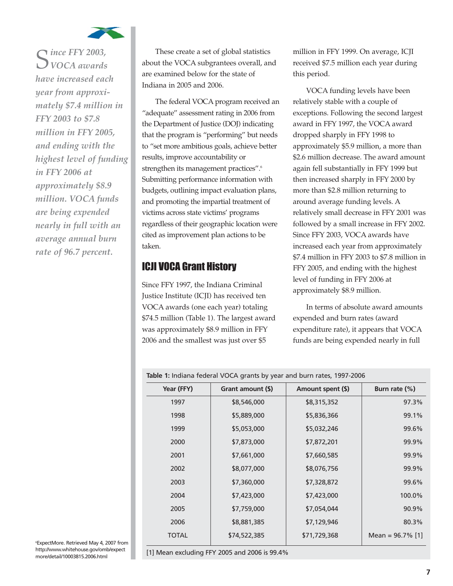

S*ince FFY 2003, VOCA awards have increased each year from approxi mately \$7.4 million in FFY 2003 to \$7.8 million in FFY 2005, and ending with the highest level of funding in FFY 2006 at approximately \$8.9 million. VOCA funds are being expended nearly in full with an average annual burn rate of 96.7 percent.*

These create a set of global statistics about the VOCA subgrantees overall, and are examined below for the state of Indiana in 2005 and 2006.

The federal VOCA program received an "adequate" assessment rating in 2006 from the Department of Justice (DOJ) indicating that the program is "performing" but needs to "set more ambitious goals, achieve better results, improve accountability or strengthen its management practices".6 Submitting performance information with budgets, outlining impact evaluation plans, and promoting the impartial treatment of victims across state victims' programs regardless of their geographic location were cited as improvement plan actions to be taken.

## ICJI VOCA Grant History

Since FFY 1997, the Indiana Criminal Justice Institute (ICJI) has received ten VOCA awards (one each year) totaling \$74.5 million (Table 1). The largest award was approximately \$8.9 million in FFY 2006 and the smallest was just over \$5

million in FFY 1999. On average, ICJI received \$7.5 million each year during this period.

VOCA funding levels have been relatively stable with a couple of exceptions. Following the second largest award in FFY 1997, the VOCA award dropped sharply in FFY 1998 to approximately \$5.9 million, a more than \$2.6 million decrease. The award amount again fell substantially in FFY 1999 but then increased sharply in FFY 2000 by more than \$2.8 million returning to around average funding levels. A relatively small decrease in FFY 2001 was followed by a small increase in FFY 2002. Since FFY 2003, VOCA awards have increased each year from approximately \$7.4 million in FFY 2003 to \$7.8 million in FFY 2005, and ending with the highest level of funding in FFY 2006 at approximately \$8.9 million.

In terms of absolute award amounts expended and burn rates (award expenditure rate), it appears that VOCA funds are being expended nearly in full

| able in malaria reactar $\mathbf{v} \in \mathcal{C}$ , grants by year and barn rates, 1557 2000 |                   |                   |                     |  |  |  |  |  |  |  |
|-------------------------------------------------------------------------------------------------|-------------------|-------------------|---------------------|--|--|--|--|--|--|--|
| Year (FFY)                                                                                      | Grant amount (\$) | Amount spent (\$) | Burn rate $(\%)$    |  |  |  |  |  |  |  |
| 1997                                                                                            | \$8,546,000       | \$8,315,352       | 97.3%               |  |  |  |  |  |  |  |
| 1998                                                                                            | \$5,889,000       | \$5,836,366       | 99.1%               |  |  |  |  |  |  |  |
| 1999                                                                                            | \$5,053,000       | \$5,032,246       | 99.6%               |  |  |  |  |  |  |  |
| 2000                                                                                            | \$7,873,000       | \$7,872,201       | 99.9%               |  |  |  |  |  |  |  |
| 2001                                                                                            | \$7,661,000       | \$7,660,585       | 99.9%               |  |  |  |  |  |  |  |
| 2002                                                                                            | \$8,077,000       | \$8,076,756       | 99.9%               |  |  |  |  |  |  |  |
| 2003                                                                                            | \$7,360,000       | \$7,328,872       | 99.6%               |  |  |  |  |  |  |  |
| 2004                                                                                            | \$7,423,000       | \$7,423,000       | 100.0%              |  |  |  |  |  |  |  |
| 2005                                                                                            | \$7,759,000       | \$7,054,044       | 90.9%               |  |  |  |  |  |  |  |
| 2006                                                                                            | \$8,881,385       | \$7,129,946       | 80.3%               |  |  |  |  |  |  |  |
| <b>TOTAL</b>                                                                                    | \$74,522,385      | \$71,729,368      | Mean = $96.7\%$ [1] |  |  |  |  |  |  |  |
|                                                                                                 |                   |                   |                     |  |  |  |  |  |  |  |

**Table 1:** Indiana federal VOCA grants by year and burn rates, 1997-2006

6 ExpectMore. Retrieved May 4, 2007 from http://www.whitehouse.gov/omb/expect more/detail/10003815.2006.html

[1] Mean excluding FFY 2005 and 2006 is 99.4%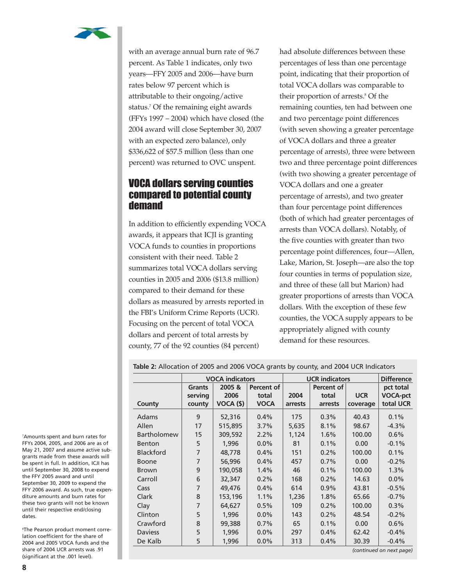

with an average annual burn rate of 96.7 percent. As Table 1 indicates, only two years—FFY 2005 and 2006—have burn rates below 97 percent which is attributable to their ongoing/active status.<sup>7</sup> Of the remaining eight awards (FFYs 1997 – 2004) which have closed (the 2004 award will close September 30, 2007 with an expected zero balance), only \$336,622 of \$57.5 million (less than one percent) was returned to OVC unspent.

## VOCA dollars serving counties compared to potential county demand

In addition to efficiently expending VOCA awards, it appears that ICJI is granting VOCA funds to counties in proportions consistent with their need. Table 2 summarizes total VOCA dollars serving counties in 2005 and 2006 (\$13.8 million) compared to their demand for these dollars as measured by arrests reported in the FBI's Uniform Crime Reports (UCR). Focusing on the percent of total VOCA dollars and percent of total arrests by county, 77 of the 92 counties (84 percent)

had absolute differences between these percentages of less than one percentage point, indicating that their proportion of total VOCA dollars was comparable to their proportion of arrests.<sup>8</sup> Of the remaining counties, ten had between one and two percentage point differences (with seven showing a greater percentage of VOCA dollars and three a greater percentage of arrests), three were between two and three percentage point differences (with two showing a greater percentage of VOCA dollars and one a greater percentage of arrests), and two greater than four percentage point differences (both of which had greater percentages of arrests than VOCA dollars). Notably, of the five counties with greater than two percentage point differences, four—Allen, Lake, Marion, St. Joseph—are also the top four counties in terms of population size, and three of these (all but Marion) had greater proportions of arrests than VOCA dollars. With the exception of these few counties, the VOCA supply appears to be appropriately aligned with county demand for these resources.

|                                    |                           |                                    |                        | <b>Difference</b>              |                        |                                                      |
|------------------------------------|---------------------------|------------------------------------|------------------------|--------------------------------|------------------------|------------------------------------------------------|
| <b>Grants</b><br>serving<br>county | 2005 &<br>2006<br>VOCA(S) | Percent of<br>total<br><b>VOCA</b> | 2004<br>arrests        | Percent of<br>total<br>arrests | <b>UCR</b><br>coverage | pct total<br><b>VOCA-pct</b><br>total UCR            |
| 9                                  | 52,316                    | 0.4%                               | 175                    | 0.3%                           | 40.43                  | 0.1%                                                 |
| 17                                 | 515,895                   | 3.7%                               | 5,635                  | 8.1%                           | 98.67                  | $-4.3%$                                              |
| 15                                 | 309,592                   | 2.2%                               | 1,124                  | 1.6%                           | 100.00                 | 0.6%                                                 |
| 5                                  | 1,996                     | $0.0\%$                            | 81                     | 0.1%                           | 0.00                   | $-0.1%$                                              |
| $\overline{7}$                     | 48,778                    | 0.4%                               | 151                    | 0.2%                           | 100.00                 | 0.1%                                                 |
| 7                                  | 56,996                    | 0.4%                               | 457                    | 0.7%                           | 0.00                   | $-0.2%$                                              |
| 9                                  | 190,058                   | 1.4%                               | 46                     | 0.1%                           | 100.00                 | 1.3%                                                 |
| 6                                  | 32,347                    | 0.2%                               | 168                    | 0.2%                           | 14.63                  | $0.0\%$                                              |
| $\overline{7}$                     | 49,476                    | 0.4%                               | 614                    | $0.9\%$                        | 43.81                  | $-0.5%$                                              |
| 8                                  | 153,196                   | 1.1%                               | 1,236                  | 1.8%                           | 65.66                  | $-0.7%$                                              |
| 7                                  | 64,627                    | 0.5%                               | 109                    | 0.2%                           | 100.00                 | 0.3%                                                 |
| 5                                  | 1,996                     | $0.0\%$                            | 143                    | 0.2%                           | 48.54                  | $-0.2%$                                              |
| 8                                  | 99,388                    | 0.7%                               | 65                     | 0.1%                           | 0.00                   | 0.6%                                                 |
| 5                                  | 1,996                     | 0.0%                               | 297                    | 0.4%                           | 62.42                  | $-0.4%$                                              |
| 5                                  | 1,996                     | 0.0%                               | 313                    | 0.4%                           | 30.39                  | $-0.4%$                                              |
|                                    |                           |                                    | <b>VOCA indicators</b> |                                |                        | <b>UCR</b> indicators<br>$($ continuo don nové novel |

**Table 2:** Allocation of 2005 and 2006 VOCA grants by county, and 2004 UCR Indicators

*(continued on next page)*

7 Amounts spent and burn rates for FFYs 2004, 2005, and 2006 are as of May 21, 2007 and assume active subgrants made from these awards will be spent in full. In addition, ICJI has until September 30, 2008 to expend the FFY 2005 award and until September 30, 2009 to expend the FFY 2006 award. As such, true expenditure amounts and burn rates for these two grants will not be known until their respective end/closing dates.

8 The Pearson product moment correlation coefficient for the share of 2004 and 2005 VOCA funds and the share of 2004 UCR arrests was .91 (significant at the .001 level).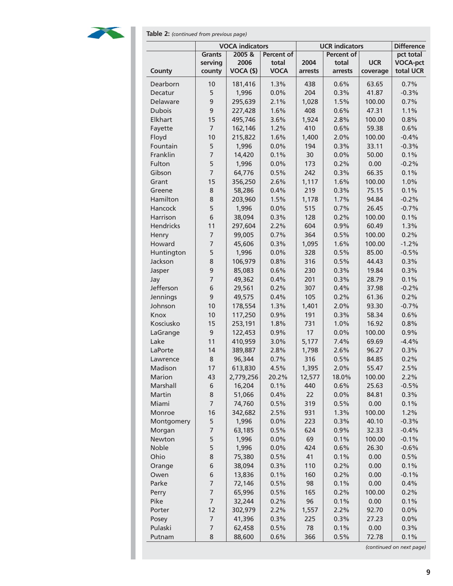

### **Table 2:** *(continued from previous page)*

|                      |                     | <b>VOCA indicators</b> |              | <b>UCR</b> indicators | <b>Difference</b> |                 |                    |
|----------------------|---------------------|------------------------|--------------|-----------------------|-------------------|-----------------|--------------------|
|                      | <b>Grants</b>       | 2005&                  | Percent of   |                       | pct total         |                 |                    |
|                      | serving             | 2006                   | total        | 2004                  | total             | <b>UCR</b>      | <b>VOCA-pct</b>    |
| County               | county              | VOCA (\$)              | <b>VOCA</b>  | arrests               | arrests           | coverage        | total UCR          |
| Dearborn             | 10                  | 181,416                | 1.3%         | 438                   | 0.6%              | 63.65           | 0.7%               |
| Decatur              | 5                   | 1,996                  | 0.0%         | 204                   | 0.3%              | 41.87           | $-0.3%$            |
| Delaware             | 9                   | 295,639                | 2.1%         | 1,028                 | 1.5%              | 100.00          | 0.7%               |
| <b>Dubois</b>        | 9                   | 227,428                | 1.6%         | 408                   | 0.6%              | 47.31           | 1.1%               |
| Elkhart              | 15                  | 495,746                | 3.6%         | 1,924                 | 2.8%              | 100.00          | 0.8%               |
| Fayette              | $\overline{7}$      | 162,146                | 1.2%         | 410                   | 0.6%              | 59.38           | 0.6%               |
| Floyd                | 10                  | 215,822                | 1.6%         | 1,400                 | 2.0%              | 100.00          | $-0.4%$            |
| Fountain             | 5                   | 1,996                  | 0.0%         | 194                   | 0.3%              | 33.11           | $-0.3%$            |
| Franklin             | $\overline{7}$      | 14,420                 | 0.1%         | 30                    | 0.0%              | 50.00           | 0.1%               |
| Fulton               | 5                   | 1,996                  | 0.0%         | 173                   | 0.2%              | 0.00            | $-0.2%$            |
| Gibson               | $\overline{7}$      | 64,776                 | 0.5%         | 242                   | 0.3%              | 66.35           | 0.1%               |
| Grant                | 15                  | 356,250                | 2.6%         | 1,117                 | 1.6%              | 100.00          | 1.0%               |
| Greene               | 8                   | 58,286                 | 0.4%         | 219                   | 0.3%              | 75.15           | 0.1%               |
| Hamilton             | 8                   | 203,960                | 1.5%         | 1,178                 | 1.7%              | 94.84           | $-0.2%$            |
| Hancock              | 5                   | 1,996                  | 0.0%         | 515                   | 0.7%              | 26.45           | $-0.7%$            |
| Harrison             | 6                   | 38,094                 | 0.3%         | 128                   | 0.2%              | 100.00          | 0.1%               |
| Hendricks            | 11                  | 297,604                | 2.2%         | 604                   | 0.9%              | 60.49           | 1.3%               |
| Henry                | $\overline{7}$      | 99,005                 | 0.7%         | 364                   | 0.5%              | 100.00          | 0.2%               |
| Howard               | $\overline{7}$      | 45,606                 | 0.3%         | 1,095                 | 1.6%              | 100.00          | $-1.2%$            |
| Huntington           | 5                   | 1,996                  | 0.0%         | 328                   | 0.5%              | 85.00           | $-0.5%$            |
| Jackson              | 8                   | 106,979                | 0.8%         | 316                   | 0.5%              | 44.43           | 0.3%               |
| Jasper               | 9                   | 85,083                 | 0.6%         | 230                   | 0.3%              | 19.84           | 0.3%               |
| Jay                  | $\overline{7}$      | 49,362                 | 0.4%         | 201                   | 0.3%              | 28.79           | 0.1%               |
| Jefferson            | 6                   | 29,561                 | 0.2%         | 307                   | 0.4%              | 37.98           | $-0.2%$            |
| Jennings             | 9                   | 49,575                 | 0.4%         | 105                   | 0.2%              | 61.36           | 0.2%               |
| Johnson              | 10                  | 178,554                | 1.3%         | 1,401                 | 2.0%              | 93.30           | $-0.7%$            |
| Knox                 | 10                  | 117,250                | 0.9%         | 191                   | 0.3%              | 58.34           | 0.6%               |
| Kosciusko            | 15                  | 253,191                | 1.8%         | 731                   | 1.0%              | 16.92           | 0.8%               |
| LaGrange             | 9                   | 122,453                | 0.9%         | 17                    | 0.0%              | 100.00          | 0.9%               |
| Lake                 | 11                  | 410,959                | 3.0%         | 5,177                 | 7.4%              | 69.69           | $-4.4%$            |
| LaPorte              | 14                  | 389,887                | 2.8%         | 1,798                 | 2.6%              | 96.27           | 0.3%               |
| Lawrence             | 8                   | 96,344                 | 0.7%         | 316                   | 0.5%              | 84.85           | 0.2%               |
| Madison              | 17                  | 613,830                | 4.5%         | 1,395                 | 2.0%              | 55.47           | 2.5%               |
| Marion               | 43                  | 2,779,256              | 20.2%        | 12,577                | 18.0%             | 100.00          | 2.2%               |
| Marshall             | 6                   | 16,204                 | 0.1%         | 440                   | 0.6%              | 25.63           | $-0.5%$            |
| Martin               | 8<br>$\overline{7}$ | 51,066<br>74,760       | 0.4%         | 22                    | 0.0%              | 84.81           | 0.3%               |
| Miami                |                     |                        | 0.5%         | 319                   | 0.5%              | 0.00            | 0.1%               |
| Monroe<br>Montgomery | 16<br>5             | 342,682                | 2.5%         | 931<br>223            | 1.3%<br>0.3%      | 100.00<br>40.10 | 1.2%               |
| Morgan               | 7                   | 1,996<br>63,185        | 0.0%<br>0.5% | 624                   | 0.9%              | 32.33           | $-0.3%$<br>$-0.4%$ |
| Newton               | 5                   | 1,996                  | 0.0%         | 69                    | 0.1%              | 100.00          | $-0.1%$            |
| Noble                | 5                   | 1,996                  | 0.0%         | 424                   | 0.6%              | 26.30           | $-0.6%$            |
| Ohio                 | 8                   | 75,380                 | 0.5%         | 41                    | 0.1%              | 0.00            | 0.5%               |
|                      | 6                   | 38,094                 | 0.3%         | 110                   | 0.2%              | 0.00            | 0.1%               |
| Orange<br>Owen       | 6                   | 13,836                 | 0.1%         | 160                   | 0.2%              | 0.00            | $-0.1%$            |
| Parke                | 7                   | 72,146                 | 0.5%         | 98                    | 0.1%              | 0.00            | 0.4%               |
| Perry                | 7                   | 65,996                 | 0.5%         | 165                   | 0.2%              | 100.00          | 0.2%               |
| Pike                 | $\overline{7}$      | 32,244                 | 0.2%         | 96                    | 0.1%              | 0.00            | 0.1%               |
| Porter               | 12                  | 302,979                | 2.2%         | 1,557                 | 2.2%              | 92.70           | $0.0\%$            |
| Posey                | 7                   | 41,396                 | 0.3%         | 225                   | 0.3%              | 27.23           | $0.0\%$            |
| Pulaski              | 7                   | 62,458                 | 0.5%         | 78                    | 0.1%              | 0.00            | 0.3%               |
| Putnam               | 8                   | 88,600                 | 0.6%         | 366                   | 0.5%              | 72.78           | 0.1%               |
|                      |                     |                        |              |                       |                   |                 |                    |

*(continued on next page)*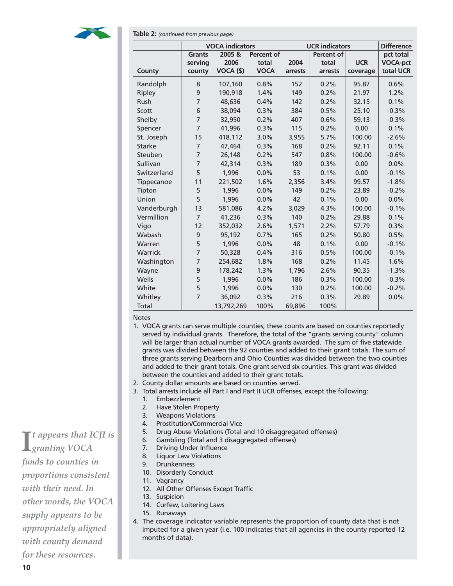

#### **Table 2:** *(continued from previous page)*

|               |                | <b>VOCA</b> indicators |             | <b>UCR</b> indicators | <b>Difference</b> |            |                 |
|---------------|----------------|------------------------|-------------|-----------------------|-------------------|------------|-----------------|
|               | <b>Grants</b>  | 2005 &                 | Percent of  |                       | Percent of        |            | pct total       |
|               | serving        | 2006                   | total       | 2004                  | total             | <b>UCR</b> | <b>VOCA-pct</b> |
| County        | county         | VOCA (\$)              | <b>VOCA</b> | arrests               | arrests           | coverage   | total UCR       |
| Randolph      | 8              | 107,160                | 0.8%        | 152                   | 0.2%              | 95.87      | 0.6%            |
| Ripley        | 9              | 190,918                | 1.4%        | 149                   | 0.2%              | 21.97      | 1.2%            |
| <b>Rush</b>   | $\overline{7}$ | 48,636                 | 0.4%        | 142                   | 0.2%              | 32.15      | 0.1%            |
| Scott         | 6              | 38,094                 | 0.3%        | 384                   | 0.5%              | 25.10      | $-0.3%$         |
| Shelby        | $\overline{7}$ | 32,950                 | 0.2%        | 407                   | 0.6%              | 59.13      | $-0.3%$         |
| Spencer       | $\overline{7}$ | 41,996                 | 0.3%        | 115                   | 0.2%              | 0.00       | 0.1%            |
| St. Joseph    | 15             | 418,112                | 3.0%        | 3,955                 | 5.7%              | 100.00     | $-2.6%$         |
| <b>Starke</b> | $\overline{7}$ | 47,464                 | 0.3%        | 168                   | 0.2%              | 92.11      | 0.1%            |
| Steuben       | $\overline{7}$ | 26,148                 | 0.2%        | 547                   | 0.8%              | 100.00     | $-0.6%$         |
| Sullivan      | $\overline{7}$ | 42,314                 | 0.3%        | 189                   | 0.3%              | 0.00       | $0.0\%$         |
| Switzerland   | 5              | 1,996                  | 0.0%        | 53                    | 0.1%              | 0.00       | $-0.1%$         |
| Tippecanoe    | 11             | 221,502                | 1.6%        | 2,356                 | 3.4%              | 99.57      | $-1.8%$         |
| Tipton        | 5              | 1,996                  | 0.0%        | 149                   | 0.2%              | 23.89      | $-0.2%$         |
| Union         | 5              | 1,996                  | 0.0%        | 42                    | 0.1%              | 0.00       | $0.0\%$         |
| Vanderburgh   | 13             | 581,086                | 4.2%        | 3,029                 | 4.3%              | 100.00     | $-0.1%$         |
| Vermillion    | $\overline{7}$ | 41,236                 | 0.3%        | 140                   | 0.2%              | 29.88      | 0.1%            |
| Vigo          | 12             | 352,032                | 2.6%        | 1,571                 | 2.2%              | 57.79      | 0.3%            |
| Wabash        | 9              | 95,192                 | 0.7%        | 165                   | 0.2%              | 50.80      | 0.5%            |
| Warren        | 5              | 1,996                  | 0.0%        | 48                    | 0.1%              | 0.00       | $-0.1%$         |
| Warrick       | $\overline{7}$ | 50,328                 | 0.4%        | 316                   | 0.5%              | 100.00     | $-0.1%$         |
| Washington    | $\overline{7}$ | 254,682                | 1.8%        | 168                   | 0.2%              | 11.45      | 1.6%            |
| Wayne         | 9              | 178,242                | 1.3%        | 1,796                 | 2.6%              | 90.35      | $-1.3%$         |
| Wells         | 5              | 1,996                  | 0.0%        | 186                   | 0.3%              | 100.00     | $-0.3%$         |
| White         | 5              | 1,996                  | 0.0%        | 130                   | 0.2%              | 100.00     | $-0.2%$         |
| Whitley       | $\overline{7}$ | 36,092                 | 0.3%        | 216                   | 0.3%              | 29.89      | 0.0%            |
| Total         |                | 13,792,269             | 100%        | 69,896                | 100%              |            |                 |

Notes

- 1. VOCA grants can serve multiple counties; these counts are based on counties reportedly served by individual grants. Therefore, the total of the "grants serving county" column will be larger than actual number of VOCA grants awarded. The sum of five statewide grants was divided between the 92 counties and added to their grant totals. The sum of three grants serving Dearborn and Ohio Counties was divided between the two counties and added to their grant totals. One grant served six counties. This grant was divided between the counties and added to their grant totals.
- 2. County dollar amounts are based on counties served.
- 3. Total arrests include all Part I and Part II UCR offenses, except the following:
	- 1. Embezzlement
	- 2. Have Stolen Property
	- 3. Weapons Violations
	- 4. Prostitution/Commercial Vice
	- 5. Drug Abuse Violations (Total and 10 disaggregated offenses)
	- 6. Gambling (Total and 3 disaggregated offenses)
	- 7. Driving Under Influence
	- 8. Liquor Law Violations<br>9. Drunkenness
	- **Drunkenness**
	- 10. Disorderly Conduct
	- 11. Vagrancy
	- 12. All Other Offenses Except Traffic
	- 13. Suspicion
	- 14. Curfew, Loitering Laws
	- 15. Runaways
- 4. The coverage indicator variable represents the proportion of county data that is not imputed for a given year (i.e. 100 indicates that all agencies in the county reported 12 months of data).

**I** *granting VOCA t appears that ICJI is funds to counties in proportions consistent with their need. In other words, the VOCA supply appears to be appropriately aligned with county demand for these resources.*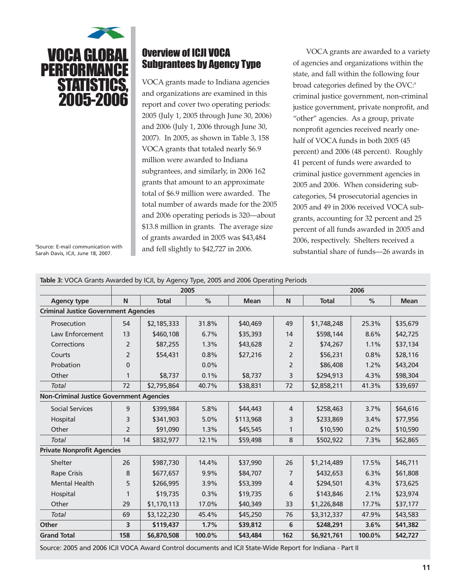# VOCA GLOBAL PERFORMANC STATISTICS, 2005-2006

## Overview of ICJI VOCA Subgrantees by Agency Type

VOCA grants made to Indiana agencies and organizations are examined in this report and cover two operating periods: 2005 (July 1, 2005 through June 30, 2006) and 2006 (July 1, 2006 through June 30, 2007). In 2005, as shown in Table 3, 158 VOCA grants that totaled nearly \$6.9 million were awarded to Indiana subgrantees, and similarly, in 2006 162 grants that amount to an approximate total of \$6.9 million were awarded. The total number of awards made for the 2005 and 2006 operating periods is 320—about \$13.8 million in grants. The average size of grants awarded in 2005 was \$43,484 and fell slightly to \$42,727 in 2006.

**Table 3:** VOCA Grants Awarded by ICJI, by Agency Type, 2005 and 2006 Operating Periods

VOCA grants are awarded to a variety of agencies and organizations within the state, and fall within the following four broad categories defined by the OVC:<sup>9</sup> criminal justice government, non-criminal justice government, private nonprofit, and "other" agencies. As a group, private nonprofit agencies received nearly onehalf of VOCA funds in both 2005 (45 percent) and 2006 (48 percent). Roughly 41 percent of funds were awarded to criminal justice government agencies in 2005 and 2006. When considering subcategories, 54 prosecutorial agencies in 2005 and 49 in 2006 received VOCA subgrants, accounting for 32 percent and 25 percent of all funds awarded in 2005 and 2006, respectively. Shelters received a substantial share of funds-26 awards in

**2005 2006 Agency type N Total % Mean N Total % Mean Criminal Justice Government Agencies** Prosecution 54 \$2,185,333 31.8% \$40,469 49 | \$1,748,248 25.3% \$35,679 Law Enforcement | 13 | \$460,108 | 6.7% | \$35,393 | 14 | \$598,144 | 8.6% | \$42,725 Corrections | 2 | \$87,255 | 1.3% | \$43,628 | 2 | \$74,267 | 1.1% |\$37,134 Courts 2 | \$54,431 | 0.8% | \$27,216 | 2 | \$56,231 | 0.8% | \$28,116 Probation 0 0.0% 2 \$86,408 1.2% \$43,204 Other | 1 | \$8,737 | 0.1% | \$8,737 | 3 | \$294,913 | 4.3% | \$98,304 *Total* | 72 | \$2,795,864 | 40.7% | \$38,831 | 72 | \$2,858,211 | 41.3% | \$39,697 **Non-Criminal Justice Government Agencies** Social Services | 9 | \$399,984 | 5.8% | \$44,443 | 4 | \$258,463 | 3.7% | \$64,616 Hospital | 3 | \$341,903 | 5.0% | \$113,968 | 3 | \$233,869 | 3.4% | \$77,956 Other | 2 | \$91,090 | 1.3% | \$45,545 | 1 | \$10,590 | 0.2% | \$10,590 *Total* | 14 | \$832,977 | 12.1% | \$59,498 | 8 | \$502,922 | 7.3% |\$62,865 **Private Nonprofit Agencies** Shelter 26 \$987,730 14.4% \$37,990 26 \$1,214,489 17.5% \$46,711 Rape Crisis | 8 | \$677,657 | 9.9% | \$84,707 | 7 | \$432,653 | 6.3% | \$61,808 Mental Health  $\begin{array}{|c|c|c|c|c|c|c|c|c|} \hline \text{5} & \text{5} & \text{5} & \text{5} & \text{5} & \text{5} & \text{5} & \text{5} \\ \hline \end{array}$ Hospital | 1 | \$19,735 | 0.3% | \$19,735 | 6 | \$143,846 | 2.1% |\$23,974 Other | 29 | \$1,170,113 | 17.0% | \$40,349 | 33 | \$1,226,848 | 17.7% | \$37,177 *Total* | 69 | \$3,122,230 | 45.4% | \$45,250 | 76 | \$3,312,337 | 47.9% | \$43,583 Other 3 \$119,437 1.7% \$39,812 6 \$248,291 3.6% \$41,382

**Grand Total 158 \$6,870,508 100.0% \$43,484 162 \$6,921,761 100.0% \$42,727**

Source: E-mail communication with Sarah Davis, ICJI, June 18, 2007.

Source: 2005 and 2006 ICJI VOCA Award Control documents and ICJI State-Wide Report for Indiana - Part II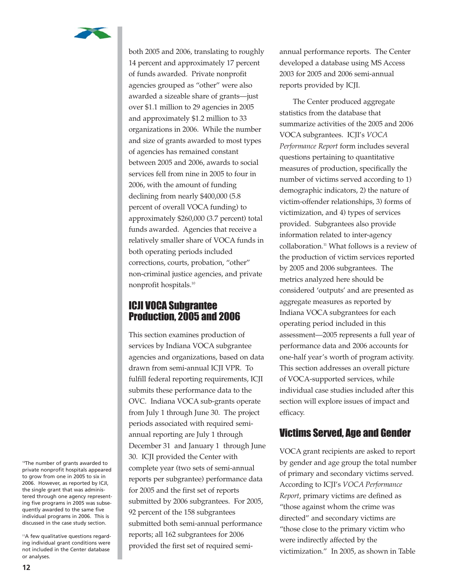

both 2005 and 2006, translating to roughly 14 percent and approximately 17 percent of funds awarded. Private nonprofit agencies grouped as "other" were also awarded a sizeable share of grants—just over \$1.1 million to 29 agencies in 2005 and approximately \$1.2 million to 33 organizations in 2006. While the number and size of grants awarded to most types of agencies has remained constant between 2005 and 2006, awards to social services fell from nine in 2005 to four in 2006, with the amount of funding declining from nearly \$400,000 (5.8 percent of overall VOCA funding) to approximately \$260,000 (3.7 percent) total funds awarded. Agencies that receive a relatively smaller share of VOCA funds in both operating periods included corrections, courts, probation, "other" non-criminal justice agencies, and private nonprofit hospitals.10

## ICJI VOCA Subgrantee Production, 2005 and 2006

This section examines production of services by Indiana VOCA subgrantee agencies and organizations, based on data drawn from semi-annual ICJI VPR. To fulfill federal reporting requirements, ICJI submits these performance data to the OVC. Indiana VOCA sub-grants operate from July 1 through June 30. The project periods associated with required semiannual reporting are July 1 through December 31 and January 1 through June 30. ICJI provided the Center with complete year (two sets of semi-annual reports per subgrantee) performance data for 2005 and the first set of reports submitted by 2006 subgrantees. For 2005, 92 percent of the 158 subgrantees submitted both semi-annual performance reports; all 162 subgrantees for 2006 provided the first set of required semiannual performance reports. The Center developed a database using MS Access 2003 for 2005 and 2006 semi-annual reports provided by ICJI.

The Center produced aggregate statistics from the database that summarize activities of the 2005 and 2006 VOCA subgrantees. ICJI's *VOCA Performance Report* form includes several questions pertaining to quantitative measures of production, specifically the number of victims served according to 1) demographic indicators, 2) the nature of victim-offender relationships, 3) forms of victimization, and 4) types of services provided. Subgrantees also provide information related to inter-agency collaboration.<sup>11</sup> What follows is a review of the production of victim services reported by 2005 and 2006 subgrantees. The metrics analyzed here should be considered 'outputs' and are presented as aggregate measures as reported by Indiana VOCA subgrantees for each operating period included in this assessment—2005 represents a full year of performance data and 2006 accounts for one-half year's worth of program activity. This section addresses an overall picture of VOCA-supported services, while individual case studies included after this section will explore issues of impact and efficacy.

## Victims Served, Age and Gender

VOCA grant recipients are asked to report by gender and age group the total number of primary and secondary victims served. According to ICJI's *VOCA Performance Report*, primary victims are defined as "those against whom the crime was directed" and secondary victims are "those close to the primary victim who were indirectly affected by the victimization." In 2005, as shown in Table

10The number of grants awarded to private nonprofit hospitals appeared to grow from one in 2005 to six in 2006. However, as reported by ICJI, the single grant that was administered through one agency representing five programs in 2005 was subsequently awarded to the same five individual programs in 2006. This is discussed in the case study section.

<sup>11</sup>A few qualitative questions regarding individual grant conditions were not included in the Center database or analyses.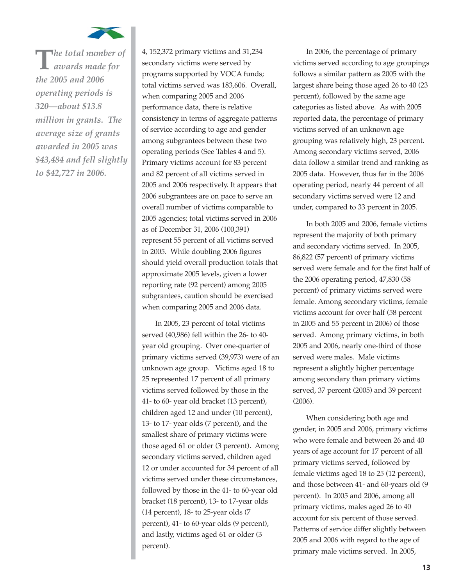

**T***he total number of awards made for the 2005 and 2006 operating periods is 320—about \$13.8 million in grants. The average size of grants awarded in 2005 was \$43,484 and fell slightly to \$42,727 in 2006.*

4, 152,372 primary victims and 31,234 secondary victims were served by programs supported by VOCA funds; total victims served was 183,606. Overall, when comparing 2005 and 2006 performance data, there is relative consistency in terms of aggregate patterns of service according to age and gender among subgrantees between these two operating periods (See Tables 4 and 5). Primary victims account for 83 percent and 82 percent of all victims served in 2005 and 2006 respectively. It appears that 2006 subgrantees are on pace to serve an overall number of victims comparable to 2005 agencies; total victims served in 2006 as of December 31, 2006 (100,391) represent 55 percent of all victims served in 2005. While doubling 2006 figures should yield overall production totals that approximate 2005 levels, given a lower reporting rate (92 percent) among 2005 subgrantees, caution should be exercised when comparing 2005 and 2006 data.

In 2005, 23 percent of total victims served (40,986) fell within the 26- to 40 year old grouping. Over one-quarter of primary victims served (39,973) were of an unknown age group. Victims aged 18 to 25 represented 17 percent of all primary victims served followed by those in the 41- to 60- year old bracket (13 percent), children aged 12 and under (10 percent), 13- to 17- year olds (7 percent), and the smallest share of primary victims were those aged 61 or older (3 percent). Among secondary victims served, children aged 12 or under accounted for 34 percent of all victims served under these circumstances, followed by those in the 41- to 60-year old bracket (18 percent), 13- to 17-year olds (14 percent), 18- to 25-year olds (7 percent), 41- to 60-year olds (9 percent), and lastly, victims aged 61 or older (3 percent).

In 2006, the percentage of primary victims served according to age groupings follows a similar pattern as 2005 with the largest share being those aged 26 to 40 (23 percent), followed by the same age categories as listed above. As with 2005 reported data, the percentage of primary victims served of an unknown age grouping was relatively high, 23 percent. Among secondary victims served, 2006 data follow a similar trend and ranking as 2005 data. However, thus far in the 2006 operating period, nearly 44 percent of all secondary victims served were 12 and under, compared to 33 percent in 2005.

In both 2005 and 2006, female victims represent the majority of both primary and secondary victims served. In 2005, 86,822 (57 percent) of primary victims served were female and for the first half of the 2006 operating period, 47,830 (58 percent) of primary victims served were female. Among secondary victims, female victims account for over half (58 percent in 2005 and 55 percent in 2006) of those served. Among primary victims, in both 2005 and 2006, nearly one-third of those served were males. Male victims represent a slightly higher percentage among secondary than primary victims served, 37 percent (2005) and 39 percent (2006).

When considering both age and gender, in 2005 and 2006, primary victims who were female and between 26 and 40 years of age account for 17 percent of all primary victims served, followed by female victims aged 18 to 25 (12 percent), and those between 41- and 60-years old (9 percent). In 2005 and 2006, among all primary victims, males aged 26 to 40 account for six percent of those served. Patterns of service differ slightly between 2005 and 2006 with regard to the age of primary male victims served. In 2005,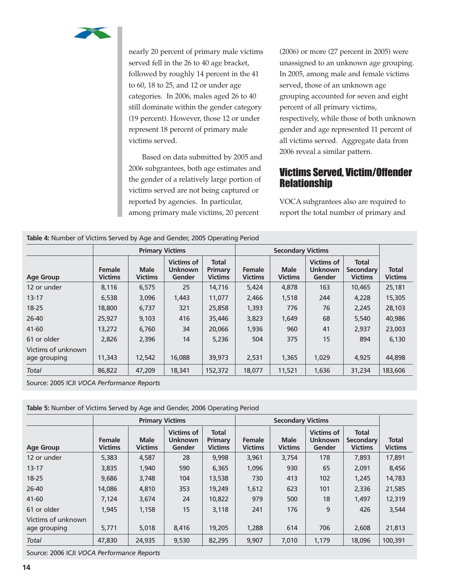

nearly 20 percent of primary male victims served fell in the 26 to 40 age bracket, followed by roughly 14 percent in the 41 to 60, 18 to 25, and 12 or under age categories. In 2006, males aged 26 to 40 still dominate within the gender category (19 percent). However, those 12 or under represent 18 percent of primary male victims served.

Based on data submitted by 2005 and 2006 subgrantees, both age estimates and the gender of a relatively large portion of victims served are not being captured or reported by agencies. In particular, among primary male victims, 20 percent

(2006) or more (27 percent in 2005) were unassigned to an unknown age grouping. In 2005, among male and female victims served, those of an unknown age grouping accounted for seven and eight percent of all primary victims, respectively, while those of both unknown gender and age represented 11 percent of all victims served. Aggregate data from 2006 reveal a similar pattern.

## Victims Served, Victim/Offender **Relationship**

VOCA subgrantees also are required to report the total number of primary and

| Table 4: Number of Victims Served by Age and Gender, 2005 Operating Period           |        |                        |                                        |                                           |                          |                               |                                        |                                             |                                |  |
|--------------------------------------------------------------------------------------|--------|------------------------|----------------------------------------|-------------------------------------------|--------------------------|-------------------------------|----------------------------------------|---------------------------------------------|--------------------------------|--|
|                                                                                      |        | <b>Primary Victims</b> |                                        |                                           |                          | <b>Secondary Victims</b>      |                                        |                                             |                                |  |
| <b>Male</b><br><b>Female</b><br><b>Victims</b><br><b>Victims</b><br><b>Age Group</b> |        |                        | Victims of<br><b>Unknown</b><br>Gender | <b>Total</b><br>Primary<br><b>Victims</b> | Female<br><b>Victims</b> | <b>Male</b><br><b>Victims</b> | Victims of<br><b>Unknown</b><br>Gender | <b>Total</b><br>Secondary<br><b>Victims</b> | <b>Total</b><br><b>Victims</b> |  |
| 12 or under                                                                          | 8,116  | 6,575                  | 25                                     | 14,716                                    | 5,424                    | 4,878                         | 163                                    | 10,465                                      | 25,181                         |  |
| $13 - 17$                                                                            | 6,538  | 3,096                  | 1,443                                  | 11,077                                    | 2,466                    | 1,518                         | 244                                    | 4,228                                       | 15,305                         |  |
| $18 - 25$                                                                            | 18,800 | 6,737                  | 321                                    | 25,858                                    | 1,393                    | 776                           | 76                                     | 2,245                                       | 28,103                         |  |
| $26 - 40$                                                                            | 25,927 | 9,103                  | 416                                    | 35,446                                    | 3,823                    | 1,649                         | 68                                     | 5,540                                       | 40,986                         |  |
| $41 - 60$                                                                            | 13,272 | 6,760                  | 34                                     | 20,066                                    | 1,936                    | 960                           | 41                                     | 2,937                                       | 23,003                         |  |
| 61 or older                                                                          | 2,826  | 2,396                  | 14                                     | 5,236                                     | 504                      | 375                           | 15                                     | 894                                         | 6,130                          |  |
| Victims of unknown<br>age grouping                                                   | 11,343 | 12,542                 | 16,088                                 | 39,973                                    | 2,531                    | 1,365                         | 1,029                                  | 4,925                                       | 44,898                         |  |
| <b>Total</b>                                                                         | 86,822 | 47,209                 | 18,341                                 | 152,372                                   | 18,077                   | 11,521                        | 1,636                                  | 31,234                                      | 183,606                        |  |

Source: 2005 ICJI *VOCA Performance Reports*

**Table 5:** Number of Victims Served by Age and Gender, 2006 Operating Period

|                                    |                                 | <b>Primary Victims</b>        |                                        |                                           |                          |                               |                                               |                                             |                                |
|------------------------------------|---------------------------------|-------------------------------|----------------------------------------|-------------------------------------------|--------------------------|-------------------------------|-----------------------------------------------|---------------------------------------------|--------------------------------|
| <b>Age Group</b>                   | <b>Female</b><br><b>Victims</b> | <b>Male</b><br><b>Victims</b> | Victims of<br><b>Unknown</b><br>Gender | <b>Total</b><br>Primary<br><b>Victims</b> | Female<br><b>Victims</b> | <b>Male</b><br><b>Victims</b> | <b>Victims of</b><br><b>Unknown</b><br>Gender | <b>Total</b><br>Secondary<br><b>Victims</b> | <b>Total</b><br><b>Victims</b> |
| 12 or under                        | 5,383                           | 4,587                         | 28                                     | 9,998                                     | 3,961                    | 3,754                         | 178                                           | 7,893                                       | 17,891                         |
| $13 - 17$                          | 3,835                           | 1,940                         | 590                                    | 6,365                                     | 1,096                    | 930                           | 65                                            | 2,091                                       | 8,456                          |
| $18 - 25$                          | 9,686                           | 3,748                         | 104                                    | 13,538                                    | 730                      | 413                           | 102                                           | 1,245                                       | 14,783                         |
| $26 - 40$                          | 14,086                          | 4,810                         | 353                                    | 19,249                                    | 1,612                    | 623                           | 101                                           | 2,336                                       | 21,585                         |
| $41 - 60$                          | 7,124                           | 3,674                         | 24                                     | 10,822                                    | 979                      | 500                           | 18                                            | 1,497                                       | 12,319                         |
| 61 or older                        | 1,945                           | 1,158                         | 15                                     | 3,118                                     | 241                      | 176                           | 9                                             | 426                                         | 3,544                          |
| Victims of unknown<br>age grouping | 5,771                           | 5,018                         | 8,416                                  | 19,205                                    | 1,288                    | 614                           | 706                                           | 2,608                                       | 21,813                         |
| <b>Total</b>                       | 47,830                          | 24,935                        | 9,530                                  | 82,295                                    | 9,907                    | 7,010                         | 1,179                                         | 18,096                                      | 100,391                        |

Source: 2006 ICJI *VOCA Performance Reports*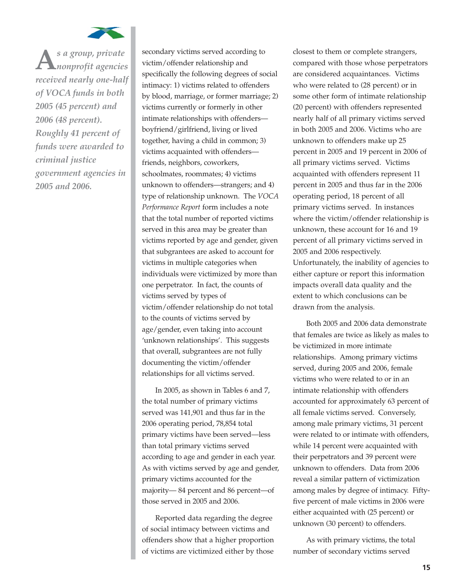**A***s a group, private nonprofit agencies received nearly one-half of VOCA funds in both 2005 (45 percent) and 2006 (48 percent). Roughly 41 percent of funds were awarded to criminal justice government agencies in 2005 and 2006.*

secondary victims served according to victim/offender relationship and specifically the following degrees of social intimacy: 1) victims related to offenders by blood, marriage, or former marriage; 2) victims currently or formerly in other intimate relationships with offenders boyfriend/girlfriend, living or lived together, having a child in common; 3) victims acquainted with offenders friends, neighbors, coworkers, schoolmates, roommates; 4) victims unknown to offenders—strangers; and 4) type of relationship unknown. The *VOCA Performance Report* form includes a note that the total number of reported victims served in this area may be greater than victims reported by age and gender, given that subgrantees are asked to account for victims in multiple categories when individuals were victimized by more than one perpetrator. In fact, the counts of victims served by types of victim/offender relationship do not total to the counts of victims served by age/gender, even taking into account 'unknown relationships'. This suggests that overall, subgrantees are not fully documenting the victim/offender relationships for all victims served.

In 2005, as shown in Tables 6 and 7, the total number of primary victims served was 141,901 and thus far in the 2006 operating period, 78,854 total primary victims have been served—less than total primary victims served according to age and gender in each year. As with victims served by age and gender, primary victims accounted for the majority— 84 percent and 86 percent—of those served in 2005 and 2006.

Reported data regarding the degree of social intimacy between victims and offenders show that a higher proportion of victims are victimized either by those

closest to them or complete strangers, compared with those whose perpetrators are considered acquaintances. Victims who were related to (28 percent) or in some other form of intimate relationship (20 percent) with offenders represented nearly half of all primary victims served in both 2005 and 2006. Victims who are unknown to offenders make up 25 percent in 2005 and 19 percent in 2006 of all primary victims served. Victims acquainted with offenders represent 11 percent in 2005 and thus far in the 2006 operating period, 18 percent of all primary victims served. In instances where the victim/offender relationship is unknown, these account for 16 and 19 percent of all primary victims served in 2005 and 2006 respectively. Unfortunately, the inability of agencies to either capture or report this information impacts overall data quality and the extent to which conclusions can be drawn from the analysis.

Both 2005 and 2006 data demonstrate that females are twice as likely as males to be victimized in more intimate relationships. Among primary victims served, during 2005 and 2006, female victims who were related to or in an intimate relationship with offenders accounted for approximately 63 percent of all female victims served. Conversely, among male primary victims, 31 percent were related to or intimate with offenders, while 14 percent were acquainted with their perpetrators and 39 percent were unknown to offenders. Data from 2006 reveal a similar pattern of victimization among males by degree of intimacy. Fiftyfive percent of male victims in 2006 were either acquainted with (25 percent) or unknown (30 percent) to offenders.

As with primary victims, the total number of secondary victims served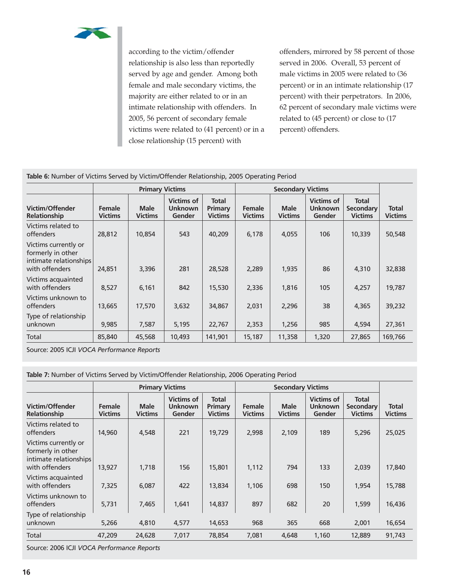

according to the victim/offender relationship is also less than reportedly served by age and gender. Among both female and male secondary victims, the majority are either related to or in an intimate relationship with offenders. In 2005, 56 percent of secondary female victims were related to (41 percent) or in a close relationship (15 percent) with

offenders, mirrored by 58 percent of those served in 2006. Overall, 53 percent of male victims in 2005 were related to (36 percent) or in an intimate relationship (17 percent) with their perpetrators. In 2006, 62 percent of secondary male victims were related to (45 percent) or close to (17 percent) offenders.

| Table 6: Number of Victims Served by Victim/Offender Relationship, 2005 Operating Period |                                 |                               |                                                      |                                           |                          |                               |                                                      |                                             |                                |
|------------------------------------------------------------------------------------------|---------------------------------|-------------------------------|------------------------------------------------------|-------------------------------------------|--------------------------|-------------------------------|------------------------------------------------------|---------------------------------------------|--------------------------------|
|                                                                                          |                                 | <b>Primary Victims</b>        |                                                      |                                           | <b>Secondary Victims</b> |                               |                                                      |                                             |                                |
| Victim/Offender<br><b>Relationship</b>                                                   | <b>Female</b><br><b>Victims</b> | <b>Male</b><br><b>Victims</b> | <b>Victims of</b><br><b>Unknown</b><br><b>Gender</b> | <b>Total</b><br>Primary<br><b>Victims</b> | Female<br><b>Victims</b> | <b>Male</b><br><b>Victims</b> | <b>Victims of</b><br><b>Unknown</b><br><b>Gender</b> | <b>Total</b><br>Secondary<br><b>Victims</b> | <b>Total</b><br><b>Victims</b> |
| Victims related to<br><i>offenders</i>                                                   | 28,812                          | 10,854                        | 543                                                  | 40,209                                    | 6,178                    | 4,055                         | 106                                                  | 10,339                                      | 50,548                         |
| Victims currently or<br>formerly in other<br>intimate relationships<br>with offenders    | 24,851                          | 3,396                         | 281                                                  | 28,528                                    | 2,289                    | 1,935                         | 86                                                   | 4,310                                       | 32,838                         |
| Victims acquainted<br>with offenders                                                     | 8,527                           | 6,161                         | 842                                                  | 15,530                                    | 2,336                    | 1,816                         | 105                                                  | 4,257                                       | 19,787                         |
| Victims unknown to<br><b>offenders</b>                                                   | 13,665                          | 17,570                        | 3,632                                                | 34,867                                    | 2,031                    | 2,296                         | 38                                                   | 4,365                                       | 39,232                         |
| Type of relationship<br>unknown                                                          | 9,985                           | 7,587                         | 5,195                                                | 22,767                                    | 2,353                    | 1,256                         | 985                                                  | 4,594                                       | 27,361                         |
| Total                                                                                    | 85,840                          | 45,568                        | 10,493                                               | 141,901                                   | 15,187                   | 11,358                        | 1,320                                                | 27,865                                      | 169,766                        |

Source: 2005 ICJI *VOCA Performance Reports*

|                                                                                       | <b>Primary Victims</b>          |                               |                                                      |                                                  |                          |                               |                                               |                                             |                                |
|---------------------------------------------------------------------------------------|---------------------------------|-------------------------------|------------------------------------------------------|--------------------------------------------------|--------------------------|-------------------------------|-----------------------------------------------|---------------------------------------------|--------------------------------|
| Victim/Offender<br><b>Relationship</b>                                                | <b>Female</b><br><b>Victims</b> | <b>Male</b><br><b>Victims</b> | <b>Victims of</b><br><b>Unknown</b><br><b>Gender</b> | <b>Total</b><br><b>Primary</b><br><b>Victims</b> | Female<br><b>Victims</b> | <b>Male</b><br><b>Victims</b> | <b>Victims of</b><br><b>Unknown</b><br>Gender | <b>Total</b><br>Secondary<br><b>Victims</b> | <b>Total</b><br><b>Victims</b> |
| Victims related to<br><b>offenders</b>                                                | 14,960                          | 4,548                         | 221                                                  | 19,729                                           | 2,998                    | 2,109                         | 189                                           | 5,296                                       | 25,025                         |
| Victims currently or<br>formerly in other<br>intimate relationships<br>with offenders | 13,927                          | 1,718                         | 156                                                  | 15,801                                           | 1,112                    | 794                           | 133                                           | 2,039                                       | 17,840                         |
| Victims acquainted<br>with offenders                                                  | 7,325                           | 6,087                         | 422                                                  | 13,834                                           | 1,106                    | 698                           | 150                                           | 1,954                                       | 15,788                         |
| Victims unknown to<br><i>offenders</i>                                                | 5,731                           | 7,465                         | 1,641                                                | 14,837                                           | 897                      | 682                           | 20                                            | 1,599                                       | 16,436                         |
| Type of relationship<br>unknown                                                       | 5,266                           | 4,810                         | 4,577                                                | 14,653                                           | 968                      | 365                           | 668                                           | 2,001                                       | 16,654                         |
| Total                                                                                 | 47,209                          | 24,628                        | 7,017                                                | 78,854                                           | 7,081                    | 4,648                         | 1,160                                         | 12,889                                      | 91,743                         |

Source: 2006 ICJI *VOCA Performance Reports*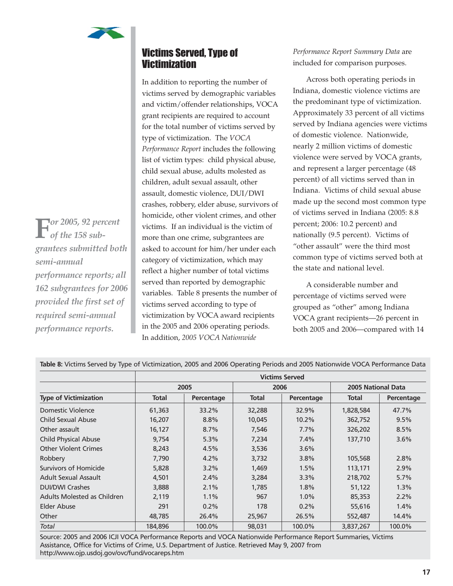**F***or 2005, 92 percent*  $\mathbf\Gamma$  of the 158 sub*grantees submitted both semi-annual performance reports; all 162 subgrantees for 2006 provided the first set of required semi-annual performance reports.*

## Victims Served, Type of **Victimization**

In addition to reporting the number of victims served by demographic variables and victim/offender relationships, VOCA grant recipients are required to account for the total number of victims served by type of victimization. The *VOCA Performance Report* includes the following list of victim types: child physical abuse, child sexual abuse, adults molested as children, adult sexual assault, other assault, domestic violence, DUI/DWI crashes, robbery, elder abuse, survivors of homicide, other violent crimes, and other victims. If an individual is the victim of more than one crime, subgrantees are asked to account for him/her under each category of victimization, which may reflect a higher number of total victims served than reported by demographic variables. Table 8 presents the number of victims served according to type of victimization by VOCA award recipients in the 2005 and 2006 operating periods. In addition, *2005 VOCA Nationwide*

*Performance Report Summary Data* are included for comparison purposes.

Across both operating periods in Indiana, domestic violence victims are the predominant type of victimization. Approximately 33 percent of all victims served by Indiana agencies were victims of domestic violence. Nationwide, nearly 2 million victims of domestic violence were served by VOCA grants, and represent a larger percentage (48 percent) of all victims served than in Indiana. Victims of child sexual abuse made up the second most common type of victims served in Indiana (2005: 8.8 percent; 2006: 10.2 percent) and nationally (9.5 percent). Victims of "other assault" were the third most common type of victims served both at the state and national level.

A considerable number and percentage of victims served were grouped as "other" among Indiana VOCA grant recipients—26 percent in both 2005 and 2006—compared with 14

|                              | <b>Victims Served</b> |            |        |            |                    |            |  |  |  |  |  |
|------------------------------|-----------------------|------------|--------|------------|--------------------|------------|--|--|--|--|--|
|                              |                       | 2005       | 2006   |            | 2005 National Data |            |  |  |  |  |  |
| <b>Type of Victimization</b> | Total                 | Percentage | Total  | Percentage | Total              | Percentage |  |  |  |  |  |
| Domestic Violence            | 61,363                | 33.2%      | 32,288 | 32.9%      | 1,828,584          | 47.7%      |  |  |  |  |  |
| Child Sexual Abuse           | 16,207                | 8.8%       | 10,045 | $10.2\%$   | 362,752            | 9.5%       |  |  |  |  |  |
| Other assault                | 16,127                | 8.7%       | 7,546  | $7.7\%$    | 326,202            | 8.5%       |  |  |  |  |  |
| <b>Child Physical Abuse</b>  | 9,754                 | 5.3%       | 7,234  | 7.4%       | 137,710            | 3.6%       |  |  |  |  |  |
| <b>Other Violent Crimes</b>  | 8,243                 | 4.5%       | 3,536  | $3.6\%$    |                    |            |  |  |  |  |  |
| Robbery                      | 7,790                 | 4.2%       | 3,732  | $3.8\%$    | 105,568            | 2.8%       |  |  |  |  |  |
| Survivors of Homicide        | 5,828                 | 3.2%       | 1,469  | 1.5%       | 113,171            | 2.9%       |  |  |  |  |  |
| Adult Sexual Assault         | 4,501                 | 2.4%       | 3,284  | $3.3\%$    | 218,702            | 5.7%       |  |  |  |  |  |
| <b>DUI/DWI Crashes</b>       | 3,888                 | 2.1%       | 1,785  | 1.8%       | 51,122             | 1.3%       |  |  |  |  |  |
| Adults Molested as Children  | 2,119                 | 1.1%       | 967    | $1.0\%$    | 85,353             | 2.2%       |  |  |  |  |  |
| Elder Abuse                  | 291                   | $0.2\%$    | 178    | $0.2\%$    | 55,616             | 1.4%       |  |  |  |  |  |
| Other                        | 48,785                | 26.4%      | 25,967 | 26.5%      | 552,487            | 14.4%      |  |  |  |  |  |
| Total                        | 184,896               | 100.0%     | 98,031 | 100.0%     | 3,837,267          | 100.0%     |  |  |  |  |  |

**Table 8:** Victims Served by Type of Victimization, 2005 and 2006 Operating Periods and 2005 Nationwide VOCA Performance Data

Source: 2005 and 2006 ICJI VOCA Performance Reports and VOCA Nationwide Performance Report Summaries, Victims Assistance, Office for Victims of Crime, U.S. Department of Justice. Retrieved May 9, 2007 from http://www.ojp.usdoj.gov/ovc/fund/vocareps.htm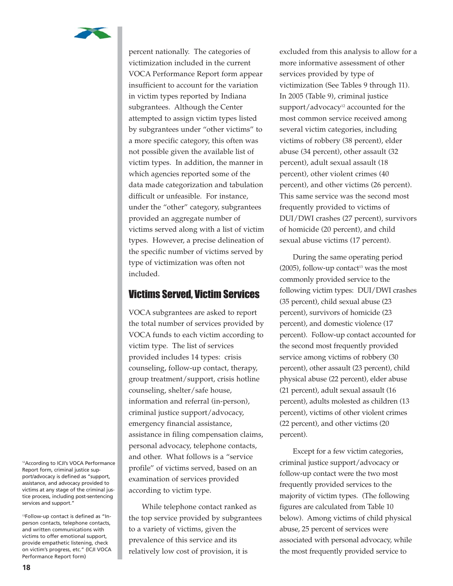

percent nationally. The categories of victimization included in the current VOCA Performance Report form appear insufficient to account for the variation in victim types reported by Indiana subgrantees. Although the Center attempted to assign victim types listed by subgrantees under "other victims" to a more specific category, this often was not possible given the available list of victim types. In addition, the manner in which agencies reported some of the data made categorization and tabulation difficult or unfeasible. For instance, under the "other" category, subgrantees provided an aggregate number of victims served along with a list of victim types. However, a precise delineation of the specific number of victims served by type of victimization was often not included.

### Victims Served, Victim Services

VOCA subgrantees are asked to report the total number of services provided by VOCA funds to each victim according to victim type. The list of services provided includes 14 types: crisis counseling, follow-up contact, therapy, group treatment/support, crisis hotline counseling, shelter/safe house, information and referral (in-person), criminal justice support/advocacy, emergency financial assistance, assistance in filing compensation claims, personal advocacy, telephone contacts, and other. What follows is a "service profile" of victims served, based on an examination of services provided according to victim type.

While telephone contact ranked as the top service provided by subgrantees to a variety of victims, given the prevalence of this service and its relatively low cost of provision, it is

excluded from this analysis to allow for a more informative assessment of other services provided by type of victimization (See Tables 9 through 11). In 2005 (Table 9), criminal justice support/advocacy<sup>12</sup> accounted for the most common service received among several victim categories, including victims of robbery (38 percent), elder abuse (34 percent), other assault (32 percent), adult sexual assault (18 percent), other violent crimes (40 percent), and other victims (26 percent). This same service was the second most frequently provided to victims of DUI/DWI crashes (27 percent), survivors of homicide (20 percent), and child sexual abuse victims (17 percent).

During the same operating period  $(2005)$ , follow-up contact<sup>13</sup> was the most commonly provided service to the following victim types: DUI/DWI crashes (35 percent), child sexual abuse (23 percent), survivors of homicide (23 percent), and domestic violence (17 percent). Follow-up contact accounted for the second most frequently provided service among victims of robbery (30 percent), other assault (23 percent), child physical abuse (22 percent), elder abuse (21 percent), adult sexual assault (16 percent), adults molested as children (13 percent), victims of other violent crimes (22 percent), and other victims (20 percent).

Except for a few victim categories, criminal justice support/advocacy or follow-up contact were the two most frequently provided services to the majority of victim types. (The following figures are calculated from Table 10 below). Among victims of child physical abuse, 25 percent of services were associated with personal advocacy, while the most frequently provided service to

13Follow-up contact is defined as "Inperson contacts, telephone contacts, and written communications with victims to offer emotional support, provide empathetic listening, check on victim's progress, etc." (ICJI VOCA Performance Report form)

<sup>&</sup>lt;sup>12</sup> According to ICJI's VOCA Performance Report form, criminal justice support/advocacy is defined as "support, assistance, and advocacy provided to victims at any stage of the criminal justice process, including post-sentencing services and support."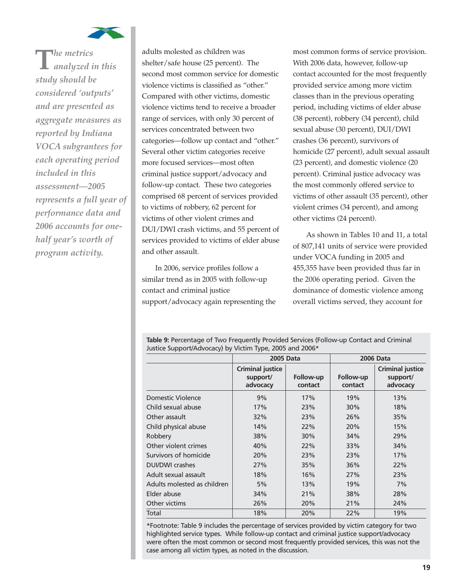

**T***he metrics analyzed in this study should be considered 'outputs' and are presented as aggregate measures as reported by Indiana VOCA subgrantees for each operating period included in this assessment—2005 represents a full year of performance data and 2006 accounts for onehalf year's worth of program activity.*

adults molested as children was shelter/safe house (25 percent). The second most common service for domestic violence victims is classified as "other." Compared with other victims, domestic violence victims tend to receive a broader range of services, with only 30 percent of services concentrated between two categories—follow up contact and "other." Several other victim categories receive more focused services—most often criminal justice support/advocacy and follow-up contact. These two categories comprised 68 percent of services provided to victims of robbery, 62 percent for victims of other violent crimes and DUI/DWI crash victims, and 55 percent of services provided to victims of elder abuse and other assault.

In 2006, service profiles follow a similar trend as in 2005 with follow-up contact and criminal justice support/advocacy again representing the most common forms of service provision. With 2006 data, however, follow-up contact accounted for the most frequently provided service among more victim classes than in the previous operating period, including victims of elder abuse (38 percent), robbery (34 percent), child sexual abuse (30 percent), DUI/DWI crashes (36 percent), survivors of homicide (27 percent), adult sexual assault (23 percent), and domestic violence (20 percent). Criminal justice advocacy was the most commonly offered service to victims of other assault (35 percent), other violent crimes (34 percent), and among other victims (24 percent).

As shown in Tables 10 and 11, a total of 807,141 units of service were provided under VOCA funding in 2005 and 455,355 have been provided thus far in the 2006 operating period. Given the dominance of domestic violence among overall victims served, they account for

|                             | <b>2005 Data</b>                                |                      |                      | <b>2006 Data</b>                                |
|-----------------------------|-------------------------------------------------|----------------------|----------------------|-------------------------------------------------|
|                             | <b>Criminal justice</b><br>support/<br>advocacy | Follow-up<br>contact | Follow-up<br>contact | <b>Criminal justice</b><br>support/<br>advocacy |
| Domestic Violence           | 9%                                              | 17%                  | 19%                  | 13%                                             |
| Child sexual abuse          | 17%                                             | 23%                  | 30%                  | 18%                                             |
| Other assault               | 32%                                             | 23%                  | 26%                  | 35%                                             |
| Child physical abuse        | 14%                                             | 22%                  | 20%                  | 15%                                             |
| Robbery                     | 38%                                             | 30%                  | 34%                  | 29%                                             |
| Other violent crimes        | 40%                                             | 22%                  | 33%                  | 34%                                             |
| Survivors of homicide       | 20%                                             | 23%                  | 23%                  | 17%                                             |
| <b>DUI/DWI crashes</b>      | 27%                                             | 35%                  | 36%                  | 22%                                             |
| Adult sexual assault        | 18%                                             | 16%                  | 27%                  | 23%                                             |
| Adults molested as children | 5%                                              | 13%                  | 19%                  | 7%                                              |
| Elder abuse                 | 34%                                             | 21%                  | 38%                  | 28%                                             |
| Other victims               | 26%                                             | 20%                  | 21%                  | 24%                                             |
| Total                       | 18%                                             | 20%                  | 22%                  | 19%                                             |

**Table 9:** Percentage of Two Frequently Provided Services (Follow-up Contact and Criminal Justice Support/Advocacy) by Victim Type, 2005 and 2006\*

\*Footnote: Table 9 includes the percentage of services provided by victim category for two highlighted service types. While follow-up contact and criminal justice support/advocacy were often the most common or second most frequently provided services, this was not the case among all victim types, as noted in the discussion.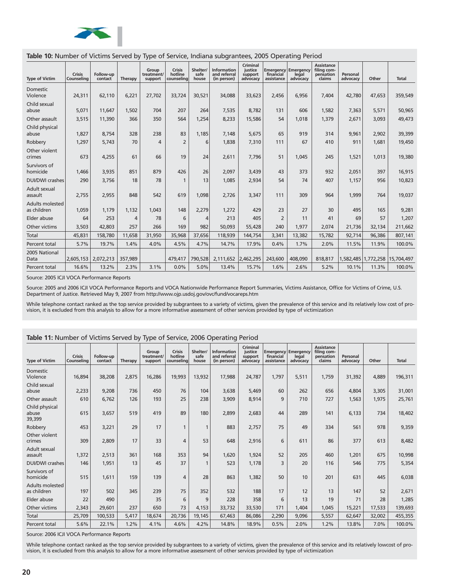

| Table 10: Number of Victims Served by Type of Service, Indiana subgrantees, 2005 Operating Period |  |
|---------------------------------------------------------------------------------------------------|--|
|                                                                                                   |  |

| <b>Type of Victim</b>          | <b>Crisis</b><br>Counseling | Follow-up<br>contact | Therapy | Group<br>treatment/<br>support | Crisis<br>hotline<br>counseling | Shelter/<br>safe<br>house | <b>Information</b><br>and referral<br>(in person) | Criminal<br>justice<br>support<br>advocacy | Emergency<br>financial<br>assistance | Emergency<br>legal<br>advocacy | <b>Assistance</b><br>filing com-<br>pensation<br>claims | Personal<br>advocacy | Other               | <b>Total</b> |
|--------------------------------|-----------------------------|----------------------|---------|--------------------------------|---------------------------------|---------------------------|---------------------------------------------------|--------------------------------------------|--------------------------------------|--------------------------------|---------------------------------------------------------|----------------------|---------------------|--------------|
| <b>Domestic</b><br>Violence    | 24,311                      | 62.110               | 6,221   | 27.702                         | 33.724                          | 30,521                    | 34,088                                            | 33,623                                     | 2,456                                | 6,956                          | 7,404                                                   | 42,780               | 47,653              | 359,549      |
| Child sexual<br>abuse          | 5,071                       | 11.647               | 1.502   | 704                            | 207                             | 264                       | 7,535                                             | 8.782                                      | 131                                  | 606                            | 1.582                                                   | 7,363                | 5.571               | 50,965       |
| Other assault                  | 3,515                       | 11.390               | 366     | 350                            | 564                             | 1,254                     | 8,233                                             | 15,586                                     | 54                                   | 1.018                          | 1.379                                                   | 2.671                | 3.093               | 49,473       |
| Child physical<br>abuse        | 1,827                       | 8.754                | 328     | 238                            | 83                              | 1,185                     | 7.148                                             | 5,675                                      | 65                                   | 919                            | 314                                                     | 9,961                | 2,902               | 39,399       |
| Robbery                        | 1,297                       | 5,743                | 70      | $\overline{4}$                 | $\overline{2}$                  | 6                         | 1,838                                             | 7,310                                      | 111                                  | 67                             | 410                                                     | 911                  | 1,681               | 19,450       |
| Other violent<br>crimes        | 673                         | 4,255                | 61      | 66                             | 19                              | 24                        | 2,611                                             | 7,796                                      | 51                                   | 1.045                          | 245                                                     | 1,521                | 1,013               | 19,380       |
| Survivors of<br>homicide       | 1.466                       | 3,935                | 851     | 879                            | 426                             | 26                        | 2.097                                             | 3,439                                      | 43                                   | 373                            | 932                                                     | 2,051                | 397                 | 16,915       |
| <b>DUI/DWI</b> crashes         | 290                         | 3,756                | 18      | 78                             | 1                               | 13                        | 1,085                                             | 2,934                                      | 54                                   | 74                             | 407                                                     | 1,157                | 956                 | 10,823       |
| Adult sexual<br>assault        | 2,755                       | 2,955                | 848     | 542                            | 619                             | 1,098                     | 2,726                                             | 3,347                                      | 111                                  | 309                            | 964                                                     | 1,999                | 764                 | 19,037       |
| Adults molested<br>as children | 1,059                       | 1,179                | 1,132   | 1.043                          | 148                             | 2,279                     | 1,272                                             | 429                                        | 23                                   | 27                             | 30                                                      | 495                  | 165                 | 9,281        |
| Elder abuse                    | 64                          | 253                  | 4       | 78                             | 6                               | $\overline{4}$            | 213                                               | 405                                        | $\overline{2}$                       | 11                             | 41                                                      | 69                   | 57                  | 1,207        |
| Other victims                  | 3,503                       | 42,803               | 257     | 266                            | 169                             | 982                       | 50.093                                            | 55.428                                     | 240                                  | 1,977                          | 2,074                                                   | 21,736               | 32,134              | 211,662      |
| <b>Total</b>                   | 45,831                      | 158,780              | 11.658  | 31,950                         | 35,968                          | 37,656                    | 118,939                                           | 144.754                                    | 3,341                                | 13,382                         | 15,782                                                  | 92,714               | 96,386              | 807,141      |
| Percent total                  | 5.7%                        | 19.7%                | 1.4%    | 4.0%                           | 4.5%                            | 4.7%                      | 14.7%                                             | 17.9%                                      | 0.4%                                 | 1.7%                           | 2.0%                                                    | 11.5%                | 11.9%               | 100.0%       |
| 2005 National<br>Data          | 2,605,153                   | 2,072,213            | 357,989 |                                | 479,417                         | 790,528                   | 2,111,652                                         | 2,462,295                                  | 243,600                              | 408,090                        | 818,817                                                 |                      | 1,582,485 1,772,258 | 15,704,497   |
| Percent total                  | 16.6%                       | 13.2%                | 2.3%    | 3.1%                           | $0.0\%$                         | 5.0%                      | 13.4%                                             | 15.7%                                      | 1.6%                                 | 2.6%                           | 5.2%                                                    | 10.1%                | 11.3%               | 100.0%       |

Source: 2005 ICJI VOCA Performance Reports

Source: 2005 and 2006 ICJI VOCA Performance Reports and VOCA Nationwide Performance Report Summaries, Victims Assistance, Office for Victims of Crime, U.S. Department of Justice. Retrieved May 9, 2007 from http://www.ojp.usdoj.gov/ovc/fund/vocareps.htm

While telephone contact ranked as the top service provided by subgrantees to a variety of victims, given the prevalence of this service and its relatively low cost of provision, it is excluded from this analysis to allow for a more informative assessment of other services provided by type of victimization

|                                       |                             |                      |         | $\mathbf{v}$                   |                                        |                           |                                                   |                                                   |                         |                                                 |                                                  |                      |        |              |
|---------------------------------------|-----------------------------|----------------------|---------|--------------------------------|----------------------------------------|---------------------------|---------------------------------------------------|---------------------------------------------------|-------------------------|-------------------------------------------------|--------------------------------------------------|----------------------|--------|--------------|
| <b>Type of Victim</b>                 | <b>Crisis</b><br>Counseling | Follow-up<br>contact | Therapy | Group<br>treatment/<br>support | <b>Crisis</b><br>hotline<br>counseling | Shelter/<br>safe<br>house | <b>Information</b><br>and referral<br>(in person) | <b>Criminal</b><br>justice<br>support<br>advocacy | financial<br>assistance | <b>Emergency Emergency</b><br>legal<br>advocacy | Assistance<br>filing com-<br>pensation<br>claims | Personal<br>advocacy | Other  | <b>Total</b> |
| Domestic<br>Violence                  | 16,894                      | 38,208               | 2,875   | 16,286                         | 19,993                                 | 13,932                    | 17,988                                            | 24,787                                            | 1,797                   | 5,511                                           | 1,759                                            | 31,392               | 4,889  | 196,311      |
| Child sexual<br>abuse                 | 2,233                       | 9,208                | 736     | 450                            | 76                                     | 104                       | 3,638                                             | 5,469                                             | 60                      | 262                                             | 656                                              | 4,804                | 3,305  | 31,001       |
| Other assault                         | 610                         | 6,762                | 126     | 193                            | 25                                     | 238                       | 3,909                                             | 8,914                                             | 9                       | 710                                             | 727                                              | 1,563                | 1,975  | 25,761       |
| Child physical<br>abuse<br>39,399     | 615                         | 3,657                | 519     | 419                            | 89                                     | 180                       | 2,899                                             | 2,683                                             | 44                      | 289                                             | 141                                              | 6,133                | 734    | 18,402       |
| Robbery                               | 453                         | 3,221                | 29      | 17                             | 1                                      | $\mathbf{1}$              | 883                                               | 2,757                                             | 75                      | 49                                              | 334                                              | 561                  | 978    | 9,359        |
| Other violent<br>crimes               | 309                         | 2,809                | 17      | 33                             | $\overline{4}$                         | 53                        | 648                                               | 2,916                                             | 6                       | 611                                             | 86                                               | 377                  | 613    | 8,482        |
| Adult sexual<br>assault               | 1,372                       | 2,513                | 361     | 168                            | 353                                    | 94                        | 1,620                                             | 1,924                                             | 52                      | 205                                             | 460                                              | 1,201                | 675    | 10,998       |
| <b>DUI/DWI</b> crashes                | 146                         | 1,951                | 13      | 45                             | 37                                     | $\mathbf{1}$              | 523                                               | 1,178                                             | 3                       | 20                                              | 116                                              | 546                  | 775    | 5,354        |
| Survivors of<br>homicide              | 515                         | 1.611                | 159     | 139                            | $\overline{4}$                         | 28                        | 863                                               | 1,382                                             | 50                      | 10                                              | 201                                              | 631                  | 445    | 6,038        |
| <b>Adults molested</b><br>as children | 197                         | 502                  | 345     | 239                            | 75                                     | 352                       | 532                                               | 188                                               | 17                      | 12                                              | 13                                               | 147                  | 52     | 2,671        |
| Elder abuse                           | 22                          | 490                  |         | 35                             | 6                                      | 9                         | 228                                               | 358                                               | 6                       | 13                                              | 19                                               | 71                   | 28     | 1,285        |
| Other victims                         | 2,343                       | 29,601               | 237     | 650                            | 73                                     | 4,153                     | 33,732                                            | 33,530                                            | 171                     | 1,404                                           | 1,045                                            | 15,221               | 17,533 | 139,693      |
| Total                                 | 25,709                      | 100,533              | 5,417   | 18,674                         | 20,736                                 | 19,145                    | 67,463                                            | 86,086                                            | 2,290                   | 9,096                                           | 5,557                                            | 62,647               | 32,002 | 455,355      |
| Percent total                         | 5.6%                        | 22.1%                | 1.2%    | 4.1%                           | 4.6%                                   | 4.2%                      | 14.8%                                             | 18.9%                                             | 0.5%                    | 2.0%                                            | 1.2%                                             | 13.8%                | 7.0%   | 100.0%       |

#### **Table 11:** Number of Victims Served by Type of Service, 2006 Operating Period

Source: 2006 ICJI VOCA Performance Reports

While telephone contact ranked as the top service provided by subgrantees to a variety of victims, given the prevalence of this service and its relatively lowcost of provision, it is excluded from this analysis to allow for a more informative assessment of other services provided by type of victimization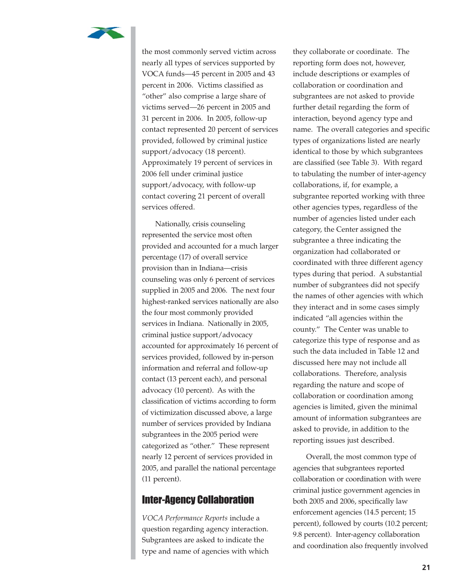

the most commonly served victim across nearly all types of services supported by VOCA funds—45 percent in 2005 and 43 percent in 2006. Victims classified as "other" also comprise a large share of victims served—26 percent in 2005 and 31 percent in 2006. In 2005, follow-up contact represented 20 percent of services provided, followed by criminal justice support/advocacy (18 percent). Approximately 19 percent of services in 2006 fell under criminal justice support/advocacy, with follow-up contact covering 21 percent of overall services offered.

Nationally, crisis counseling represented the service most often provided and accounted for a much larger percentage (17) of overall service provision than in Indiana—crisis counseling was only 6 percent of services supplied in 2005 and 2006. The next four highest-ranked services nationally are also the four most commonly provided services in Indiana. Nationally in 2005, criminal justice support/advocacy accounted for approximately 16 percent of services provided, followed by in-person information and referral and follow-up contact (13 percent each), and personal advocacy (10 percent). As with the classification of victims according to form of victimization discussed above, a large number of services provided by Indiana subgrantees in the 2005 period were categorized as "other." These represent nearly 12 percent of services provided in 2005, and parallel the national percentage (11 percent).

## Inter-Agency Collaboration

*VOCA Performance Reports* include a question regarding agency interaction. Subgrantees are asked to indicate the type and name of agencies with which they collaborate or coordinate. The reporting form does not, however, include descriptions or examples of collaboration or coordination and subgrantees are not asked to provide further detail regarding the form of interaction, beyond agency type and name. The overall categories and specific types of organizations listed are nearly identical to those by which subgrantees are classified (see Table 3). With regard to tabulating the number of inter-agency collaborations, if, for example, a subgrantee reported working with three other agencies types, regardless of the number of agencies listed under each category, the Center assigned the subgrantee a three indicating the organization had collaborated or coordinated with three different agency types during that period. A substantial number of subgrantees did not specify the names of other agencies with which they interact and in some cases simply indicated "all agencies within the county." The Center was unable to categorize this type of response and as such the data included in Table 12 and discussed here may not include all collaborations. Therefore, analysis regarding the nature and scope of collaboration or coordination among agencies is limited, given the minimal amount of information subgrantees are asked to provide, in addition to the reporting issues just described.

Overall, the most common type of agencies that subgrantees reported collaboration or coordination with were criminal justice government agencies in both 2005 and 2006, specifically law enforcement agencies (14.5 percent; 15 percent), followed by courts (10.2 percent; 9.8 percent). Inter-agency collaboration and coordination also frequently involved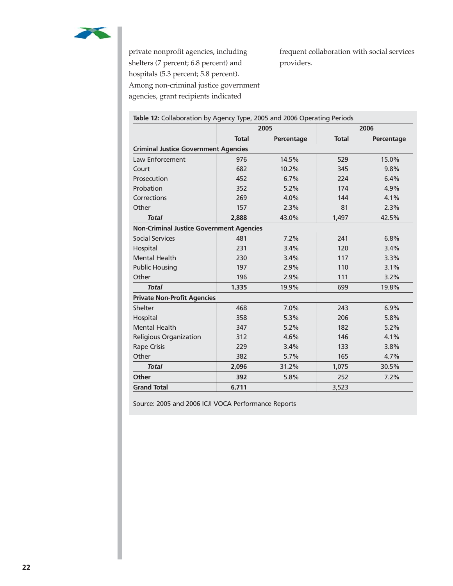

private nonprofit agencies, including shelters (7 percent; 6.8 percent) and hospitals (5.3 percent; 5.8 percent). Among non-criminal justice government agencies, grant recipients indicated

frequent collaboration with social services providers.

|                                                 | 2005         |            |              | 2006       |  |  |
|-------------------------------------------------|--------------|------------|--------------|------------|--|--|
|                                                 | <b>Total</b> | Percentage | <b>Total</b> | Percentage |  |  |
| <b>Criminal Justice Government Agencies</b>     |              |            |              |            |  |  |
| Law Enforcement                                 | 976          | 14.5%      | 529          | 15.0%      |  |  |
| Court                                           | 682          | 10.2%      | 345          | 9.8%       |  |  |
| Prosecution                                     | 452          | 6.7%       | 224          | 6.4%       |  |  |
| Probation                                       | 352          | 5.2%       | 174          | 4.9%       |  |  |
| Corrections                                     | 269          | 4.0%       | 144          | 4.1%       |  |  |
| Other                                           | 157          | 2.3%       | 81           | 2.3%       |  |  |
| <b>Total</b>                                    | 2,888        | 43.0%      | 1,497        | 42.5%      |  |  |
| <b>Non-Criminal Justice Government Agencies</b> |              |            |              |            |  |  |
| Social Services                                 | 481          | 7.2%       | 241          | 6.8%       |  |  |
| Hospital                                        | 231          | 3.4%       | 120          | 3.4%       |  |  |
| <b>Mental Health</b>                            | 230          | 3.4%       | 117          | 3.3%       |  |  |
| <b>Public Housing</b>                           | 197          | 2.9%       | 110          | 3.1%       |  |  |
| Other                                           | 196          | 2.9%       | 111          | 3.2%       |  |  |
| <b>Total</b>                                    | 1,335        | 19.9%      | 699          | 19.8%      |  |  |
| <b>Private Non-Profit Agencies</b>              |              |            |              |            |  |  |
| Shelter                                         | 468          | 7.0%       | 243          | 6.9%       |  |  |
| Hospital                                        | 358          | 5.3%       | 206          | 5.8%       |  |  |
| <b>Mental Health</b>                            | 347          | 5.2%       | 182          | 5.2%       |  |  |
| <b>Religious Organization</b>                   | 312          | 4.6%       | 146          | 4.1%       |  |  |
| <b>Rape Crisis</b>                              | 229          | 3.4%       | 133          | 3.8%       |  |  |
| Other                                           | 382          | 5.7%       | 165          | 4.7%       |  |  |
| <b>Total</b>                                    | 2,096        | 31.2%      | 1,075        | 30.5%      |  |  |
| Other                                           | 392          | 5.8%       | 252          | 7.2%       |  |  |
| <b>Grand Total</b>                              | 6,711        |            | 3,523        |            |  |  |

**Table 12:** Collaboration by Agency Type, 2005 and 2006 Operating Periods

 $\perp$ 

Source: 2005 and 2006 ICJI VOCA Performance Reports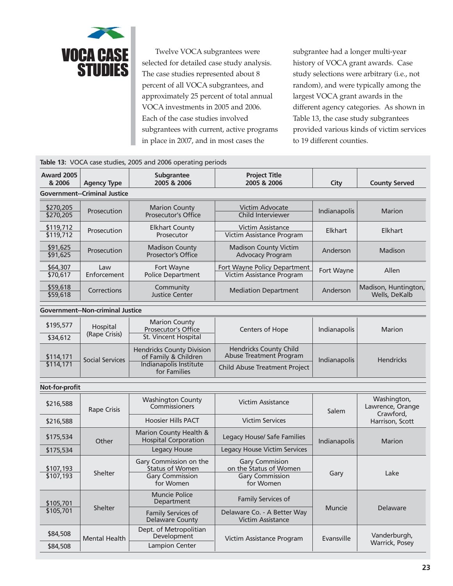

Twelve VOCA subgrantees were selected for detailed case study analysis. The case studies represented about 8 percent of all VOCA subgrantees, and approximately 25 percent of total annual VOCA investments in 2005 and 2006. Each of the case studies involved subgrantees with current, active programs in place in 2007, and in most cases the

subgrantee had a longer multi-year history of VOCA grant awards. Case study selections were arbitrary (i.e., not random), and were typically among the largest VOCA grant awards in the different agency categories. As shown in Table 13, the case study subgrantees provided various kinds of victim services to 19 different counties.

|                        |                                         | <b>lable 13:</b> VOCA case studies, 2005 and 2006 operating periods            |                                                                           |                |                                              |  |
|------------------------|-----------------------------------------|--------------------------------------------------------------------------------|---------------------------------------------------------------------------|----------------|----------------------------------------------|--|
| Award 2005<br>& 2006   | <b>Agency Type</b>                      | Subgrantee<br>2005 & 2006                                                      | <b>Project Title</b><br>2005 & 2006                                       | <b>City</b>    | <b>County Served</b>                         |  |
|                        | <b>Government--Criminal Justice</b>     |                                                                                |                                                                           |                |                                              |  |
| \$270,205<br>\$270,205 | Prosecution                             | <b>Marion County</b><br>Prosecutor's Office                                    | Victim Advocate<br>Child Interviewer                                      | Indianapolis   | <b>Marion</b>                                |  |
| \$119,712<br>\$119,712 | Prosecution                             | <b>Elkhart County</b><br>Prosecutor                                            | <b>Victim Assistance</b><br>Victim Assistance Program                     | <b>Elkhart</b> | <b>Elkhart</b>                               |  |
| \$91,625<br>\$91,625   | Prosecution                             | <b>Madison County</b><br><b>Prosector's Office</b>                             | <b>Madison County Victim</b><br>Advocacy Program                          | Anderson       | Madison                                      |  |
| \$64,307<br>\$70,617   | Law<br>Enforcement                      | Fort Wayne<br><b>Police Department</b>                                         | Fort Wayne Policy Department<br>Victim Assistance Program                 | Fort Wayne     | Allen                                        |  |
| \$59,618<br>\$59,618   | Corrections                             | Community<br><b>Justice Center</b>                                             | <b>Mediation Department</b>                                               | Anderson       | Madison, Huntington,<br>Wells, DeKalb        |  |
|                        | <b>Government--Non-criminal Justice</b> |                                                                                |                                                                           |                |                                              |  |
| \$195,577              | Hospital<br>(Rape Crisis)               | <b>Marion County</b><br><b>Prosecutor's Office</b><br>St. Vincent Hospital     | Centers of Hope                                                           | Indianapolis   | Marion                                       |  |
| \$34,612               |                                         |                                                                                |                                                                           |                |                                              |  |
| \$114,171              | <b>Social Services</b>                  | <b>Hendricks County Division</b><br>of Family & Children                       | <b>Hendricks County Child</b><br>Abuse Treatment Program                  | Indianapolis   | <b>Hendricks</b>                             |  |
| \$114,171              |                                         | Indianapolis Institute<br><b>Child Abuse Treatment Project</b><br>for Families |                                                                           |                |                                              |  |
| Not-for-profit         |                                         |                                                                                |                                                                           |                |                                              |  |
| \$216,588              | Rape Crisis                             | <b>Washington County</b><br>Commissioners                                      | Victim Assistance                                                         | Salem          | Washington,<br>Lawrence, Orange<br>Crawford, |  |
| \$216,588              |                                         | <b>Hoosier Hills PACT</b>                                                      | <b>Victim Services</b>                                                    |                | Harrison, Scott                              |  |
| \$175,534              | Other                                   | Marion County Health &<br><b>Hospital Corporation</b>                          | Legacy House/ Safe Families                                               | Indianapolis   | <b>Marion</b>                                |  |
| \$175,534              |                                         | Legacy House                                                                   | Legacy House Victim Services                                              |                |                                              |  |
| \$107,193<br>\$107,193 | Shelter                                 | Gary Commission on the<br><b>Status of Women</b><br><b>Gary Commission</b>     | <b>Gary Commision</b><br>on the Status of Women<br><b>Gary Commission</b> | Gary           | Lake                                         |  |
|                        |                                         | for Women                                                                      | for Women                                                                 |                |                                              |  |
| \$105,701              |                                         | Muncie Police<br>Department                                                    | Family Services of                                                        |                |                                              |  |
| \$105,701              | <b>Shelter</b>                          | Family Services of<br>Delaware County                                          | Delaware Co. - A Better Way<br>Victim Assistance                          | Muncie         | Delaware                                     |  |
| \$84,508               | <b>Mental Health</b>                    | Dept. of Metropolitian<br>Development                                          | Victim Assistance Program                                                 | Evansville     | Vanderburgh,                                 |  |
| \$84,508               |                                         | <b>Lampion Center</b>                                                          |                                                                           |                | Warrick, Posey                               |  |

#### **Table 13:** VOCA case studies, 2005 and 2006 operating periods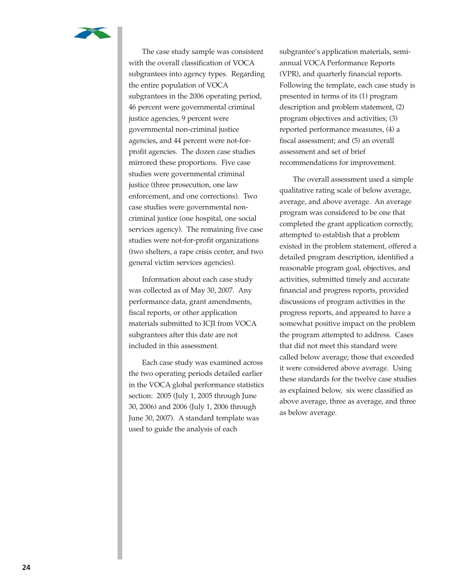The case study sample was consistent with the overall classification of VOCA subgrantees into agency types. Regarding the entire population of VOCA subgrantees in the 2006 operating period, 46 percent were governmental criminal justice agencies, 9 percent were governmental non-criminal justice agencies, and 44 percent were not-forprofit agencies. The dozen case studies mirrored these proportions. Five case studies were governmental criminal justice (three prosecution, one law enforcement, and one corrections). Two case studies were governmental noncriminal justice (one hospital, one social services agency). The remaining five case studies were not-for-profit organizations (two shelters, a rape crisis center, and two general victim services agencies).

Information about each case study was collected as of May 30, 2007. Any performance data, grant amendments, fiscal reports, or other application materials submitted to ICJI from VOCA subgrantees after this date are not included in this assessment.

Each case study was examined across the two operating periods detailed earlier in the VOCA global performance statistics section: 2005 (July 1, 2005 through June 30, 2006) and 2006 (July 1, 2006 through June 30, 2007). A standard template was used to guide the analysis of each

subgrantee's application materials, semiannual VOCA Performance Reports (VPR), and quarterly financial reports. Following the template, each case study is presented in terms of its (1) program description and problem statement, (2) program objectives and activities; (3) reported performance measures, (4) a fiscal assessment; and (5) an overall assessment and set of brief recommendations for improvement.

The overall assessment used a simple qualitative rating scale of below average, average, and above average. An average program was considered to be one that completed the grant application correctly, attempted to establish that a problem existed in the problem statement, offered a detailed program description, identified a reasonable program goal, objectives, and activities, submitted timely and accurate financial and progress reports, provided discussions of program activities in the progress reports, and appeared to have a somewhat positive impact on the problem the program attempted to address. Cases that did not meet this standard were called below average; those that exceeded it were considered above average. Using these standards for the twelve case studies as explained below, six were classified as above average, three as average, and three as below average.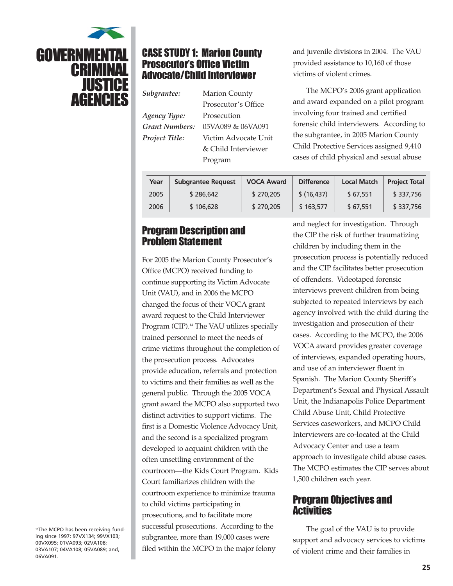## **GOVERNMENTA CRIMINAL JUSTIC** AGENCIES

## CASE STUDY 1: Marion County Prosecutor's Office Victim Advocate/Child Interviewer

| Subgrantee:           | <b>Marion County</b> |
|-----------------------|----------------------|
|                       | Prosecutor's Office  |
| Agency Type:          | Prosecution          |
| <b>Grant Numbers:</b> | 05VA089 & 06VA091    |
| Project Title:        | Victim Advocate Unit |
|                       | & Child Interviewer  |
|                       | Program              |

and juvenile divisions in 2004. The VAU provided assistance to 10,160 of those victims of violent crimes.

The MCPO's 2006 grant application and award expanded on a pilot program involving four trained and certified forensic child interviewers. According to the subgrantee, in 2005 Marion County Child Protective Services assigned 9,410 cases of child physical and sexual abuse

| Year | <b>Subgrantee Request</b> | <b>VOCA Award</b> | <b>Difference</b> | <b>Local Match</b> | <b>Project Total</b> |
|------|---------------------------|-------------------|-------------------|--------------------|----------------------|
| 2005 | \$286,642                 | \$270,205         | \$(16, 437)       | \$67.551           | \$337,756            |
| 2006 | \$106.628                 | \$270,205         | \$163,577         | \$67,551           | \$337,756            |

## Program Description and Problem Statement

For 2005 the Marion County Prosecutor's Office (MCPO) received funding to continue supporting its Victim Advocate Unit (VAU), and in 2006 the MCPO changed the focus of their VOCA grant award request to the Child Interviewer Program (CIP).<sup>14</sup> The VAU utilizes specially trained personnel to meet the needs of crime victims throughout the completion of the prosecution process. Advocates provide education, referrals and protection to victims and their families as well as the general public. Through the 2005 VOCA grant award the MCPO also supported two distinct activities to support victims. The first is a Domestic Violence Advocacy Unit, and the second is a specialized program developed to acquaint children with the often unsettling environment of the courtroom—the Kids Court Program. Kids Court familiarizes children with the courtroom experience to minimize trauma to child victims participating in prosecutions, and to facilitate more successful prosecutions. According to the subgrantee, more than 19,000 cases were filed within the MCPO in the major felony

and neglect for investigation. Through the CIP the risk of further traumatizing children by including them in the prosecution process is potentially reduced and the CIP facilitates better prosecution of offenders. Videotaped forensic interviews prevent children from being subjected to repeated interviews by each agency involved with the child during the investigation and prosecution of their cases. According to the MCPO, the 2006 VOCA award provides greater coverage of interviews, expanded operating hours, and use of an interviewer fluent in Spanish. The Marion County Sheriff's Department's Sexual and Physical Assault Unit, the Indianapolis Police Department Child Abuse Unit, Child Protective Services caseworkers, and MCPO Child Interviewers are co-located at the Child Advocacy Center and use a team approach to investigate child abuse cases. The MCPO estimates the CIP serves about 1,500 children each year.

## Program Objectives and **Activities**

The goal of the VAU is to provide support and advocacy services to victims of violent crime and their families in

<sup>14</sup>The MCPO has been receiving funding since 1997: 97VX134; 99VX103; 00VX095; 01VA093; 02VA108; 03VA107; 04VA108; 05VA089; and, 06VA091.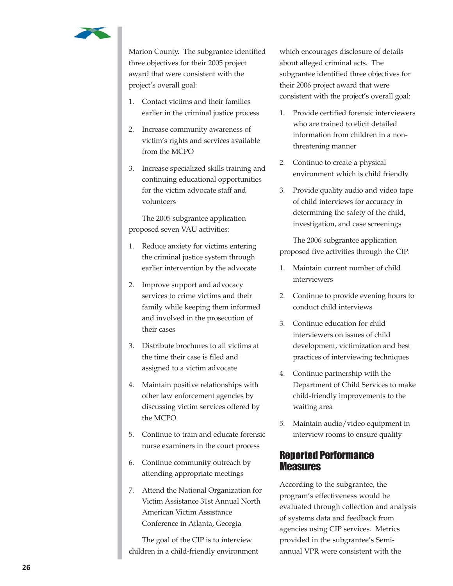

Marion County. The subgrantee identified three objectives for their 2005 project award that were consistent with the project's overall goal:

- 1. Contact victims and their families earlier in the criminal justice process
- 2. Increase community awareness of victim's rights and services available from the MCPO
- 3. Increase specialized skills training and continuing educational opportunities for the victim advocate staff and volunteers

The 2005 subgrantee application proposed seven VAU activities:

- 1. Reduce anxiety for victims entering the criminal justice system through earlier intervention by the advocate
- 2. Improve support and advocacy services to crime victims and their family while keeping them informed and involved in the prosecution of their cases
- 3. Distribute brochures to all victims at the time their case is filed and assigned to a victim advocate
- 4. Maintain positive relationships with other law enforcement agencies by discussing victim services offered by the MCPO
- 5. Continue to train and educate forensic nurse examiners in the court process
- 6. Continue community outreach by attending appropriate meetings
- 7. Attend the National Organization for Victim Assistance 31st Annual North American Victim Assistance Conference in Atlanta, Georgia

The goal of the CIP is to interview children in a child-friendly environment which encourages disclosure of details about alleged criminal acts. The subgrantee identified three objectives for their 2006 project award that were consistent with the project's overall goal:

- 1. Provide certified forensic interviewers who are trained to elicit detailed information from children in a nonthreatening manner
- 2. Continue to create a physical environment which is child friendly
- 3. Provide quality audio and video tape of child interviews for accuracy in determining the safety of the child, investigation, and case screenings

The 2006 subgrantee application proposed five activities through the CIP:

- 1. Maintain current number of child interviewers
- 2. Continue to provide evening hours to conduct child interviews
- 3. Continue education for child interviewers on issues of child development, victimization and best practices of interviewing techniques
- 4. Continue partnership with the Department of Child Services to make child-friendly improvements to the waiting area
- 5. Maintain audio/video equipment in interview rooms to ensure quality

## Reported Performance Measures

According to the subgrantee, the program's effectiveness would be evaluated through collection and analysis of systems data and feedback from agencies using CIP services. Metrics provided in the subgrantee's Semiannual VPR were consistent with the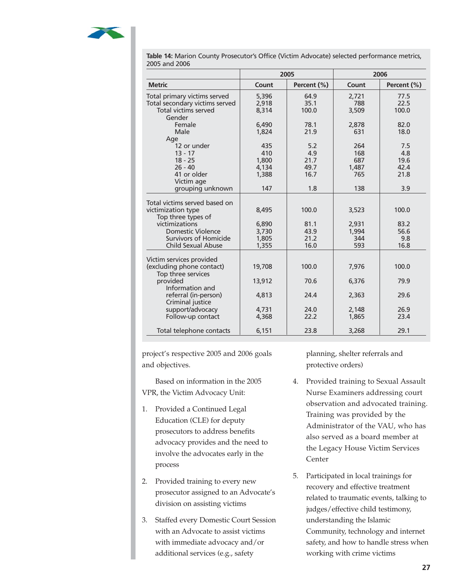

**Table 14:** Marion County Prosecutor's Office (Victim Advocate) selected performance metrics, 2005 and 2006

|                                                                             |                | 2005         |              | 2006         |
|-----------------------------------------------------------------------------|----------------|--------------|--------------|--------------|
| <b>Metric</b>                                                               | Count          | Percent (%)  | Count        | Percent (%)  |
| Total primary victims served<br>Total secondary victims served              | 5,396<br>2,918 | 64.9<br>35.1 | 2,721<br>788 | 77.5<br>22.5 |
| <b>Total victims served</b><br>Gender                                       | 8,314          | 100.0        | 3,509        | 100.0        |
| Female                                                                      | 6,490          | 78.1         | 2,878        | 82.0         |
| Male                                                                        | 1,824          | 21.9         | 631          | 18.0         |
| Age<br>12 or under                                                          | 435            | 5.2          | 264          | 7.5          |
| $13 - 17$                                                                   | 410            | 4.9          | 168          | 4.8          |
| $18 - 25$                                                                   | 1,800          | 21.7         | 687          | 19.6         |
| $26 - 40$                                                                   | 4,134          | 49.7         | 1,487        | 42.4         |
| 41 or older<br>Victim age                                                   | 1,388          | 16.7         | 765          | 21.8         |
| grouping unknown                                                            | 147            | 1.8          | 138          | 3.9          |
| Total victims served based on                                               |                |              |              |              |
| victimization type<br>Top three types of                                    | 8,495          | 100.0        | 3,523        | 100.0        |
| victimizations                                                              | 6,890          | 81.1         | 2,931        | 83.2         |
| Domestic Violence                                                           | 3,730          | 43.9         | 1,994        | 56.6         |
| <b>Survivors of Homicide</b><br><b>Child Sexual Abuse</b>                   | 1,805<br>1,355 | 21.2<br>16.0 | 344<br>593   | 9.8<br>16.8  |
|                                                                             |                |              |              |              |
| Victim services provided<br>(excluding phone contact)<br>Top three services | 19,708         | 100.0        | 7,976        | 100.0        |
| provided<br>Information and                                                 | 13,912         | 70.6         | 6,376        | 79.9         |
| referral (in-person)<br>Criminal justice                                    | 4,813          | 24.4         | 2,363        | 29.6         |
| support/advocacy                                                            | 4,731          | 24.0         | 2,148        | 26.9         |
| Follow-up contact                                                           | 4,368          | 22.2         | 1,865        | 23.4         |
| Total telephone contacts                                                    | 6,151          | 23.8         | 3,268        | 29.1         |

project's respective 2005 and 2006 goals and objectives.

Based on information in the 2005 VPR, the Victim Advocacy Unit:

- 1. Provided a Continued Legal Education (CLE) for deputy prosecutors to address benefits advocacy provides and the need to involve the advocates early in the process
- 2. Provided training to every new prosecutor assigned to an Advocate's division on assisting victims
- 3. Staffed every Domestic Court Session with an Advocate to assist victims with immediate advocacy and/or additional services (e.g., safety

planning, shelter referrals and protective orders)

- 4. Provided training to Sexual Assault Nurse Examiners addressing court observation and advocated training. Training was provided by the Administrator of the VAU, who has also served as a board member at the Legacy House Victim Services Center
- 5. Participated in local trainings for recovery and effective treatment related to traumatic events, talking to judges/effective child testimony, understanding the Islamic Community, technology and internet safety, and how to handle stress when working with crime victims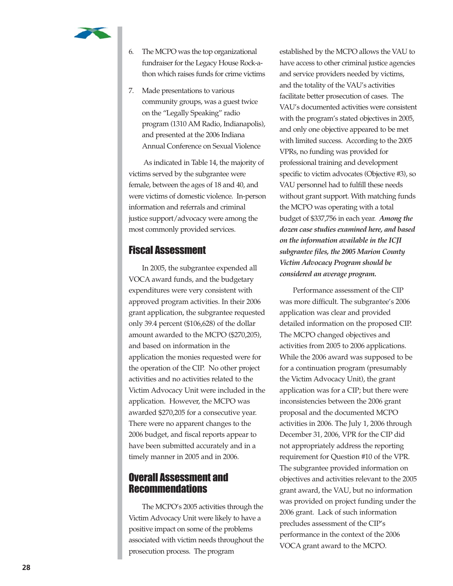

- 6. The MCPO was the top organizational fundraiser for the Legacy House Rock-athon which raises funds for crime victims
- 7. Made presentations to various community groups, was a guest twice on the "Legally Speaking" radio program (1310 AM Radio, Indianapolis), and presented at the 2006 Indiana Annual Conference on Sexual Violence

As indicated in Table 14, the majority of victims served by the subgrantee were female, between the ages of 18 and 40, and were victims of domestic violence. In-person information and referrals and criminal justice support/advocacy were among the most commonly provided services.

## Fiscal Assessment

In 2005, the subgrantee expended all VOCA award funds, and the budgetary expenditures were very consistent with approved program activities. In their 2006 grant application, the subgrantee requested only 39.4 percent (\$106,628) of the dollar amount awarded to the MCPO (\$270,205), and based on information in the application the monies requested were for the operation of the CIP. No other project activities and no activities related to the Victim Advocacy Unit were included in the application. However, the MCPO was awarded \$270,205 for a consecutive year. There were no apparent changes to the 2006 budget, and fiscal reports appear to have been submitted accurately and in a timely manner in 2005 and in 2006.

## Overall Assessment and Recommendations

The MCPO's 2005 activities through the Victim Advocacy Unit were likely to have a positive impact on some of the problems associated with victim needs throughout the prosecution process. The program

established by the MCPO allows the VAU to have access to other criminal justice agencies and service providers needed by victims, and the totality of the VAU's activities facilitate better prosecution of cases. The VAU's documented activities were consistent with the program's stated objectives in 2005, and only one objective appeared to be met with limited success. According to the 2005 VPRs, no funding was provided for professional training and development specific to victim advocates (Objective #3), so VAU personnel had to fulfill these needs without grant support. With matching funds the MCPO was operating with a total budget of \$337,756 in each year. *Among the dozen case studies examined here, and based on the information available in the ICJI subgrantee files, the 2005 Marion County Victim Advocacy Program should be considered an average program.*

Performance assessment of the CIP was more difficult. The subgrantee's 2006 application was clear and provided detailed information on the proposed CIP. The MCPO changed objectives and activities from 2005 to 2006 applications. While the 2006 award was supposed to be for a continuation program (presumably the Victim Advocacy Unit), the grant application was for a CIP; but there were inconsistencies between the 2006 grant proposal and the documented MCPO activities in 2006. The July 1, 2006 through December 31, 2006, VPR for the CIP did not appropriately address the reporting requirement for Question #10 of the VPR. The subgrantee provided information on objectives and activities relevant to the 2005 grant award, the VAU, but no information was provided on project funding under the 2006 grant. Lack of such information precludes assessment of the CIP's performance in the context of the 2006 VOCA grant award to the MCPO.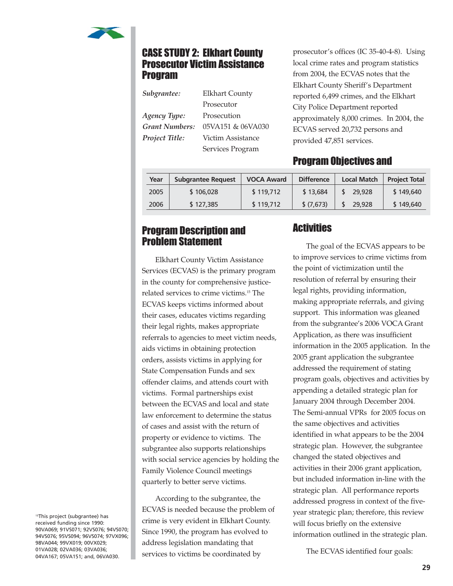

## CASE STUDY 2: Elkhart County Prosecutor Victim Assistance Program

| Subgrantee:           | <b>Elkhart County</b> |
|-----------------------|-----------------------|
|                       | Prosecutor            |
| Agency Type:          | Prosecution           |
| <b>Grant Numbers:</b> | 05VA151 & 06VA030     |
| Project Title:        | Victim Assistance     |
|                       | Services Program      |

prosecutor's offices (IC 35-40-4-8). Using local crime rates and program statistics from 2004, the ECVAS notes that the Elkhart County Sheriff's Department reported 6,499 crimes, and the Elkhart City Police Department reported approximately 8,000 crimes. In 2004, the ECVAS served 20,732 persons and provided 47,851 services.

## Program Objectives and

| Year | <b>Subgrantee Request</b> | <b>VOCA Award</b> | <b>Difference</b> | <b>Local Match</b> | <b>Project Total</b> |
|------|---------------------------|-------------------|-------------------|--------------------|----------------------|
| 2005 | \$106.028                 | \$119.712         | \$13,684          | 29.928             | \$149,640            |
| 2006 | \$127.385                 | \$119.712         | \$(7,673)         | 29.928             | \$149,640            |

## Program Description and Problem Statement

Elkhart County Victim Assistance Services (ECVAS) is the primary program in the county for comprehensive justicerelated services to crime victims.15 The ECVAS keeps victims informed about their cases, educates victims regarding their legal rights, makes appropriate referrals to agencies to meet victim needs, aids victims in obtaining protection orders, assists victims in applying for State Compensation Funds and sex offender claims, and attends court with victims. Formal partnerships exist between the ECVAS and local and state law enforcement to determine the status of cases and assist with the return of property or evidence to victims. The subgrantee also supports relationships with social service agencies by holding the Family Violence Council meetings quarterly to better serve victims.

According to the subgrantee, the ECVAS is needed because the problem of crime is very evident in Elkhart County. Since 1990, the program has evolved to address legislation mandating that services to victims be coordinated by

## **Activities**

The goal of the ECVAS appears to be to improve services to crime victims from the point of victimization until the resolution of referral by ensuring their legal rights, providing information, making appropriate referrals, and giving support. This information was gleaned from the subgrantee's 2006 VOCA Grant Application, as there was insufficient information in the 2005 application. In the 2005 grant application the subgrantee addressed the requirement of stating program goals, objectives and activities by appending a detailed strategic plan for January 2004 through December 2004. The Semi-annual VPRs for 2005 focus on the same objectives and activities identified in what appears to be the 2004 strategic plan. However, the subgrantee changed the stated objectives and activities in their 2006 grant application, but included information in-line with the strategic plan. All performance reports addressed progress in context of the fiveyear strategic plan; therefore, this review will focus briefly on the extensive information outlined in the strategic plan.

The ECVAS identified four goals:

<sup>15</sup>This project (subgrantee) has received funding since 1990: 90VA069; 91VS071; 92VS076; 94VS070; 94VS076; 95VS094; 96VS074; 97VX096; 98VA044; 99VX019; 00VX029; 01VA028; 02VA036; 03VA036; 04VA167; 05VA151; and, 06VA030.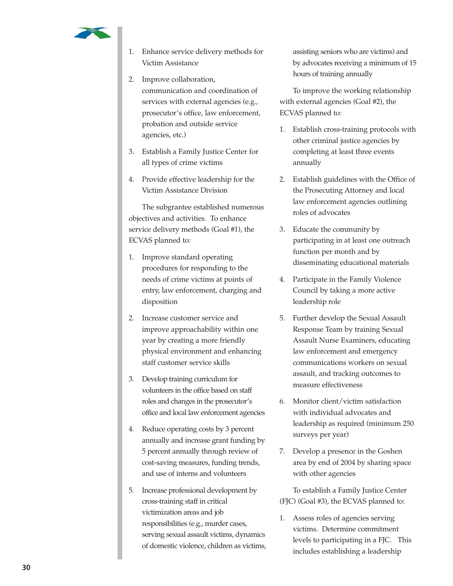

- 1. Enhance service delivery methods for Victim Assistance
- 2. Improve collaboration, communication and coordination of services with external agencies (e.g., prosecutor's office, law enforcement, probation and outside service agencies, etc.)
- 3. Establish a Family Justice Center for all types of crime victims
- 4. Provide effective leadership for the Victim Assistance Division

The subgrantee established numerous objectives and activities. To enhance service delivery methods (Goal #1), the ECVAS planned to:

- 1. Improve standard operating procedures for responding to the needs of crime victims at points of entry, law enforcement, charging and disposition
- 2. Increase customer service and improve approachability within one year by creating a more friendly physical environment and enhancing staff customer service skills
- 3. Develop training curriculum for volunteers in the office based on staff roles and changes in the prosecutor's office and local law enforcement agencies
- 4. Reduce operating costs by 3 percent annually and increase grant funding by 5 percent annually through review of cost-saving measures, funding trends, and use of interns and volunteers
- 5. Increase professional development by cross-training staff in critical victimization areas and job responsibilities (e.g., murder cases, serving sexual assault victims, dynamics of domestic violence, children as victims,

assisting seniors who are victims) and by advocates receiving a minimum of 15 hours of training annually

To improve the working relationship with external agencies (Goal #2), the ECVAS planned to:

- 1. Establish cross-training protocols with other criminal justice agencies by completing at least three events annually
- 2. Establish guidelines with the Office of the Prosecuting Attorney and local law enforcement agencies outlining roles of advocates
- 3. Educate the community by participating in at least one outreach function per month and by disseminating educational materials
- 4. Participate in the Family Violence Council by taking a more active leadership role
- 5. Further develop the Sexual Assault Response Team by training Sexual Assault Nurse Examiners, educating law enforcement and emergency communications workers on sexual assault, and tracking outcomes to measure effectiveness
- 6. Monitor client/victim satisfaction with individual advocates and leadership as required (minimum 250 surveys per year)
- 7. Develop a presence in the Goshen area by end of 2004 by sharing space with other agencies

To establish a Family Justice Center (FJC) (Goal #3), the ECVAS planned to:

1. Assess roles of agencies serving victims. Determine commitment levels to participating in a FJC. This includes establishing a leadership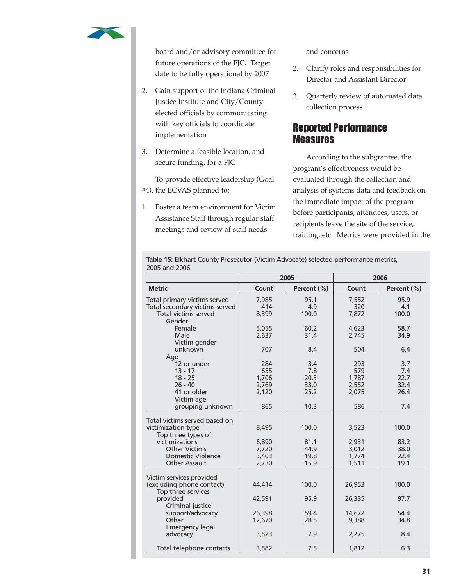

board and/or advisory committee for future operations of the FJC. Target date to be fully operational by 2007

- 2. Gain support of the Indiana Criminal Justice Institute and City/County elected officials by communicating with key officials to coordinate implementation
- 3. Determine a feasible location, and secure funding, for a FJC

To provide effective leadership (Goal #4), the ECVAS planned to:

1. Foster a team environment for Victim Assistance Staff through regular staff meetings and review of staff needs

and concerns

- 2. Clarify roles and responsibilities for Director and Assistant Director
- 3. Quarterly review of automated data collection process

## Reported Performance Measures

According to the subgrantee, the program's effectiveness would be evaluated through the collection and analysis of systems data and feedback on the immediate impact of the program before participants, attendees, users, or recipients leave the site of the service, training, etc. Metrics were provided in the

**Table 15:** Elkhart County Prosecutor (Victim Advocate) selected performance metrics, 2005 and 2006

|                                                                                                                                                                         |                                           | 2005                                  | 2006                                      |                                       |  |
|-------------------------------------------------------------------------------------------------------------------------------------------------------------------------|-------------------------------------------|---------------------------------------|-------------------------------------------|---------------------------------------|--|
| <b>Metric</b>                                                                                                                                                           | Count                                     | Percent (%)                           | Count                                     | Percent (%)                           |  |
| Total primary victims served<br>Total secondary victims served<br>Total victims served<br>Gender                                                                        | 7,985<br>414<br>8.399                     | 95.1<br>4.9<br>100.0                  | 7,552<br>320<br>7.872                     | 95.9<br>4.1<br>100.0                  |  |
| Female<br>Male<br>Victim gender                                                                                                                                         | 5,055<br>2,637                            | 60.2<br>31.4                          | 4,623<br>2,745                            | 58.7<br>34.9                          |  |
| unknown<br>Age                                                                                                                                                          | 707                                       | 8.4                                   | 504                                       | 6.4                                   |  |
| 12 or under<br>$13 - 17$<br>$18 - 25$<br>$26 - 40$<br>41 or older<br>Victim age                                                                                         | 284<br>655<br>1,706<br>2,769<br>2,120     | 3.4<br>7.8<br>20.3<br>33.0<br>25.2    | 293<br>579<br>1,787<br>2,552<br>2,075     | 3.7<br>7.4<br>22.7<br>32.4<br>26.4    |  |
| grouping unknown                                                                                                                                                        | 865                                       | 10.3                                  | 586                                       | 7.4                                   |  |
| Total victims served based on<br>victimization type<br>Top three types of<br>victimizations<br><b>Other Victims</b><br><b>Domestic Violence</b><br><b>Other Assault</b> | 8,495<br>6,890<br>7,720<br>3,403<br>2,730 | 100.0<br>81.1<br>44.9<br>19.8<br>15.9 | 3,523<br>2,931<br>3,012<br>1.774<br>1,511 | 100.0<br>83.2<br>38.0<br>22.4<br>19.1 |  |
| Victim services provided<br>(excluding phone contact)<br>Top three services<br>provided<br>Criminal justice                                                             | 44,414<br>42,591                          | 100.0<br>95.9                         | 26,953<br>26,335                          | 100.0<br>97.7                         |  |
| support/advocacy<br>Other<br><b>Emergency legal</b>                                                                                                                     | 26,398<br>12,670                          | 59.4<br>28.5                          | 14,672<br>9,388                           | 54.4<br>34.8                          |  |
| advocacy                                                                                                                                                                | 3,523                                     | 7.9                                   | 2,275                                     | 8.4                                   |  |
| Total telephone contacts                                                                                                                                                | 3,582                                     | 7.5                                   | 1,812                                     | 6.3                                   |  |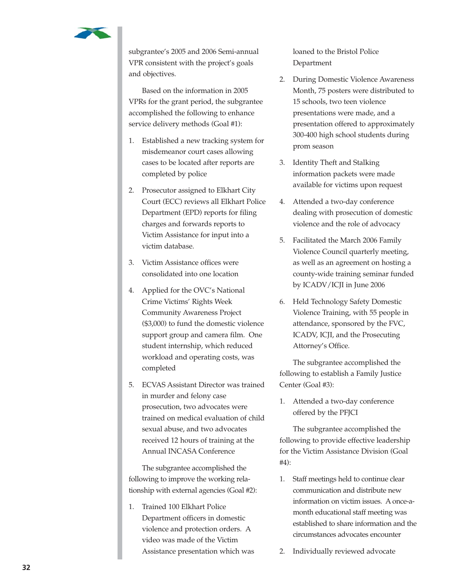

subgrantee's 2005 and 2006 Semi-annual VPR consistent with the project's goals and objectives.

Based on the information in 2005 VPRs for the grant period, the subgrantee accomplished the following to enhance service delivery methods (Goal #1):

- 1. Established a new tracking system for misdemeanor court cases allowing cases to be located after reports are completed by police
- 2. Prosecutor assigned to Elkhart City Court (ECC) reviews all Elkhart Police Department (EPD) reports for filing charges and forwards reports to Victim Assistance for input into a victim database.
- 3. Victim Assistance offices were consolidated into one location
- 4. Applied for the OVC's National Crime Victims' Rights Week Community Awareness Project (\$3,000) to fund the domestic violence support group and camera film. One student internship, which reduced workload and operating costs, was completed
- 5. ECVAS Assistant Director was trained in murder and felony case prosecution, two advocates were trained on medical evaluation of child sexual abuse, and two advocates received 12 hours of training at the Annual INCASA Conference

The subgrantee accomplished the following to improve the working relationship with external agencies (Goal #2):

1. Trained 100 Elkhart Police Department officers in domestic violence and protection orders. A video was made of the Victim Assistance presentation which was

loaned to the Bristol Police Department

- 2. During Domestic Violence Awareness Month, 75 posters were distributed to 15 schools, two teen violence presentations were made, and a presentation offered to approximately 300-400 high school students during prom season
- 3. Identity Theft and Stalking information packets were made available for victims upon request
- 4. Attended a two-day conference dealing with prosecution of domestic violence and the role of advocacy
- 5. Facilitated the March 2006 Family Violence Council quarterly meeting, as well as an agreement on hosting a county-wide training seminar funded by ICADV/ICJI in June 2006
- 6. Held Technology Safety Domestic Violence Training, with 55 people in attendance, sponsored by the FVC, ICADV, ICJI, and the Prosecuting Attorney's Office.

The subgrantee accomplished the following to establish a Family Justice Center (Goal #3):

1. Attended a two-day conference offered by the PFJCI

The subgrantee accomplished the following to provide effective leadership for the Victim Assistance Division (Goal #4):

- 1. Staff meetings held to continue clear communication and distribute new information on victim issues. A once-amonth educational staff meeting was established to share information and the circumstances advocates encounter
- 2. Individually reviewed advocate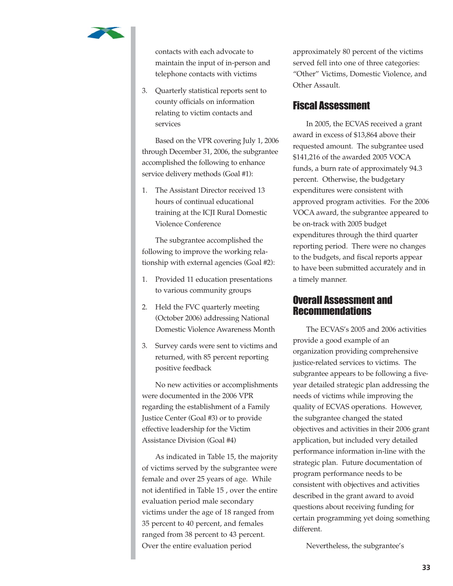

contacts with each advocate to maintain the input of in-person and telephone contacts with victims

3. Quarterly statistical reports sent to county officials on information relating to victim contacts and services

Based on the VPR covering July 1, 2006 through December 31, 2006, the subgrantee accomplished the following to enhance service delivery methods (Goal #1):

1. The Assistant Director received 13 hours of continual educational training at the ICJI Rural Domestic Violence Conference

The subgrantee accomplished the following to improve the working relationship with external agencies (Goal #2):

- 1. Provided 11 education presentations to various community groups
- 2. Held the FVC quarterly meeting (October 2006) addressing National Domestic Violence Awareness Month
- 3. Survey cards were sent to victims and returned, with 85 percent reporting positive feedback

No new activities or accomplishments were documented in the 2006 VPR regarding the establishment of a Family Justice Center (Goal #3) or to provide effective leadership for the Victim Assistance Division (Goal #4)

As indicated in Table 15, the majority of victims served by the subgrantee were female and over 25 years of age. While not identified in Table 15 , over the entire evaluation period male secondary victims under the age of 18 ranged from 35 percent to 40 percent, and females ranged from 38 percent to 43 percent. Over the entire evaluation period

approximately 80 percent of the victims served fell into one of three categories: "Other" Victims, Domestic Violence, and Other Assault.

#### Fiscal Assessment

In 2005, the ECVAS received a grant award in excess of \$13,864 above their requested amount. The subgrantee used \$141,216 of the awarded 2005 VOCA funds, a burn rate of approximately 94.3 percent. Otherwise, the budgetary expenditures were consistent with approved program activities. For the 2006 VOCA award, the subgrantee appeared to be on-track with 2005 budget expenditures through the third quarter reporting period. There were no changes to the budgets, and fiscal reports appear to have been submitted accurately and in a timely manner.

#### Overall Assessment and Recommendations

The ECVAS's 2005 and 2006 activities provide a good example of an organization providing comprehensive justice-related services to victims. The subgrantee appears to be following a fiveyear detailed strategic plan addressing the needs of victims while improving the quality of ECVAS operations. However, the subgrantee changed the stated objectives and activities in their 2006 grant application, but included very detailed performance information in-line with the strategic plan. Future documentation of program performance needs to be consistent with objectives and activities described in the grant award to avoid questions about receiving funding for certain programming yet doing something different.

Nevertheless, the subgrantee's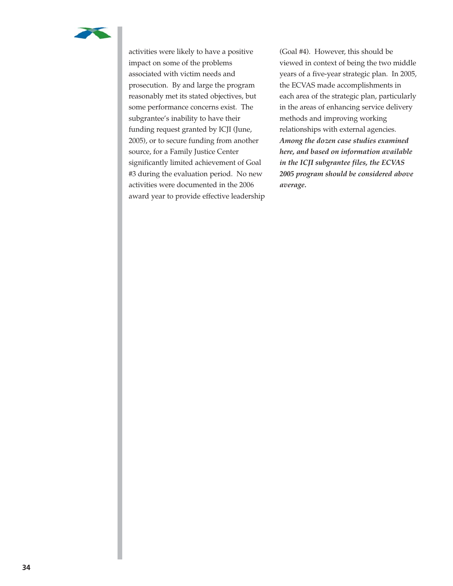

activities were likely to have a positive impact on some of the problems associated with victim needs and prosecution. By and large the program reasonably met its stated objectives, but some performance concerns exist. The subgrantee's inability to have their funding request granted by ICJI (June, 2005), or to secure funding from another source, for a Family Justice Center significantly limited achievement of Goal #3 during the evaluation period. No new activities were documented in the 2006 award year to provide effective leadership (Goal #4). However, this should be viewed in context of being the two middle years of a five-year strategic plan. In 2005, the ECVAS made accomplishments in each area of the strategic plan, particularly in the areas of enhancing service delivery methods and improving working relationships with external agencies. *Among the dozen case studies examined here, and based on information available in the ICJI subgrantee files, the ECVAS 2005 program should be considered above average.*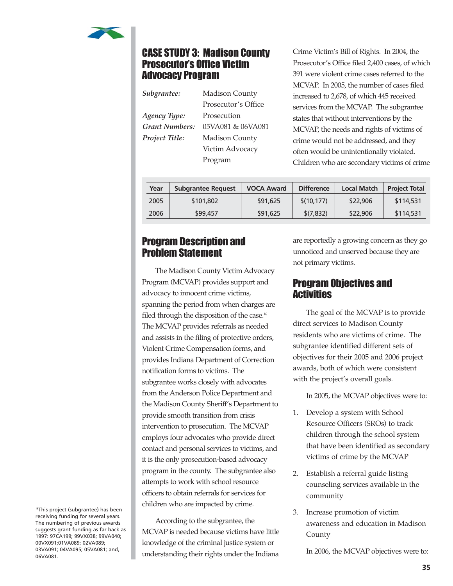

#### CASE STUDY 3: Madison County Prosecutor's Office Victim Advocacy Program

| Subgrantee:    | <b>Madison County</b> |
|----------------|-----------------------|
|                | Prosecutor's Office   |
| Agency Type:   | Prosecution           |
| Grant Numbers: | 05VA081 & 06VA081     |
| Project Title: | <b>Madison County</b> |
|                | Victim Advocacy       |
|                | Program               |

Crime Victim's Bill of Rights. In 2004, the Prosecutor's Office filed 2,400 cases, of which 391 were violent crime cases referred to the MCVAP. In 2005, the number of cases filed increased to 2,678, of which 445 received services from the MCVAP. The subgrantee states that without interventions by the MCVAP, the needs and rights of victims of crime would not be addressed, and they often would be unintentionally violated. Children who are secondary victims of crime

| Year | <b>Subgrantee Request</b> | <b>VOCA Award</b> | <b>Difference</b> | <b>Local Match</b> | <b>Project Total</b> |
|------|---------------------------|-------------------|-------------------|--------------------|----------------------|
| 2005 | \$101,802                 | \$91,625          | \$(10, 177)       | \$22,906           | \$114,531            |
| 2006 | \$99,457                  | \$91,625          | (7,832)           | \$22,906           | \$114,531            |

#### Program Description and Problem Statement

The Madison County Victim Advocacy Program (MCVAP) provides support and advocacy to innocent crime victims, spanning the period from when charges are filed through the disposition of the case.<sup>16</sup> The MCVAP provides referrals as needed and assists in the filing of protective orders, Violent Crime Compensation forms, and provides Indiana Department of Correction notification forms to victims. The subgrantee works closely with advocates from the Anderson Police Department and the Madison County Sheriff's Department to provide smooth transition from crisis intervention to prosecution. The MCVAP employs four advocates who provide direct contact and personal services to victims, and it is the only prosecution-based advocacy program in the county. The subgrantee also attempts to work with school resource officers to obtain referrals for services for children who are impacted by crime.

According to the subgrantee, the MCVAP is needed because victims have little knowledge of the criminal justice system or understanding their rights under the Indiana are reportedly a growing concern as they go unnoticed and unserved because they are not primary victims.

#### Program Objectives and **Activities**

The goal of the MCVAP is to provide direct services to Madison County residents who are victims of crime. The subgrantee identified different sets of objectives for their 2005 and 2006 project awards, both of which were consistent with the project's overall goals.

In 2005, the MCVAP objectives were to:

- 1. Develop a system with School Resource Officers (SROs) to track children through the school system that have been identified as secondary victims of crime by the MCVAP
- 2. Establish a referral guide listing counseling services available in the community
- 3. Increase promotion of victim awareness and education in Madison County

In 2006, the MCVAP objectives were to:

<sup>&</sup>lt;sup>16</sup>This project (subgrantee) has been receiving funding for several years. The numbering of previous awards suggests grant funding as far back as 1997: 97CA199; 99VX038; 99VA040; 00VX091;01VA089; 02VA089; 03VA091; 04VA095; 05VA081; and, 06VA081.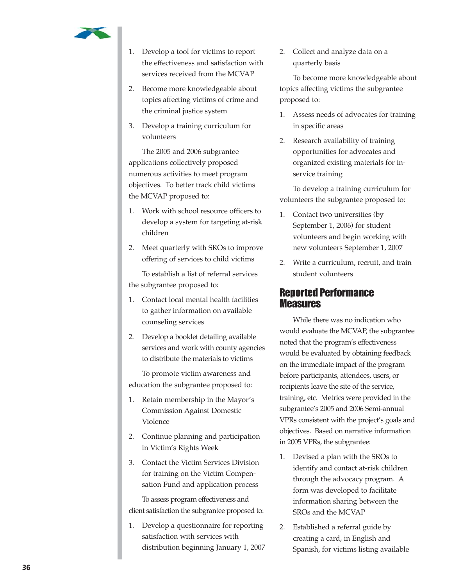

- 1. Develop a tool for victims to report the effectiveness and satisfaction with services received from the MCVAP
- 2. Become more knowledgeable about topics affecting victims of crime and the criminal justice system
- 3. Develop a training curriculum for volunteers

The 2005 and 2006 subgrantee applications collectively proposed numerous activities to meet program objectives. To better track child victims the MCVAP proposed to:

- 1. Work with school resource officers to develop a system for targeting at-risk children
- 2. Meet quarterly with SROs to improve offering of services to child victims

To establish a list of referral services the subgrantee proposed to:

- 1. Contact local mental health facilities to gather information on available counseling services
- 2. Develop a booklet detailing available services and work with county agencies to distribute the materials to victims

To promote victim awareness and education the subgrantee proposed to:

- 1. Retain membership in the Mayor's Commission Against Domestic Violence
- 2. Continue planning and participation in Victim's Rights Week
- 3. Contact the Victim Services Division for training on the Victim Compensation Fund and application process To assess program effectiveness and

client satisfaction the subgrantee proposed to:

1. Develop a questionnaire for reporting satisfaction with services with distribution beginning January 1, 2007 2. Collect and analyze data on a quarterly basis

To become more knowledgeable about topics affecting victims the subgrantee proposed to:

- 1. Assess needs of advocates for training in specific areas
- 2. Research availability of training opportunities for advocates and organized existing materials for inservice training

To develop a training curriculum for volunteers the subgrantee proposed to:

- 1. Contact two universities (by September 1, 2006) for student volunteers and begin working with new volunteers September 1, 2007
- 2. Write a curriculum, recruit, and train student volunteers

#### Reported Performance Measures

While there was no indication who would evaluate the MCVAP, the subgrantee noted that the program's effectiveness would be evaluated by obtaining feedback on the immediate impact of the program before participants, attendees, users, or recipients leave the site of the service, training, etc. Metrics were provided in the subgrantee's 2005 and 2006 Semi-annual VPRs consistent with the project's goals and objectives. Based on narrative information in 2005 VPRs, the subgrantee:

- 1. Devised a plan with the SROs to identify and contact at-risk children through the advocacy program. A form was developed to facilitate information sharing between the SROs and the MCVAP
- 2. Established a referral guide by creating a card, in English and Spanish, for victims listing available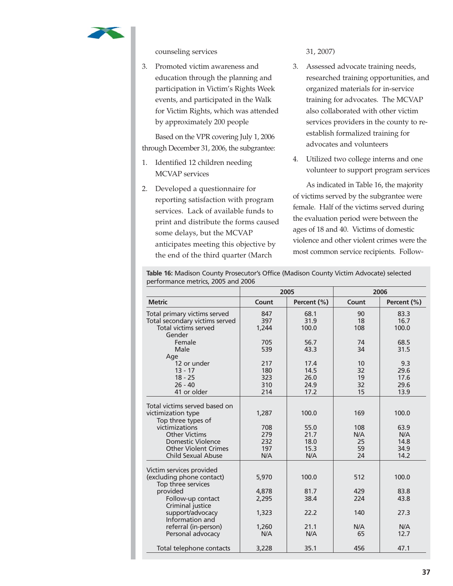

counseling services

3. Promoted victim awareness and education through the planning and participation in Victim's Rights Week events, and participated in the Walk for Victim Rights, which was attended by approximately 200 people

Based on the VPR covering July 1, 2006 through December 31, 2006, the subgrantee:

- 1. Identified 12 children needing MCVAP services
- 2. Developed a questionnaire for reporting satisfaction with program services. Lack of available funds to print and distribute the forms caused some delays, but the MCVAP anticipates meeting this objective by the end of the third quarter (March

31, 2007)

- 3. Assessed advocate training needs, researched training opportunities, and organized materials for in-service training for advocates. The MCVAP also collaborated with other victim services providers in the county to reestablish formalized training for advocates and volunteers
- 4. Utilized two college interns and one volunteer to support program services

As indicated in Table 16, the majority of victims served by the subgrantee were female. Half of the victims served during the evaluation period were between the ages of 18 and 40. Victims of domestic violence and other violent crimes were the most common service recipients. Follow-

**Table 16:** Madison County Prosecutor's Office (Madison County Victim Advocate) selected performance metrics, 2005 and 2006

|                                | 2005  |             | 2006  |             |  |
|--------------------------------|-------|-------------|-------|-------------|--|
| <b>Metric</b>                  | Count | Percent (%) | Count | Percent (%) |  |
| Total primary victims served   | 847   | 68.1        | 90    | 83.3        |  |
| Total secondary victims served | 397   | 31.9        | 18    | 16.7        |  |
| Total victims served           | 1,244 | 100.0       | 108   | 100.0       |  |
| Gender                         |       |             |       |             |  |
| Female                         | 705   | 56.7        | 74    | 68.5        |  |
| Male                           | 539   | 43.3        | 34    | 31.5        |  |
| Age                            |       |             |       |             |  |
| 12 or under                    | 217   | 17.4        | 10    | 9.3         |  |
| $13 - 17$                      | 180   | 14.5        | 32    | 29.6        |  |
| $18 - 25$                      | 323   | 26.0        | 19    | 17.6        |  |
| $26 - 40$                      | 310   | 24.9        | 32    | 29.6        |  |
| 41 or older                    | 214   | 17.2        | 15    | 13.9        |  |
| Total victims served based on  |       |             |       |             |  |
| victimization type             | 1,287 | 100.0       | 169   | 100.0       |  |
| Top three types of             |       |             |       |             |  |
| victimizations                 | 708   | 55.0        | 108   | 63.9        |  |
| <b>Other Victims</b>           | 279   | 21.7        | N/A   | N/A         |  |
| Domestic Violence              | 232   | 18.0        | 25    | 14.8        |  |
| <b>Other Violent Crimes</b>    | 197   | 15.3        | 59    | 34.9        |  |
| <b>Child Sexual Abuse</b>      | N/A   | N/A         | 24    | 14.2        |  |
| Victim services provided       |       |             |       |             |  |
| (excluding phone contact)      | 5,970 | 100.0       | 512   | 100.0       |  |
| Top three services             |       |             |       |             |  |
| provided                       | 4,878 | 81.7        | 429   | 83.8        |  |
| Follow-up contact              | 2,295 | 38.4        | 224   | 43.8        |  |
| Criminal justice               |       |             |       |             |  |
| support/advocacy               | 1,323 | 22.2        | 140   | 27.3        |  |
| Information and                |       |             |       |             |  |
| referral (in-person)           | 1,260 | 21.1        | N/A   | N/A         |  |
| Personal advocacy              | N/A   | N/A         | 65    | 12.7        |  |
|                                |       |             |       |             |  |
| Total telephone contacts       | 3,228 | 35.1        | 456   | 47.1        |  |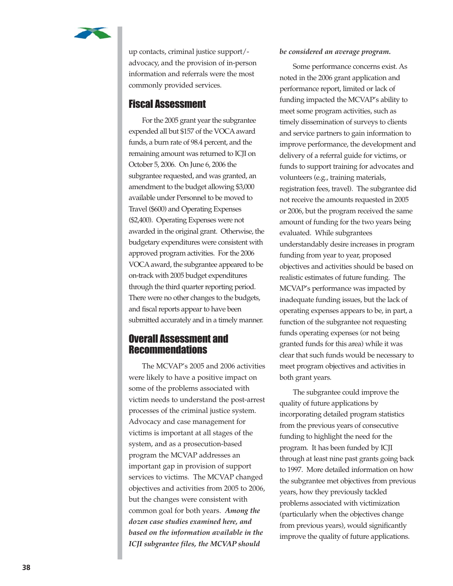

up contacts, criminal justice support/ advocacy, and the provision of in-person information and referrals were the most commonly provided services.

#### Fiscal Assessment

For the 2005 grant year the subgrantee expended all but \$157 of the VOCA award funds, a burn rate of 98.4 percent, and the remaining amount was returned to ICJI on October 5, 2006. On June 6, 2006 the subgrantee requested, and was granted, an amendment to the budget allowing \$3,000 available under Personnel to be moved to Travel (\$600) and Operating Expenses (\$2,400). Operating Expenses were not awarded in the original grant. Otherwise, the budgetary expenditures were consistent with approved program activities. For the 2006 VOCA award, the subgrantee appeared to be on-track with 2005 budget expenditures through the third quarter reporting period. There were no other changes to the budgets, and fiscal reports appear to have been submitted accurately and in a timely manner.

#### Overall Assessment and Recommendations

The MCVAP's 2005 and 2006 activities were likely to have a positive impact on some of the problems associated with victim needs to understand the post-arrest processes of the criminal justice system. Advocacy and case management for victims is important at all stages of the system, and as a prosecution-based program the MCVAP addresses an important gap in provision of support services to victims. The MCVAP changed objectives and activities from 2005 to 2006, but the changes were consistent with common goal for both years. *Among the dozen case studies examined here, and based on the information available in the ICJI subgrantee files, the MCVAP should*

#### *be considered an average program.*

Some performance concerns exist. As noted in the 2006 grant application and performance report, limited or lack of funding impacted the MCVAP's ability to meet some program activities, such as timely dissemination of surveys to clients and service partners to gain information to improve performance, the development and delivery of a referral guide for victims, or funds to support training for advocates and volunteers (e.g., training materials, registration fees, travel). The subgrantee did not receive the amounts requested in 2005 or 2006, but the program received the same amount of funding for the two years being evaluated. While subgrantees understandably desire increases in program funding from year to year, proposed objectives and activities should be based on realistic estimates of future funding. The MCVAP's performance was impacted by inadequate funding issues, but the lack of operating expenses appears to be, in part, a function of the subgrantee not requesting funds operating expenses (or not being granted funds for this area) while it was clear that such funds would be necessary to meet program objectives and activities in both grant years.

The subgrantee could improve the quality of future applications by incorporating detailed program statistics from the previous years of consecutive funding to highlight the need for the program. It has been funded by ICJI through at least nine past grants going back to 1997. More detailed information on how the subgrantee met objectives from previous years, how they previously tackled problems associated with victimization (particularly when the objectives change from previous years), would significantly improve the quality of future applications.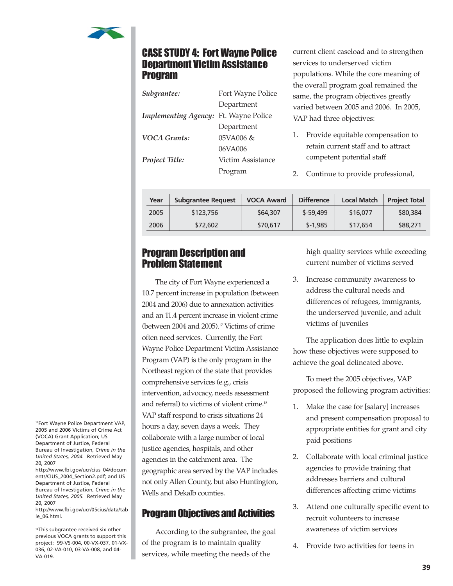

#### CASE STUDY 4: Fort Wayne Police Department Victim Assistance Program

| Subgrantee:                           | Fort Wayne Police |
|---------------------------------------|-------------------|
|                                       | Department        |
| Implementing Agency: Ft. Wayne Police |                   |
|                                       | Department        |
| VOCA Grants:                          | $05$ VA $006 \&$  |
|                                       | 06VA006           |
| Project Title:                        | Victim Assistance |
|                                       | Program           |

current client caseload and to strengthen services to underserved victim populations. While the core meaning of the overall program goal remained the same, the program objectives greatly varied between 2005 and 2006. In 2005, VAP had three objectives:

- 1. Provide equitable compensation to retain current staff and to attract competent potential staff
- 2. Continue to provide professional,

| Year | <b>Subgrantee Request</b> | <b>VOCA Award</b> | <b>Difference</b> | <b>Local Match</b> | <b>Project Total</b> |
|------|---------------------------|-------------------|-------------------|--------------------|----------------------|
| 2005 | \$123,756                 | \$64,307          | $$-59,499$        | \$16,077           | \$80,384             |
| 2006 | \$72,602                  | \$70,617          | $$-1,985$         | \$17,654           | \$88,271             |

#### Program Description and Problem Statement

The city of Fort Wayne experienced a 10.7 percent increase in population (between 2004 and 2006) due to annexation activities and an 11.4 percent increase in violent crime (between  $2004$  and  $2005$ ).<sup>17</sup> Victims of crime often need services. Currently, the Fort Wayne Police Department Victim Assistance Program (VAP) is the only program in the Northeast region of the state that provides comprehensive services (e.g., crisis intervention, advocacy, needs assessment and referral) to victims of violent crime.<sup>18</sup> VAP staff respond to crisis situations 24 hours a day, seven days a week. They collaborate with a large number of local justice agencies, hospitals, and other agencies in the catchment area. The geographic area served by the VAP includes not only Allen County, but also Huntington, Wells and Dekalb counties.

### Program Objectives and Activities

According to the subgrantee, the goal of the program is to maintain quality services, while meeting the needs of the

high quality services while exceeding current number of victims served

3. Increase community awareness to address the cultural needs and differences of refugees, immigrants, the underserved juvenile, and adult victims of juveniles

The application does little to explain how these objectives were supposed to achieve the goal delineated above.

To meet the 2005 objectives, VAP proposed the following program activities:

- 1. Make the case for [salary] increases and present compensation proposal to appropriate entities for grant and city paid positions
- 2. Collaborate with local criminal justice agencies to provide training that addresses barriers and cultural differences affecting crime victims
- 3. Attend one culturally specific event to recruit volunteers to increase awareness of victim services
- 4. Provide two activities for teens in

17Fort Wayne Police Department VAP, 2005 and 2006 Victims of Crime Act (VOCA) Grant Application; US Department of Justice, Federal Bureau of Investigation, *Crime in the United States, 2004.* Retrieved May 20, 2007

http://www.fbi.gov/ucr/cius\_04/docum ents/CIUS\_2004\_Section2.pdf; and US Department of Justice, Federal Bureau of Investigation, *Crime in the United States, 2005.* Retrieved May 20, 2007

http://www.fbi.gov/ucr/05cius/data/tab le\_06.html.

<sup>18</sup>This subgrantee received six other previous VOCA grants to support this project: 99-VS-004, 00-VX-037, 01-VX-036, 02-VA-010, 03-VA-008, and 04- VA-019.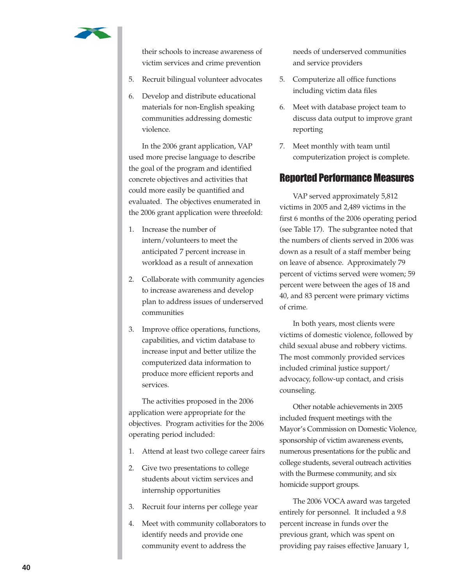

their schools to increase awareness of victim services and crime prevention

- 5. Recruit bilingual volunteer advocates
- 6. Develop and distribute educational materials for non-English speaking communities addressing domestic violence.

In the 2006 grant application, VAP used more precise language to describe the goal of the program and identified concrete objectives and activities that could more easily be quantified and evaluated. The objectives enumerated in the 2006 grant application were threefold:

- 1. Increase the number of intern/volunteers to meet the anticipated 7 percent increase in workload as a result of annexation
- 2. Collaborate with community agencies to increase awareness and develop plan to address issues of underserved communities
- 3. Improve office operations, functions, capabilities, and victim database to increase input and better utilize the computerized data information to produce more efficient reports and services.

The activities proposed in the 2006 application were appropriate for the objectives. Program activities for the 2006 operating period included:

- 1. Attend at least two college career fairs
- 2. Give two presentations to college students about victim services and internship opportunities
- 3. Recruit four interns per college year
- 4. Meet with community collaborators to identify needs and provide one community event to address the

needs of underserved communities and service providers

- 5. Computerize all office functions including victim data files
- 6. Meet with database project team to discuss data output to improve grant reporting
- 7. Meet monthly with team until computerization project is complete.

#### Reported Performance Measures

VAP served approximately 5,812 victims in 2005 and 2,489 victims in the first 6 months of the 2006 operating period (see Table 17). The subgrantee noted that the numbers of clients served in 2006 was down as a result of a staff member being on leave of absence. Approximately 79 percent of victims served were women; 59 percent were between the ages of 18 and 40, and 83 percent were primary victims of crime.

In both years, most clients were victims of domestic violence, followed by child sexual abuse and robbery victims. The most commonly provided services included criminal justice support/ advocacy, follow-up contact, and crisis counseling.

Other notable achievements in 2005 included frequent meetings with the Mayor's Commission on Domestic Violence, sponsorship of victim awareness events, numerous presentations for the public and college students, several outreach activities with the Burmese community, and six homicide support groups.

The 2006 VOCA award was targeted entirely for personnel. It included a 9.8 percent increase in funds over the previous grant, which was spent on providing pay raises effective January 1,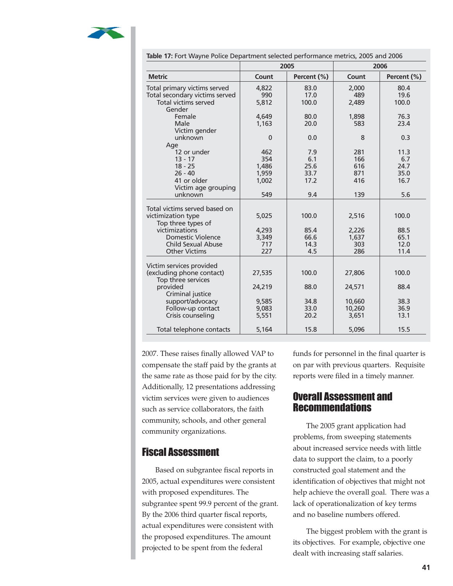

|                                | 2005         |             | 2006   |             |
|--------------------------------|--------------|-------------|--------|-------------|
| <b>Metric</b>                  | Count        | Percent (%) | Count  | Percent (%) |
| Total primary victims served   | 4.822        | 83.0        | 2,000  | 80.4        |
| Total secondary victims served | 990          | 17.0        | 489    | 19.6        |
| Total victims served           | 5,812        | 100.0       | 2,489  | 100.0       |
| Gender                         |              |             |        |             |
| Female                         | 4,649        | 80.0        | 1,898  | 76.3        |
| Male                           | 1,163        | 20.0        | 583    | 23.4        |
| Victim gender                  |              |             |        |             |
| unknown                        | $\mathbf{0}$ | 0.0         | 8      | 0.3         |
| Age                            |              |             |        |             |
| 12 or under                    | 462          | 7.9         | 281    | 11.3        |
| $13 - 17$                      | 354          | 6.1         | 166    | 6.7         |
| $18 - 25$                      | 1,486        | 25.6        | 616    | 24.7        |
| $26 - 40$                      | 1,959        | 33.7        | 871    | 35.0        |
| 41 or older                    | 1,002        | 17.2        | 416    | 16.7        |
| Victim age grouping            |              |             |        |             |
| unknown                        | 549          | 9.4         | 139    | 5.6         |
| Total victims served based on  |              |             |        |             |
| victimization type             | 5,025        | 100.0       | 2,516  | 100.0       |
| Top three types of             |              |             |        |             |
| victimizations                 | 4,293        | 85.4        | 2,226  | 88.5        |
| Domestic Violence              | 3,349        | 66.6        | 1,637  | 65.1        |
| <b>Child Sexual Abuse</b>      | 717          | 14.3        | 303    | 12.0        |
| <b>Other Victims</b>           | 227          | 4.5         | 286    | 11.4        |
|                                |              |             |        |             |
| Victim services provided       |              |             |        |             |
| (excluding phone contact)      | 27,535       | 100.0       | 27,806 | 100.0       |
| Top three services             |              |             |        |             |
| provided                       | 24,219       | 88.0        | 24,571 | 88.4        |
| Criminal justice               |              |             |        |             |
| support/advocacy               | 9,585        | 34.8        | 10,660 | 38.3        |
| Follow-up contact              | 9,083        | 33.0        | 10,260 | 36.9        |
| Crisis counseling              | 5,551        | 20.2        | 3,651  | 13.1        |
| Total telephone contacts       | 5,164        | 15.8        | 5,096  | 15.5        |
|                                |              |             |        |             |

**Table 17:** Fort Wayne Police Department selected performance metrics, 2005 and 2006

2007. These raises finally allowed VAP to compensate the staff paid by the grants at the same rate as those paid for by the city. Additionally, 12 presentations addressing victim services were given to audiences such as service collaborators, the faith community, schools, and other general community organizations.

#### Fiscal Assessment

Based on subgrantee fiscal reports in 2005, actual expenditures were consistent with proposed expenditures. The subgrantee spent 99.9 percent of the grant. By the 2006 third quarter fiscal reports, actual expenditures were consistent with the proposed expenditures. The amount projected to be spent from the federal

funds for personnel in the final quarter is on par with previous quarters. Requisite reports were filed in a timely manner.

#### Overall Assessment and Recommendations

The 2005 grant application had problems, from sweeping statements about increased service needs with little data to support the claim, to a poorly constructed goal statement and the identification of objectives that might not help achieve the overall goal. There was a lack of operationalization of key terms and no baseline numbers offered.

The biggest problem with the grant is its objectives. For example, objective one dealt with increasing staff salaries.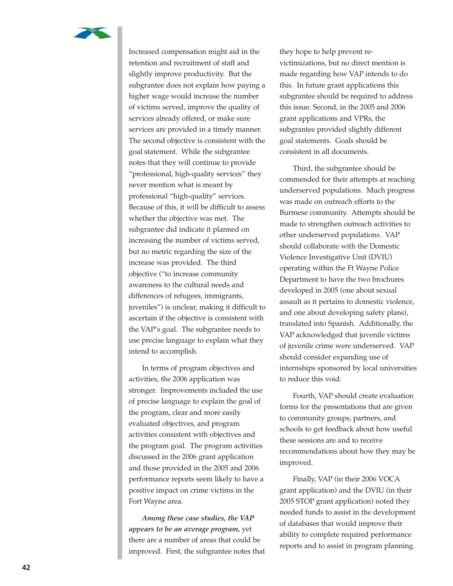

Increased compensation might aid in the retention and recruitment of staff and slightly improve productivity. But the subgrantee does not explain how paying a higher wage would increase the number of victims served, improve the quality of services already offered, or make sure services are provided in a timely manner. The second objective is consistent with the goal statement. While the subgrantee notes that they will continue to provide "professional, high-quality services" they never mention what is meant by professional "high-quality" services. Because of this, it will be difficult to assess whether the objective was met. The subgrantee did indicate it planned on increasing the number of victims served, but no metric regarding the size of the increase was provided. The third objective ("to increase community awareness to the cultural needs and differences of refugees, immigrants, juveniles") is unclear, making it difficult to ascertain if the objective is consistent with the VAP's goal. The subgrantee needs to use precise language to explain what they intend to accomplish.

In terms of program objectives and activities, the 2006 application was stronger. Improvements included the use of precise language to explain the goal of the program, clear and more easily evaluated objectives, and program activities consistent with objectives and the program goal. The program activities discussed in the 2006 grant application and those provided in the 2005 and 2006 performance reports seem likely to have a positive impact on crime victims in the Fort Wayne area.

*Among these case studies, the VAP appears to be an average program,* yet there are a number of areas that could be improved. First, the subgrantee notes that

they hope to help prevent revictimizations, but no direct mention is made regarding how VAP intends to do this. In future grant applications this subgrantee should be required to address this issue. Second, in the 2005 and 2006 grant applications and VPRs, the subgrantee provided slightly different goal statements. Goals should be consistent in all documents.

Third, the subgrantee should be commended for their attempts at reaching underserved populations. Much progress was made on outreach efforts to the Burmese community. Attempts should be made to strengthen outreach activities to other underserved populations. VAP should collaborate with the Domestic Violence Investigative Unit (DVIU) operating within the Ft Wayne Police Department to have the two brochures developed in 2005 (one about sexual assault as it pertains to domestic violence, and one about developing safety plans), translated into Spanish. Additionally, the VAP acknowledged that juvenile victims of juvenile crime were underserved. VAP should consider expanding use of internships sponsored by local universities to reduce this void.

Fourth, VAP should create evaluation forms for the presentations that are given to community groups, partners, and schools to get feedback about how useful these sessions are and to receive recommendations about how they may be improved.

Finally, VAP (in their 2006 VOCA grant application) and the DVIU (in their 2005 STOP grant application) noted they needed funds to assist in the development of databases that would improve their ability to complete required performance reports and to assist in program planning.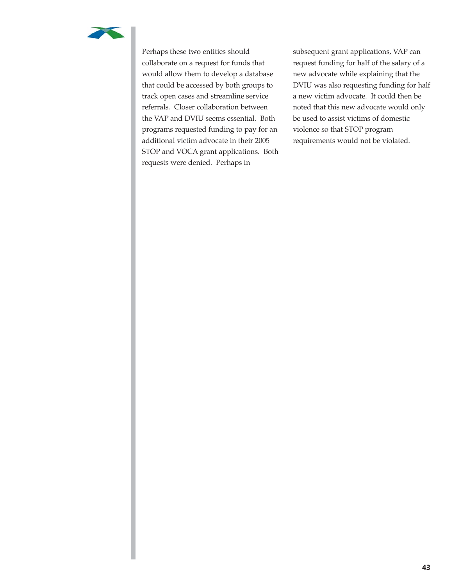

Perhaps these two entities should collaborate on a request for funds that would allow them to develop a database that could be accessed by both groups to track open cases and streamline service referrals. Closer collaboration between the VAP and DVIU seems essential. Both programs requested funding to pay for an additional victim advocate in their 2005 STOP and VOCA grant applications. Both requests were denied. Perhaps in

subsequent grant applications, VAP can request funding for half of the salary of a new advocate while explaining that the DVIU was also requesting funding for half a new victim advocate. It could then be noted that this new advocate would only be used to assist victims of domestic violence so that STOP program requirements would not be violated.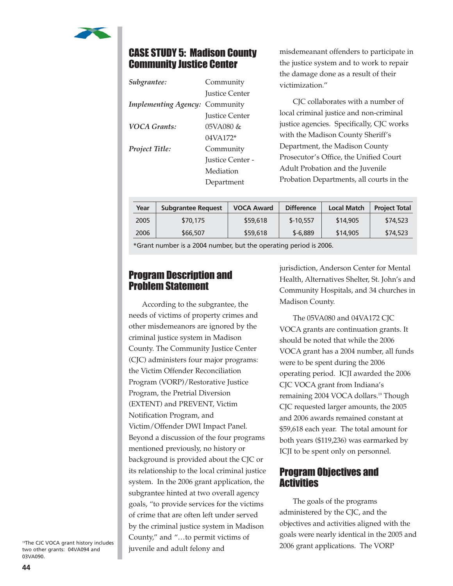

#### CASE STUDY 5: Madison County Community Justice Center

| Subgrantee:                           | Community             |
|---------------------------------------|-----------------------|
|                                       | <b>Justice Center</b> |
| <i>Implementing Agency:</i> Community |                       |
|                                       | <b>Justice Center</b> |
| VOCA Grants:                          | $05$ VA $080$ &       |
|                                       | 04VA172*              |
| Project Title:                        | Community             |
|                                       | Justice Center -      |
|                                       | Mediation             |
|                                       | Department            |

misdemeanant offenders to participate in the justice system and to work to repair the damage done as a result of their victimization."

CJC collaborates with a number of local criminal justice and non-criminal justice agencies. Specifically, CJC works with the Madison County Sheriff's Department, the Madison County Prosecutor's Office, the Unified Court Adult Probation and the Juvenile Probation Departments, all courts in the

| Year | <b>Subgrantee Request</b> | <b>VOCA Award</b> | <b>Difference</b> | <b>Local Match</b> | <b>Project Total</b> |
|------|---------------------------|-------------------|-------------------|--------------------|----------------------|
| 2005 | \$70,175                  | \$59,618          | $$-10.557$        | \$14,905           | \$74,523             |
| 2006 | \$66,507                  | \$59,618          | $$-6,889$         | \$14,905           | \$74,523             |

\*Grant number is a 2004 number, but the operating period is 2006.

#### Program Description and Problem Statement

According to the subgrantee, the needs of victims of property crimes and other misdemeanors are ignored by the criminal justice system in Madison County. The Community Justice Center (CJC) administers four major programs: the Victim Offender Reconciliation Program (VORP)/Restorative Justice Program, the Pretrial Diversion (EXTENT) and PREVENT, Victim Notification Program, and Victim/Offender DWI Impact Panel. Beyond a discussion of the four programs mentioned previously, no history or background is provided about the CJC or its relationship to the local criminal justice system. In the 2006 grant application, the subgrantee hinted at two overall agency goals, "to provide services for the victims of crime that are often left under served by the criminal justice system in Madison County," and "…to permit victims of juvenile and adult felony and <sup>19</sup>The CJC VOCA grant history includes<br>two sthese grants, 0014004 and 19The 2004 and 19The 2006 grant applications. The VORP

jurisdiction, Anderson Center for Mental Health, Alternatives Shelter, St. John's and Community Hospitals, and 34 churches in Madison County.

The 05VA080 and 04VA172 CJC VOCA grants are continuation grants. It should be noted that while the 2006 VOCA grant has a 2004 number, all funds were to be spent during the 2006 operating period. ICJI awarded the 2006 CJC VOCA grant from Indiana's remaining 2004 VOCA dollars.<sup>19</sup> Though CJC requested larger amounts, the 2005 and 2006 awards remained constant at \$59,618 each year. The total amount for both years (\$119,236) was earmarked by ICJI to be spent only on personnel.

#### Program Objectives and **Activities**

The goals of the programs administered by the CJC, and the objectives and activities aligned with the goals were nearly identical in the 2005 and

two other grants: 04VA094 and 03VA090.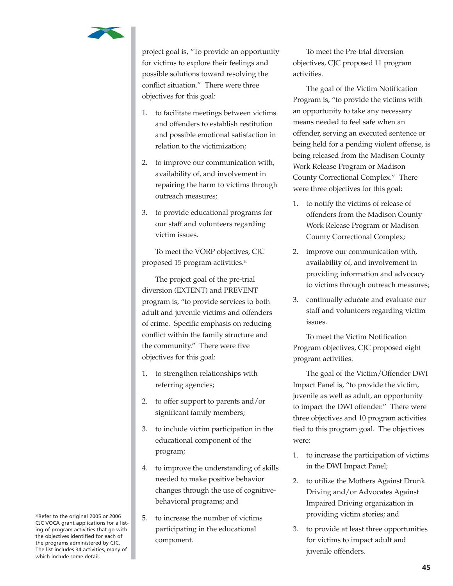

project goal is, "To provide an opportunity for victims to explore their feelings and possible solutions toward resolving the conflict situation." There were three objectives for this goal:

- 1. to facilitate meetings between victims and offenders to establish restitution and possible emotional satisfaction in relation to the victimization;
- 2. to improve our communication with, availability of, and involvement in repairing the harm to victims through outreach measures;
- 3. to provide educational programs for our staff and volunteers regarding victim issues.

To meet the VORP objectives, CJC proposed 15 program activities.<sup>20</sup>

The project goal of the pre-trial diversion (EXTENT) and PREVENT program is, "to provide services to both adult and juvenile victims and offenders of crime. Specific emphasis on reducing conflict within the family structure and the community." There were five objectives for this goal:

- 1. to strengthen relationships with referring agencies;
- 2. to offer support to parents and/or significant family members;
- 3. to include victim participation in the educational component of the program;
- 4. to improve the understanding of skills needed to make positive behavior changes through the use of cognitivebehavioral programs; and
- 5. to increase the number of victims participating in the educational component.

To meet the Pre-trial diversion objectives, CJC proposed 11 program activities.

The goal of the Victim Notification Program is, "to provide the victims with an opportunity to take any necessary means needed to feel safe when an offender, serving an executed sentence or being held for a pending violent offense, is being released from the Madison County Work Release Program or Madison County Correctional Complex." There were three objectives for this goal:

- 1. to notify the victims of release of offenders from the Madison County Work Release Program or Madison County Correctional Complex;
- 2. improve our communication with, availability of, and involvement in providing information and advocacy to victims through outreach measures;
- 3. continually educate and evaluate our staff and volunteers regarding victim issues.

To meet the Victim Notification Program objectives, CJC proposed eight program activities.

The goal of the Victim/Offender DWI Impact Panel is, "to provide the victim, juvenile as well as adult, an opportunity to impact the DWI offender." There were three objectives and 10 program activities tied to this program goal. The objectives were:

- 1. to increase the participation of victims in the DWI Impact Panel;
- 2. to utilize the Mothers Against Drunk Driving and/or Advocates Against Impaired Driving organization in providing victim stories; and
- 3. to provide at least three opportunities for victims to impact adult and juvenile offenders.

20Refer to the original 2005 or 2006 CJC VOCA grant applications for a listing of program activities that go with the objectives identified for each of the programs administered by CJC. The list includes 34 activities, many of which include some detail.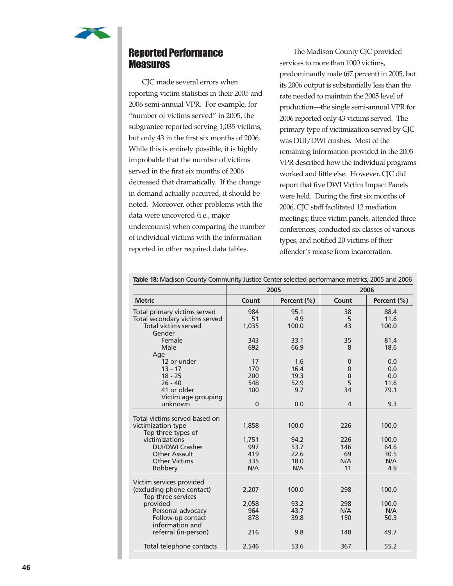#### Reported Performance Measures

CJC made several errors when reporting victim statistics in their 2005 and 2006 semi-annual VPR. For example, for "number of victims served" in 2005, the subgrantee reported serving 1,035 victims, but only 43 in the first six months of 2006. While this is entirely possible, it is highly improbable that the number of victims served in the first six months of 2006 decreased that dramatically. If the change in demand actually occurred, it should be noted. Moreover, other problems with the data were uncovered (i.e., major undercounts) when comparing the number of individual victims with the information reported in other required data tables.

The Madison County CJC provided services to more than 1000 victims, predominantly male (67 percent) in 2005, but its 2006 output is substantially less than the rate needed to maintain the 2005 level of production—the single semi-annual VPR for 2006 reported only 43 victims served. The primary type of victimization served by CJC was DUI/DWI crashes. Most of the remaining information provided in the 2005 VPR described how the individual programs worked and little else. However, CJC did report that five DWI Victim Impact Panels were held. During the first six months of 2006, CJC staff facilitated 12 mediation meetings; three victim panels, attended three conferences, conducted six classes of various types, and notified 20 victims of their offender's release from incarceration.

| Table 18: Madison County Community Justice Center selected performance metrics, 2005 and 2006 |             | 2005        | 2006           |             |
|-----------------------------------------------------------------------------------------------|-------------|-------------|----------------|-------------|
|                                                                                               |             |             |                |             |
| <b>Metric</b>                                                                                 | Count       | Percent (%) | Count          | Percent (%) |
| Total primary victims served                                                                  | 984         | 95.1        | 38             | 88.4        |
| Total secondary victims served                                                                | 51          | 4.9         | 5              | 11.6        |
| Total victims served                                                                          | 1,035       | 100.0       | 43             | 100.0       |
| Gender                                                                                        |             |             |                |             |
| Female                                                                                        | 343         | 33.1        | 35             | 81.4        |
| Male                                                                                          | 692         | 66.9        | 8              | 18.6        |
| Age                                                                                           |             |             |                |             |
| 12 or under                                                                                   | 17          | 1.6         | $\mathbf 0$    | 0.0         |
| $13 - 17$                                                                                     | 170         | 16.4        | $\mathbf{0}$   | 0.0         |
| $18 - 25$                                                                                     | 200         | 19.3        | $\mathbf 0$    | 0.0         |
| $26 - 40$                                                                                     | 548         | 52.9        | 5              | 11.6        |
| 41 or older                                                                                   | 100         | 9.7         | 34             | 79.1        |
| Victim age grouping<br>unknown                                                                | $\mathbf 0$ | 0.0         | $\overline{4}$ | 9.3         |
|                                                                                               |             |             |                |             |
| Total victims served based on                                                                 |             |             |                |             |
| victimization type                                                                            | 1,858       | 100.0       | 226            | 100.0       |
| Top three types of                                                                            |             |             |                |             |
| victimizations                                                                                | 1,751       | 94.2        | 226            | 100.0       |
| <b>DUI/DWI Crashes</b>                                                                        | 997         | 53.7        | 146            | 64.6        |
| <b>Other Assault</b>                                                                          | 419         | 22.6        | 69             | 30.5        |
| <b>Other Victims</b>                                                                          | 335         | 18.0        | N/A            | N/A         |
| Robbery                                                                                       | N/A         | N/A         | 11             | 4.9         |
|                                                                                               |             |             |                |             |
| Victim services provided<br>(excluding phone contact)                                         | 2,207       | 100.0       | 298            | 100.0       |
| Top three services                                                                            |             |             |                |             |
| provided                                                                                      | 2,058       | 93.2        | 298            | 100.0       |
| Personal advocacy                                                                             | 964         | 43.7        | N/A            | N/A         |
| Follow-up contact                                                                             | 878         | 39.8        | 150            | 50.3        |
| information and                                                                               |             |             |                |             |
| referral (in-person)                                                                          | 216         | 9.8         | 148            | 49.7        |
|                                                                                               |             |             |                |             |
| Total telephone contacts                                                                      | 2,546       | 53.6        | 367            | 55.2        |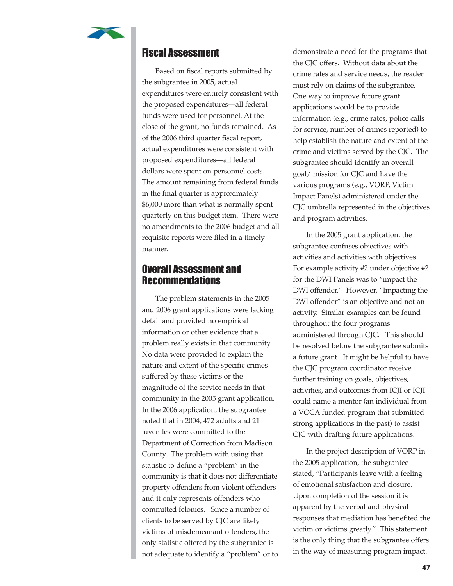#### Fiscal Assessment

Based on fiscal reports submitted by the subgrantee in 2005, actual expenditures were entirely consistent with the proposed expenditures—all federal funds were used for personnel. At the close of the grant, no funds remained. As of the 2006 third quarter fiscal report, actual expenditures were consistent with proposed expenditures—all federal dollars were spent on personnel costs. The amount remaining from federal funds in the final quarter is approximately \$6,000 more than what is normally spent quarterly on this budget item. There were no amendments to the 2006 budget and all requisite reports were filed in a timely manner.

#### Overall Assessment and Recommendations

The problem statements in the 2005 and 2006 grant applications were lacking detail and provided no empirical information or other evidence that a problem really exists in that community. No data were provided to explain the nature and extent of the specific crimes suffered by these victims or the magnitude of the service needs in that community in the 2005 grant application. In the 2006 application, the subgrantee noted that in 2004, 472 adults and 21 juveniles were committed to the Department of Correction from Madison County. The problem with using that statistic to define a "problem" in the community is that it does not differentiate property offenders from violent offenders and it only represents offenders who committed felonies. Since a number of clients to be served by CJC are likely victims of misdemeanant offenders, the only statistic offered by the subgrantee is not adequate to identify a "problem" or to demonstrate a need for the programs that the CJC offers. Without data about the crime rates and service needs, the reader must rely on claims of the subgrantee. One way to improve future grant applications would be to provide information (e.g., crime rates, police calls for service, number of crimes reported) to help establish the nature and extent of the crime and victims served by the CJC. The subgrantee should identify an overall goal/ mission for CJC and have the various programs (e.g., VORP, Victim Impact Panels) administered under the CJC umbrella represented in the objectives and program activities.

In the 2005 grant application, the subgrantee confuses objectives with activities and activities with objectives. For example activity #2 under objective #2 for the DWI Panels was to "impact the DWI offender." However, "Impacting the DWI offender" is an objective and not an activity. Similar examples can be found throughout the four programs administered through CJC. This should be resolved before the subgrantee submits a future grant. It might be helpful to have the CJC program coordinator receive further training on goals, objectives, activities, and outcomes from ICJI or ICJI could name a mentor (an individual from a VOCA funded program that submitted strong applications in the past) to assist CJC with drafting future applications.

In the project description of VORP in the 2005 application, the subgrantee stated, "Participants leave with a feeling of emotional satisfaction and closure. Upon completion of the session it is apparent by the verbal and physical responses that mediation has benefited the victim or victims greatly." This statement is the only thing that the subgrantee offers in the way of measuring program impact.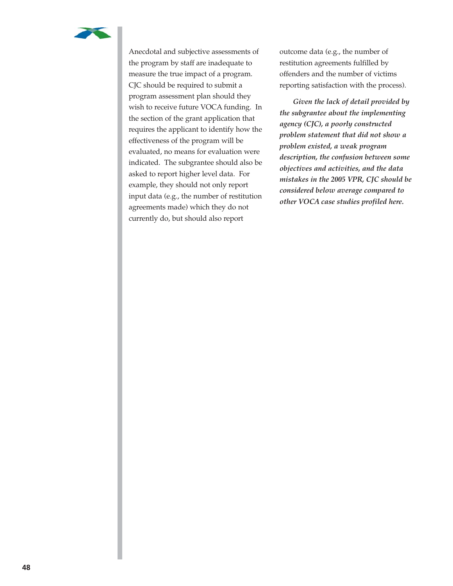

Anecdotal and subjective assessments of the program by staff are inadequate to measure the true impact of a program. CJC should be required to submit a program assessment plan should they wish to receive future VOCA funding. In the section of the grant application that requires the applicant to identify how the effectiveness of the program will be evaluated, no means for evaluation were indicated. The subgrantee should also be asked to report higher level data. For example, they should not only report input data (e.g., the number of restitution agreements made) which they do not currently do, but should also report

outcome data (e.g., the number of restitution agreements fulfilled by offenders and the number of victims reporting satisfaction with the process).

*Given the lack of detail provided by the subgrantee about the implementing agency (CJC), a poorly constructed problem statement that did not show a problem existed, a weak program description, the confusion between some objectives and activities, and the data mistakes in the 2005 VPR, CJC should be considered below average compared to other VOCA case studies profiled here.*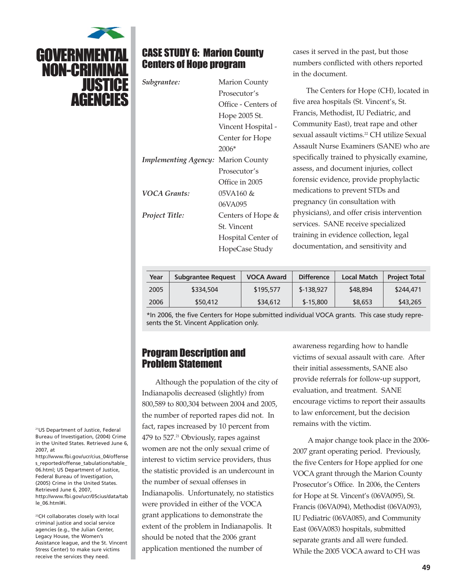## **GOVERNMENTA** NON-CRIMII JUSTICE AGENCIES

## CASE STUDY 6: Marion County Centers of Hope program

| Subgrantee:                 | Marion County        |
|-----------------------------|----------------------|
|                             | Prosecutor's         |
|                             | Office - Centers of  |
|                             | Hope 2005 St.        |
|                             | Vincent Hospital -   |
|                             | Center for Hope      |
|                             | 2006*                |
| <b>Implementing Agency:</b> | <b>Marion County</b> |
|                             | Prosecutor's         |
|                             | Office in 2005       |
| <b>VOCA Grants:</b>         | 05VA160 &            |
|                             | 06VA095              |
| Project Title:              | Centers of Hope &    |
|                             | St. Vincent          |
|                             | Hospital Center of   |
|                             | HopeCase Study       |

cases it served in the past, but those numbers conflicted with others reported in the document.

The Centers for Hope (CH), located in five area hospitals (St. Vincent's, St. Francis, Methodist, IU Pediatric, and Community East), treat rape and other sexual assault victims.<sup>22</sup> CH utilize Sexual Assault Nurse Examiners (SANE) who are specifically trained to physically examine, assess, and document injuries, collect forensic evidence, provide prophylactic medications to prevent STDs and pregnancy (in consultation with physicians), and offer crisis intervention services. SANE receive specialized training in evidence collection, legal documentation, and sensitivity and

| Year | <b>Subgrantee Request</b> | <b>VOCA Award</b> | <b>Difference</b> | <b>Local Match</b> | <b>Project Total</b> |
|------|---------------------------|-------------------|-------------------|--------------------|----------------------|
| 2005 | \$334,504                 | \$195,577         | $$-138,927$       | \$48,894           | \$244,471            |
| 2006 | \$50,412                  | \$34,612          | $$-15,800$        | \$8,653            | \$43,265             |

\*In 2006, the five Centers for Hope submitted individual VOCA grants. This case study represents the St. Vincent Application only.

#### Program Description and Problem Statement

Although the population of the city of Indianapolis decreased (slightly) from 800,589 to 800,304 between 2004 and 2005, the number of reported rapes did not. In fact, rapes increased by 10 percent from 479 to 527.<sup>21</sup> Obviously, rapes against women are not the only sexual crime of interest to victim service providers, thus the statistic provided is an undercount in the number of sexual offenses in Indianapolis. Unfortunately, no statistics were provided in either of the VOCA grant applications to demonstrate the extent of the problem in Indianapolis. It should be noted that the 2006 grant application mentioned the number of

awareness regarding how to handle victims of sexual assault with care. After their initial assessments, SANE also provide referrals for follow-up support, evaluation, and treatment. SANE encourage victims to report their assaults to law enforcement, but the decision remains with the victim.

A major change took place in the 2006- 2007 grant operating period. Previously, the five Centers for Hope applied for one VOCA grant through the Marion County Prosecutor's Office. In 2006, the Centers for Hope at St. Vincent's (06VA095), St. Francis (06VA094), Methodist (06VA093), IU Pediatric (06VA085), and Community East (06VA083) hospitals, submitted separate grants and all were funded. While the 2005 VOCA award to CH was

21US Department of Justice, Federal Bureau of Investigation, (2004) Crime in the United States. Retrieved June 6, 2007, at

http://www.fbi.gov/ucr/cius\_04/offense s\_reported/offense\_tabulations/table\_ 06.html; US Department of Justice, Federal Bureau of Investigation, (2005) Crime in the United States. Retrieved June 6, 2007, http://www.fbi.gov/ucr/05cius/data/tab le\_06.html#i.

<sup>22</sup>CH collaborates closely with local criminal justice and social service agencies (e.g., the Julian Center, Legacy House, the Women's Assistance league, and the St. Vincent Stress Center) to make sure victims receive the services they need.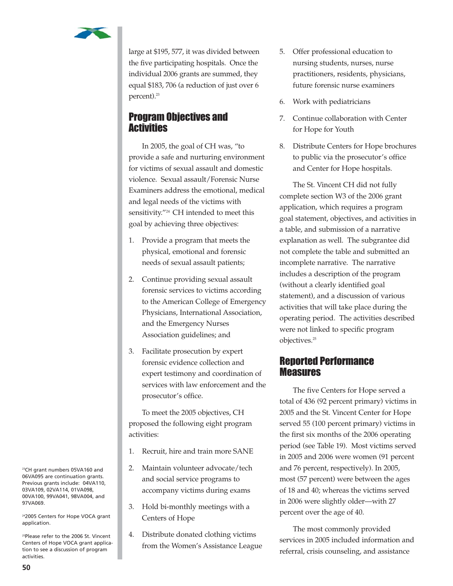

large at \$195, 577, it was divided between the five participating hospitals. Once the individual 2006 grants are summed, they equal \$183, 706 (a reduction of just over 6 percent).<sup>23</sup>

#### Program Objectives and **Activities**

In 2005, the goal of CH was, "to provide a safe and nurturing environment for victims of sexual assault and domestic violence. Sexual assault/Forensic Nurse Examiners address the emotional, medical and legal needs of the victims with sensitivity."<sup>24</sup> CH intended to meet this goal by achieving three objectives:

- 1. Provide a program that meets the physical, emotional and forensic needs of sexual assault patients;
- 2. Continue providing sexual assault forensic services to victims according to the American College of Emergency Physicians, International Association, and the Emergency Nurses Association guidelines; and
- 3. Facilitate prosecution by expert forensic evidence collection and expert testimony and coordination of services with law enforcement and the prosecutor's office.

To meet the 2005 objectives, CH proposed the following eight program activities:

- 1. Recruit, hire and train more SANE
- 2. Maintain volunteer advocate/tech and social service programs to accompany victims during exams
- 3. Hold bi-monthly meetings with a Centers of Hope
- 4. Distribute donated clothing victims from the Women's Assistance League
- 5. Offer professional education to nursing students, nurses, nurse practitioners, residents, physicians, future forensic nurse examiners
- 6. Work with pediatricians
- 7. Continue collaboration with Center for Hope for Youth
- 8. Distribute Centers for Hope brochures to public via the prosecutor's office and Center for Hope hospitals.

The St. Vincent CH did not fully complete section W3 of the 2006 grant application, which requires a program goal statement, objectives, and activities in a table, and submission of a narrative explanation as well. The subgrantee did not complete the table and submitted an incomplete narrative. The narrative includes a description of the program (without a clearly identified goal statement), and a discussion of various activities that will take place during the operating period. The activities described were not linked to specific program objectives.25

#### Reported Performance Measures

The five Centers for Hope served a total of 436 (92 percent primary) victims in 2005 and the St. Vincent Center for Hope served 55 (100 percent primary) victims in the first six months of the 2006 operating period (see Table 19). Most victims served in 2005 and 2006 were women (91 percent and 76 percent, respectively). In 2005, most (57 percent) were between the ages of 18 and 40; whereas the victims served in 2006 were slightly older—with 27 percent over the age of 40.

The most commonly provided services in 2005 included information and referral, crisis counseling, and assistance

23CH grant numbers 05VA160 and 06VA095 are continuation grants. Previous grants include: 04VA110, 03VA109, 02VA114, 01VA098, 00VA100, 99VA041, 98VA004, and 97VA069.

242005 Centers for Hope VOCA grant application.

<sup>25</sup>Please refer to the 2006 St. Vincent Centers of Hope VOCA grant application to see a discussion of program activities.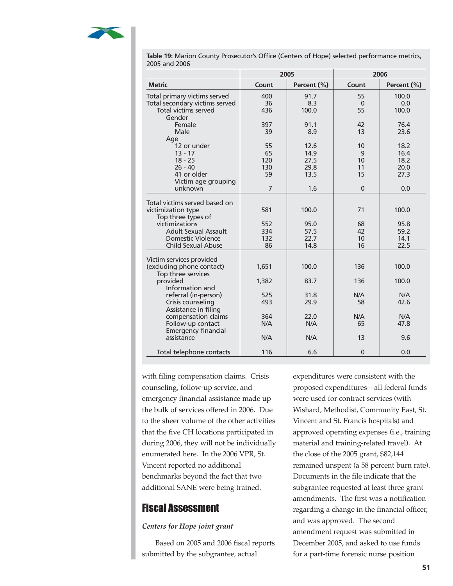

**Table 19:** Marion County Prosecutor's Office (Centers of Hope) selected performance metrics, 2005 and 2006

|                                                     | 2005           |             |              | 2006        |
|-----------------------------------------------------|----------------|-------------|--------------|-------------|
| <b>Metric</b>                                       | Count          | Percent (%) | Count        | Percent (%) |
| Total primary victims served                        | 400            | 91.7        | 55           | 100.0       |
| Total secondary victims served                      | 36             | 8.3         | $\mathbf{0}$ | 0.0         |
| <b>Total victims served</b><br>Gender               | 436            | 100.0       | 55           | 100.0       |
| Female                                              | 397            | 91.1        | 42           | 76.4        |
| Male                                                | 39             | 8.9         | 13           | 23.6        |
| Age                                                 |                |             |              |             |
| 12 or under                                         | 55             | 12.6        | 10           | 18.2        |
| $13 - 17$                                           | 65             | 14.9        | 9            | 16.4        |
| $18 - 25$                                           | 120            | 27.5        | 10           | 18.2        |
| $26 - 40$                                           | 130            | 29.8        | 11           | 20.0        |
| 41 or older                                         | 59             | 13.5        | 15           | 27.3        |
| Victim age grouping<br>unknown                      | $\overline{7}$ | 1.6         | $\mathbf{0}$ | 0.0         |
|                                                     |                |             |              |             |
| Total victims served based on<br>victimization type | 581            | 100.0       | 71           | 100.0       |
| Top three types of                                  |                |             |              |             |
| victimizations                                      | 552            | 95.0        | 68           | 95.8        |
| <b>Adult Sexual Assault</b>                         | 334            | 57.5        | 42           | 59.2        |
| Domestic Violence                                   | 132            | 22.7        | 10           | 14.1        |
| Child Sexual Abuse                                  | 86             | 14.8        | 16           | 22.5        |
| Victim services provided                            |                |             |              |             |
| (excluding phone contact)                           | 1,651          | 100.0       | 136          | 100.0       |
| Top three services                                  |                |             |              |             |
| provided                                            | 1,382          | 83.7        | 136          | 100.0       |
| Information and                                     |                |             |              |             |
| referral (in-person)                                | 525            | 31.8        | N/A          | N/A         |
| Crisis counseling                                   | 493            | 29.9        | 58           | 42.6        |
| Assistance in filing                                |                |             |              |             |
| compensation claims                                 | 364            | 22.0        | N/A          | N/A         |
| Follow-up contact                                   | N/A            | N/A         | 65           | 47.8        |
| <b>Emergency financial</b>                          |                |             |              |             |
| assistance                                          | N/A            | N/A         | 13           | 9.6         |
| Total telephone contacts                            | 116            | 6.6         | $\mathbf 0$  | 0.0         |

with filing compensation claims. Crisis counseling, follow-up service, and emergency financial assistance made up the bulk of services offered in 2006. Due to the sheer volume of the other activities that the five CH locations participated in during 2006, they will not be individually enumerated here. In the 2006 VPR, St. Vincent reported no additional benchmarks beyond the fact that two additional SANE were being trained.

#### Fiscal Assessment

#### *Centers for Hope joint grant*

Based on 2005 and 2006 fiscal reports submitted by the subgrantee, actual

expenditures were consistent with the proposed expenditures—all federal funds were used for contract services (with Wishard, Methodist, Community East, St. Vincent and St. Francis hospitals) and approved operating expenses (i.e., training material and training-related travel). At the close of the 2005 grant, \$82,144 remained unspent (a 58 percent burn rate). Documents in the file indicate that the subgrantee requested at least three grant amendments. The first was a notification regarding a change in the financial officer, and was approved. The second amendment request was submitted in December 2005, and asked to use funds for a part-time forensic nurse position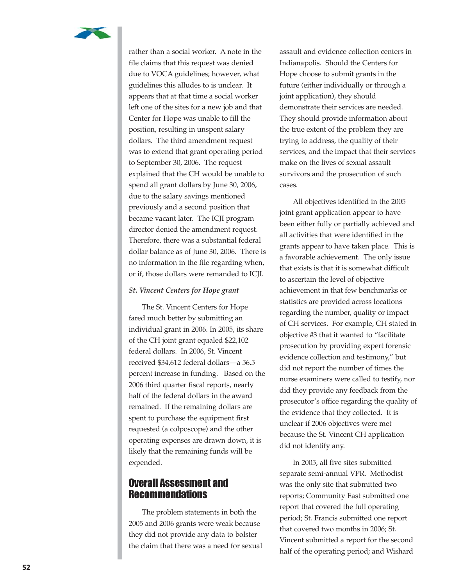

rather than a social worker. A note in the file claims that this request was denied due to VOCA guidelines; however, what guidelines this alludes to is unclear. It appears that at that time a social worker left one of the sites for a new job and that Center for Hope was unable to fill the position, resulting in unspent salary dollars. The third amendment request was to extend that grant operating period to September 30, 2006. The request explained that the CH would be unable to spend all grant dollars by June 30, 2006, due to the salary savings mentioned previously and a second position that became vacant later. The ICJI program director denied the amendment request. Therefore, there was a substantial federal dollar balance as of June 30, 2006. There is no information in the file regarding when, or if, those dollars were remanded to ICJI.

#### *St. Vincent Centers for Hope grant*

The St. Vincent Centers for Hope fared much better by submitting an individual grant in 2006. In 2005, its share of the CH joint grant equaled \$22,102 federal dollars. In 2006, St. Vincent received \$34,612 federal dollars—a 56.5 percent increase in funding. Based on the 2006 third quarter fiscal reports, nearly half of the federal dollars in the award remained. If the remaining dollars are spent to purchase the equipment first requested (a colposcope) and the other operating expenses are drawn down, it is likely that the remaining funds will be expended.

#### Overall Assessment and Recommendations

The problem statements in both the 2005 and 2006 grants were weak because they did not provide any data to bolster the claim that there was a need for sexual assault and evidence collection centers in Indianapolis. Should the Centers for Hope choose to submit grants in the future (either individually or through a joint application), they should demonstrate their services are needed. They should provide information about the true extent of the problem they are trying to address, the quality of their services, and the impact that their services make on the lives of sexual assault survivors and the prosecution of such cases.

All objectives identified in the 2005 joint grant application appear to have been either fully or partially achieved and all activities that were identified in the grants appear to have taken place. This is a favorable achievement. The only issue that exists is that it is somewhat difficult to ascertain the level of objective achievement in that few benchmarks or statistics are provided across locations regarding the number, quality or impact of CH services. For example, CH stated in objective #3 that it wanted to "facilitate prosecution by providing expert forensic evidence collection and testimony," but did not report the number of times the nurse examiners were called to testify, nor did they provide any feedback from the prosecutor's office regarding the quality of the evidence that they collected. It is unclear if 2006 objectives were met because the St. Vincent CH application did not identify any.

In 2005, all five sites submitted separate semi-annual VPR. Methodist was the only site that submitted two reports; Community East submitted one report that covered the full operating period; St. Francis submitted one report that covered two months in 2006; St. Vincent submitted a report for the second half of the operating period; and Wishard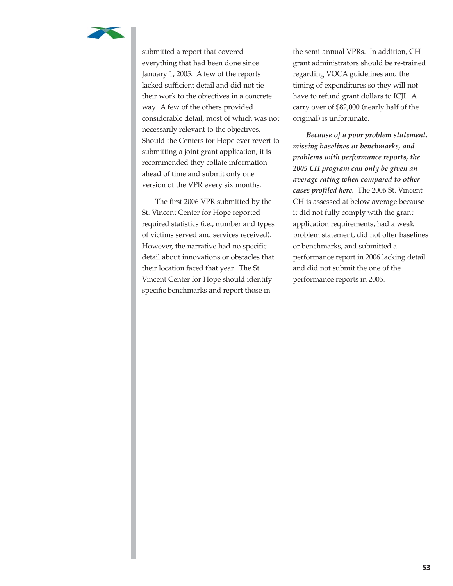

submitted a report that covered everything that had been done since January 1, 2005. A few of the reports lacked sufficient detail and did not tie their work to the objectives in a concrete way. A few of the others provided considerable detail, most of which was not necessarily relevant to the objectives. Should the Centers for Hope ever revert to submitting a joint grant application, it is recommended they collate information ahead of time and submit only one version of the VPR every six months.

The first 2006 VPR submitted by the St. Vincent Center for Hope reported required statistics (i.e., number and types of victims served and services received). However, the narrative had no specific detail about innovations or obstacles that their location faced that year. The St. Vincent Center for Hope should identify specific benchmarks and report those in

the semi-annual VPRs. In addition, CH grant administrators should be re-trained regarding VOCA guidelines and the timing of expenditures so they will not have to refund grant dollars to ICJI. A carry over of \$82,000 (nearly half of the original) is unfortunate.

*Because of a poor problem statement, missing baselines or benchmarks, and problems with performance reports, the 2005 CH program can only be given an average rating when compared to other cases profiled here.* The 2006 St. Vincent CH is assessed at below average because it did not fully comply with the grant application requirements, had a weak problem statement, did not offer baselines or benchmarks, and submitted a performance report in 2006 lacking detail and did not submit the one of the performance reports in 2005.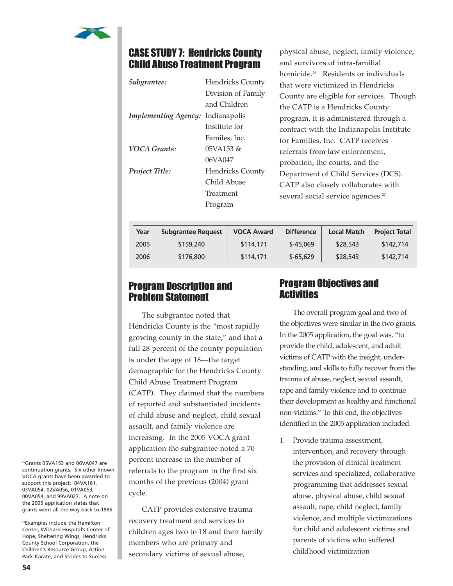

### CASE STUDY 7: Hendricks County Child Abuse Treatment Program

| Subgrantee:                 | <b>Hendricks County</b> |
|-----------------------------|-------------------------|
|                             | Division of Family      |
|                             | and Children            |
| <b>Implementing Agency:</b> | Indianapolis            |
|                             | Institute for           |
|                             | Familes, Inc.           |
| <b>VOCA Grants:</b>         | $05VA153$ &             |
|                             | 06VA047                 |
| <b>Project Title:</b>       | <b>Hendricks County</b> |
|                             | Child Abuse             |
|                             | Treatment               |
|                             | Program                 |

physical abuse, neglect, family violence, and survivors of intra-familial homicide.<sup>26</sup> Residents or individuals that were victimized in Hendricks County are eligible for services. Though the CATP is a Hendricks County program, it is administered through a contract with the Indianapolis Institute for Families, Inc. CATP receives referrals from law enforcement, probation, the courts, and the Department of Child Services (DCS). CATP also closely collaborates with several social service agencies.<sup>27</sup>

| Year | <b>Subgrantee Request</b> | <b>VOCA Award</b> | <b>Difference</b> | <b>Local Match</b> | <b>Project Total</b> |
|------|---------------------------|-------------------|-------------------|--------------------|----------------------|
| 2005 | \$159,240                 | \$114,171         | $$-45.069$        | \$28,543           | \$142,714            |
| 2006 | \$176,800                 | \$114,171         | $$-65,629$        | \$28,543           | \$142,714            |

### Program Description and Problem Statement

The subgrantee noted that Hendricks County is the "most rapidly growing county in the state," and that a full 28 percent of the county population is under the age of 18—the target demographic for the Hendricks County Child Abuse Treatment Program (CATP). They claimed that the numbers of reported and substantiated incidents of child abuse and neglect, child sexual assault, and family violence are increasing. In the 2005 VOCA grant application the subgrantee noted a 70 percent increase in the number of referrals to the program in the first six months of the previous (2004) grant cycle.

CATP provides extensive trauma recovery treatment and services to children ages two to 18 and their family members who are primary and secondary victims of sexual abuse,

#### Program Objectives and **Activities**

The overall program goal and two of the objectives were similar in the two grants. In the 2005 application, the goal was, "to provide the child, adolescent, and adult victims of CATP with the insight, understanding, and skills to fully recover from the trauma of abuse, neglect, sexual assault, rape and family violence and to continue their development as healthy and functional non-victims." To this end, the objectives identified in the 2005 application included:

1. Provide trauma assessment, intervention, and recovery through the provision of clinical treatment services and specialized, collaborative programming that addresses sexual abuse, physical abuse, child sexual assault, rape, child neglect, family violence, and multiple victimizations for child and adolescent victims and parents of victims who suffered childhood victimization

26Grants 05VA153 and 06VA047 are continuation grants. Six other known VOCA grants have been awarded to support this project: 04VA161, 03VA054, 02VA056, 01VA053, 00VA054, and 99VA027. A note on the 2005 application states that grants went all the way back to 1986.

27Examples include the Hamilton Center, Wishard Hospital's Center of Hope, Sheltering Wings, Hendricks County School Corporation, the Children's Resource Group, Action Pack Karate, and Strides to Success.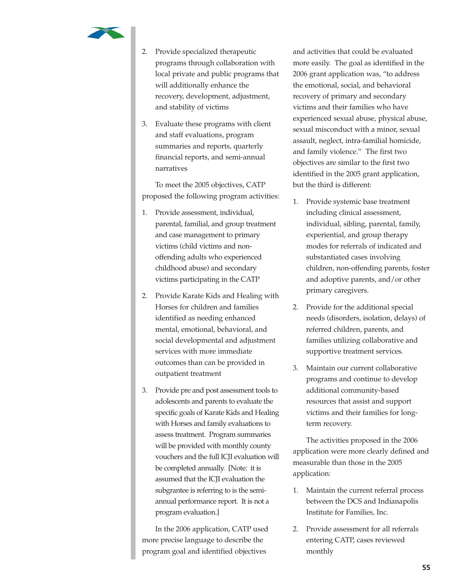

- 2. Provide specialized therapeutic programs through collaboration with local private and public programs that will additionally enhance the recovery, development, adjustment, and stability of victims
- 3. Evaluate these programs with client and staff evaluations, program summaries and reports, quarterly financial reports, and semi-annual narratives

To meet the 2005 objectives, CATP proposed the following program activities:

- 1. Provide assessment, individual, parental, familial, and group treatment and case management to primary victims (child victims and nonoffending adults who experienced childhood abuse) and secondary victims participating in the CATP
- 2. Provide Karate Kids and Healing with Horses for children and families identified as needing enhanced mental, emotional, behavioral, and social developmental and adjustment services with more immediate outcomes than can be provided in outpatient treatment
- 3. Provide pre and post assessment tools to adolescents and parents to evaluate the specific goals of Karate Kids and Healing with Horses and family evaluations to assess treatment. Program summaries will be provided with monthly county vouchers and the full ICJI evaluation will be completed annually. [Note: it is assumed that the ICJI evaluation the subgrantee is referring to is the semiannual performance report. It is not a program evaluation.]

In the 2006 application, CATP used more precise language to describe the program goal and identified objectives

and activities that could be evaluated more easily. The goal as identified in the 2006 grant application was, "to address the emotional, social, and behavioral recovery of primary and secondary victims and their families who have experienced sexual abuse, physical abuse, sexual misconduct with a minor, sexual assault, neglect, intra-familial homicide, and family violence." The first two objectives are similar to the first two identified in the 2005 grant application, but the third is different:

- 1. Provide systemic base treatment including clinical assessment, individual, sibling, parental, family, experiential, and group therapy modes for referrals of indicated and substantiated cases involving children, non-offending parents, foster and adoptive parents, and/or other primary caregivers.
- 2. Provide for the additional special needs (disorders, isolation, delays) of referred children, parents, and families utilizing collaborative and supportive treatment services.
- 3. Maintain our current collaborative programs and continue to develop additional community-based resources that assist and support victims and their families for longterm recovery.

The activities proposed in the 2006 application were more clearly defined and measurable than those in the 2005 application:

- 1. Maintain the current referral process between the DCS and Indianapolis Institute for Families, Inc.
- 2. Provide assessment for all referrals entering CATP, cases reviewed monthly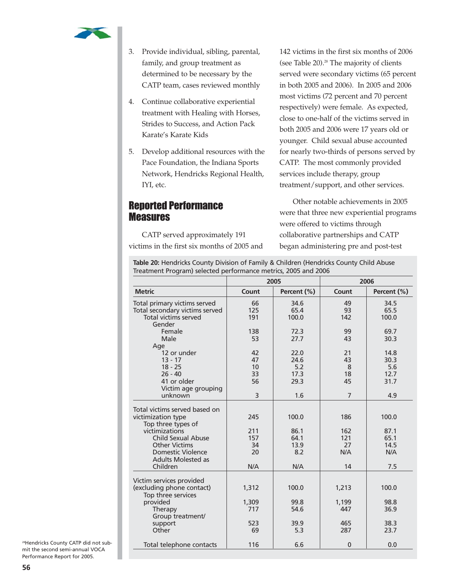

- 3. Provide individual, sibling, parental, family, and group treatment as determined to be necessary by the CATP team, cases reviewed monthly
- 4. Continue collaborative experiential treatment with Healing with Horses, Strides to Success, and Action Pack Karate's Karate Kids
- 5. Develop additional resources with the Pace Foundation, the Indiana Sports Network, Hendricks Regional Health, IYI, etc.

#### Reported Performance Measures

CATP served approximately 191 victims in the first six months of 2005 and 142 victims in the first six months of 2006 (see Table 20).28 The majority of clients served were secondary victims (65 percent in both 2005 and 2006). In 2005 and 2006 most victims (72 percent and 70 percent respectively) were female. As expected, close to one-half of the victims served in both 2005 and 2006 were 17 years old or younger. Child sexual abuse accounted for nearly two-thirds of persons served by CATP. The most commonly provided services include therapy, group treatment/support, and other services.

Other notable achievements in 2005 were that three new experiential programs were offered to victims through collaborative partnerships and CATP began administering pre and post-test

**Table 20:** Hendricks County Division of Family & Children (Hendricks County Child Abuse Treatment Program) selected performance metrics, 2005 and 2006

|                                | 2005  |             | 2006           |              |
|--------------------------------|-------|-------------|----------------|--------------|
| <b>Metric</b>                  | Count | Percent (%) | Count          | Percent (%)  |
| Total primary victims served   | 66    | 34.6        | 49             | 34.5         |
| Total secondary victims served | 125   | 65.4        | 93             | 65.5         |
| Total victims served           | 191   | 100.0       | 142            | 100.0        |
| Gender                         |       |             |                |              |
| Female                         | 138   | 72.3        | 99             | 69.7         |
| Male                           | 53    | 27.7        | 43             | 30.3         |
| Age                            |       |             |                |              |
| 12 or under                    | 42    | 22.0        | 21             | 14.8         |
| $13 - 17$                      | 47    | 24.6        | 43             | 30.3         |
| $18 - 25$                      | 10    | 5.2         | 8              | 5.6          |
| $26 - 40$                      | 33    | 17.3        | 18             | 12.7         |
| 41 or older                    | 56    | 29.3        | 45             | 31.7         |
| Victim age grouping            |       |             |                |              |
| unknown                        | 3     | 1.6         | $\overline{7}$ | 4.9          |
| Total victims served based on  |       |             |                |              |
| victimization type             | 245   | 100.0       | 186            | 100.0        |
| Top three types of             |       |             |                |              |
| victimizations                 | 211   | 86.1        | 162            | 87.1         |
| Child Sexual Abuse             | 157   | 64.1        | 121            | 65.1         |
| <b>Other Victims</b>           | 34    | 13.9        | 27             | 14.5         |
| Domestic Violence              | 20    | 8.2         | N/A            | N/A          |
| Adults Molested as             |       |             |                |              |
| Children                       | N/A   | N/A         | 14             | 7.5          |
|                                |       |             |                |              |
| Victim services provided       |       |             |                |              |
| (excluding phone contact)      | 1,312 | 100.0       | 1,213          | 100.0        |
| Top three services             |       |             |                |              |
| provided                       | 1,309 | 99.8        | 1,199          | 98.8         |
| Therapy                        | 717   | 54.6        | 447            | 36.9         |
| Group treatment/               | 523   | 39.9        | 465            |              |
| support<br>Other               | 69    |             | 287            | 38.3<br>23.7 |
|                                |       | 5.3         |                |              |
| Total telephone contacts       | 116   | 6.6         | $\mathbf{0}$   | 0.0          |

28Hendricks County CATP did not submit the second semi-annual VOCA Performance Report for 2005.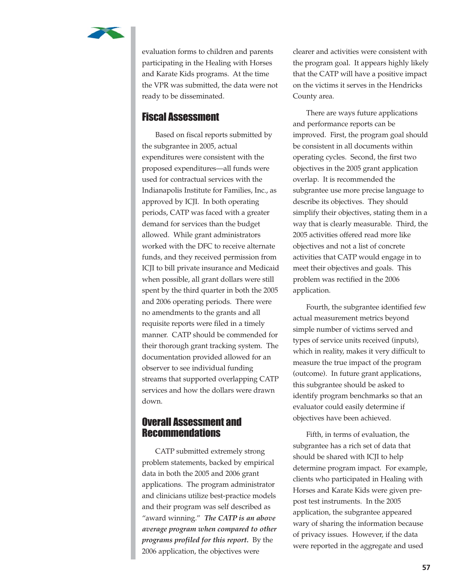

evaluation forms to children and parents participating in the Healing with Horses and Karate Kids programs. At the time the VPR was submitted, the data were not ready to be disseminated.

#### Fiscal Assessment

Based on fiscal reports submitted by the subgrantee in 2005, actual expenditures were consistent with the proposed expenditures—all funds were used for contractual services with the Indianapolis Institute for Families, Inc., as approved by ICJI. In both operating periods, CATP was faced with a greater demand for services than the budget allowed. While grant administrators worked with the DFC to receive alternate funds, and they received permission from ICJI to bill private insurance and Medicaid when possible, all grant dollars were still spent by the third quarter in both the 2005 and 2006 operating periods. There were no amendments to the grants and all requisite reports were filed in a timely manner. CATP should be commended for their thorough grant tracking system. The documentation provided allowed for an observer to see individual funding streams that supported overlapping CATP services and how the dollars were drawn down.

#### Overall Assessment and **Recommendations**

CATP submitted extremely strong problem statements, backed by empirical data in both the 2005 and 2006 grant applications. The program administrator and clinicians utilize best-practice models and their program was self described as "award winning." *The CATP is an above average program when compared to other programs profiled for this report.* By the 2006 application, the objectives were

clearer and activities were consistent with the program goal. It appears highly likely that the CATP will have a positive impact on the victims it serves in the Hendricks County area.

There are ways future applications and performance reports can be improved. First, the program goal should be consistent in all documents within operating cycles. Second, the first two objectives in the 2005 grant application overlap. It is recommended the subgrantee use more precise language to describe its objectives. They should simplify their objectives, stating them in a way that is clearly measurable. Third, the 2005 activities offered read more like objectives and not a list of concrete activities that CATP would engage in to meet their objectives and goals. This problem was rectified in the 2006 application.

Fourth, the subgrantee identified few actual measurement metrics beyond simple number of victims served and types of service units received (inputs), which in reality, makes it very difficult to measure the true impact of the program (outcome). In future grant applications, this subgrantee should be asked to identify program benchmarks so that an evaluator could easily determine if objectives have been achieved.

Fifth, in terms of evaluation, the subgrantee has a rich set of data that should be shared with ICJI to help determine program impact. For example, clients who participated in Healing with Horses and Karate Kids were given prepost test instruments. In the 2005 application, the subgrantee appeared wary of sharing the information because of privacy issues. However, if the data were reported in the aggregate and used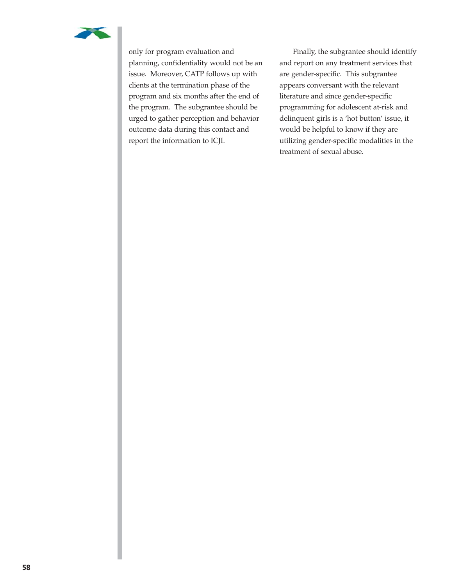

only for program evaluation and planning, confidentiality would not be an issue. Moreover, CATP follows up with clients at the termination phase of the program and six months after the end of the program. The subgrantee should be urged to gather perception and behavior outcome data during this contact and report the information to ICJI.

Finally, the subgrantee should identify and report on any treatment services that are gender-specific. This subgrantee appears conversant with the relevant literature and since gender-specific programming for adolescent at-risk and delinquent girls is a 'hot button' issue, it would be helpful to know if they are utilizing gender-specific modalities in the treatment of sexual abuse.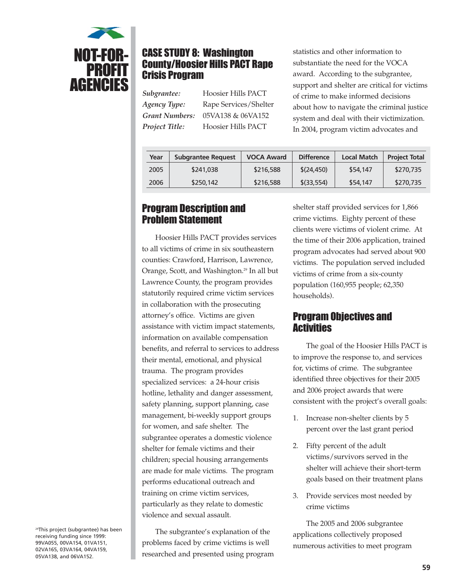# NOT-FOR-PROFIT AGENCIES

### CASE STUDY 8: Washington County/Hoosier Hills PACT Rape Crisis Program

| Subgrantee:           | <b>Hoosier Hills PACT</b> |
|-----------------------|---------------------------|
| Agency Type:          | Rape Services/Shelter     |
| <b>Grant Numbers:</b> | 05VA138 & 06VA152         |
| Project Title:        | <b>Hoosier Hills PACT</b> |

statistics and other information to substantiate the need for the VOCA award. According to the subgrantee, support and shelter are critical for victims of crime to make informed decisions about how to navigate the criminal justice system and deal with their victimization. In 2004, program victim advocates and

| Year | <b>Subgrantee Request</b> | <b>VOCA Award</b> | <b>Difference</b> | <b>Local Match</b> | <b>Project Total</b> |
|------|---------------------------|-------------------|-------------------|--------------------|----------------------|
| 2005 | \$241,038                 | \$216,588         | \$(24, 450)       | \$54,147           | \$270,735            |
| 2006 | \$250,142                 | \$216,588         | $$$ (33,554)      | \$54,147           | \$270,735            |

## Program Description and Problem Statement

Hoosier Hills PACT provides services to all victims of crime in six southeastern counties: Crawford, Harrison, Lawrence, Orange, Scott, and Washington.<sup>29</sup> In all but Lawrence County, the program provides statutorily required crime victim services in collaboration with the prosecuting attorney's office. Victims are given assistance with victim impact statements, information on available compensation benefits, and referral to services to address their mental, emotional, and physical trauma. The program provides specialized services: a 24-hour crisis hotline, lethality and danger assessment, safety planning, support planning, case management, bi-weekly support groups for women, and safe shelter. The subgrantee operates a domestic violence shelter for female victims and their children; special housing arrangements are made for male victims. The program performs educational outreach and training on crime victim services, particularly as they relate to domestic violence and sexual assault.

29This project (subgrantee) has been receiving funding since 1999: 99VA055, 00VA154, 01VA151, 02VA165, 03VA164, 04VA159, 05VA138, and 06VA152.

The subgrantee's explanation of the problems faced by crime victims is well researched and presented using program shelter staff provided services for 1,866 crime victims. Eighty percent of these clients were victims of violent crime. At the time of their 2006 application, trained program advocates had served about 900 victims. The population served included victims of crime from a six-county population (160,955 people; 62,350 households).

#### Program Objectives and **Activities**

The goal of the Hoosier Hills PACT is to improve the response to, and services for, victims of crime. The subgrantee identified three objectives for their 2005 and 2006 project awards that were consistent with the project's overall goals:

- 1. Increase non-shelter clients by 5 percent over the last grant period
- 2. Fifty percent of the adult victims/survivors served in the shelter will achieve their short-term goals based on their treatment plans
- 3. Provide services most needed by crime victims

The 2005 and 2006 subgrantee applications collectively proposed numerous activities to meet program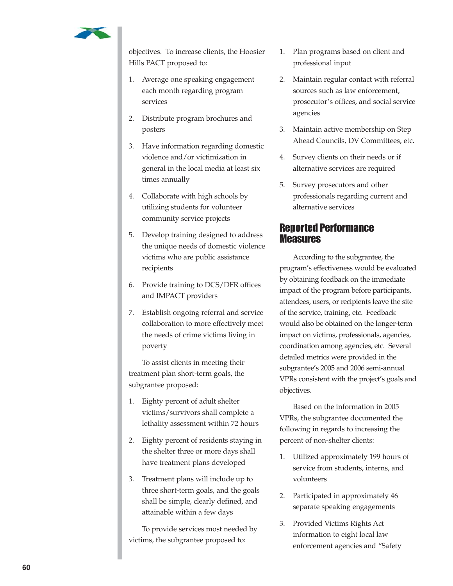

objectives. To increase clients, the Hoosier Hills PACT proposed to:

- 1. Average one speaking engagement each month regarding program services
- 2. Distribute program brochures and posters
- 3. Have information regarding domestic violence and/or victimization in general in the local media at least six times annually
- 4. Collaborate with high schools by utilizing students for volunteer community service projects
- 5. Develop training designed to address the unique needs of domestic violence victims who are public assistance recipients
- 6. Provide training to DCS/DFR offices and IMPACT providers
- 7. Establish ongoing referral and service collaboration to more effectively meet the needs of crime victims living in poverty

To assist clients in meeting their treatment plan short-term goals, the subgrantee proposed:

- 1. Eighty percent of adult shelter victims/survivors shall complete a lethality assessment within 72 hours
- 2. Eighty percent of residents staying in the shelter three or more days shall have treatment plans developed
- 3. Treatment plans will include up to three short-term goals, and the goals shall be simple, clearly defined, and attainable within a few days

To provide services most needed by victims, the subgrantee proposed to:

- 1. Plan programs based on client and professional input
- 2. Maintain regular contact with referral sources such as law enforcement, prosecutor's offices, and social service agencies
- 3. Maintain active membership on Step Ahead Councils, DV Committees, etc.
- 4. Survey clients on their needs or if alternative services are required
- 5. Survey prosecutors and other professionals regarding current and alternative services

#### Reported Performance Measures

According to the subgrantee, the program's effectiveness would be evaluated by obtaining feedback on the immediate impact of the program before participants, attendees, users, or recipients leave the site of the service, training, etc. Feedback would also be obtained on the longer-term impact on victims, professionals, agencies, coordination among agencies, etc. Several detailed metrics were provided in the subgrantee's 2005 and 2006 semi-annual VPRs consistent with the project's goals and objectives.

Based on the information in 2005 VPRs, the subgrantee documented the following in regards to increasing the percent of non-shelter clients:

- 1. Utilized approximately 199 hours of service from students, interns, and volunteers
- 2. Participated in approximately 46 separate speaking engagements
- 3. Provided Victims Rights Act information to eight local law enforcement agencies and "Safety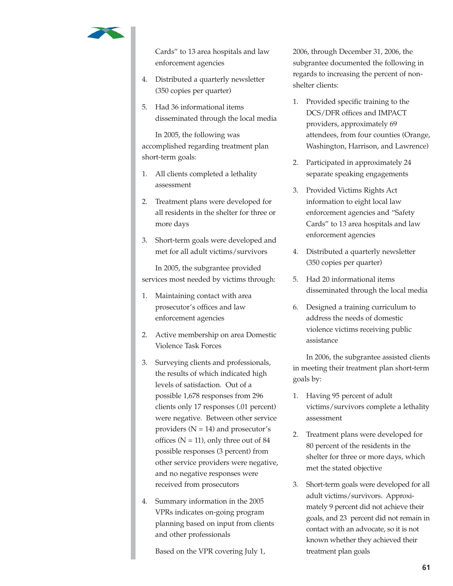

Cards" to 13 area hospitals and law enforcement agencies

- 4. Distributed a quarterly newsletter (350 copies per quarter)
- 5. Had 36 informational items disseminated through the local media

In 2005, the following was accomplished regarding treatment plan short-term goals:

- 1. All clients completed a lethality assessment
- 2. Treatment plans were developed for all residents in the shelter for three or more days
- 3. Short-term goals were developed and met for all adult victims/survivors

In 2005, the subgrantee provided services most needed by victims through:

- 1. Maintaining contact with area prosecutor's offices and law enforcement agencies
- 2. Active membership on area Domestic Violence Task Forces
- 3. Surveying clients and professionals, the results of which indicated high levels of satisfaction. Out of a possible 1,678 responses from 296 clients only 17 responses (.01 percent) were negative. Between other service providers  $(N = 14)$  and prosecutor's offices ( $N = 11$ ), only three out of 84 possible responses (3 percent) from other service providers were negative, and no negative responses were received from prosecutors
- 4. Summary information in the 2005 VPRs indicates on-going program planning based on input from clients and other professionals

Based on the VPR covering July 1,

2006, through December 31, 2006, the subgrantee documented the following in regards to increasing the percent of nonshelter clients:

- 1. Provided specific training to the DCS/DFR offices and IMPACT providers, approximately 69 attendees, from four counties (Orange, Washington, Harrison, and Lawrence)
- 2. Participated in approximately 24 separate speaking engagements
- 3. Provided Victims Rights Act information to eight local law enforcement agencies and "Safety Cards" to 13 area hospitals and law enforcement agencies
- 4. Distributed a quarterly newsletter (350 copies per quarter)
- 5. Had 20 informational items disseminated through the local media
- 6. Designed a training curriculum to address the needs of domestic violence victims receiving public assistance

In 2006, the subgrantee assisted clients in meeting their treatment plan short-term goals by:

- 1. Having 95 percent of adult victims/survivors complete a lethality assessment
- 2. Treatment plans were developed for 80 percent of the residents in the shelter for three or more days, which met the stated objective
- 3. Short-term goals were developed for all adult victims/survivors. Approximately 9 percent did not achieve their goals, and 23 percent did not remain in contact with an advocate, so it is not known whether they achieved their treatment plan goals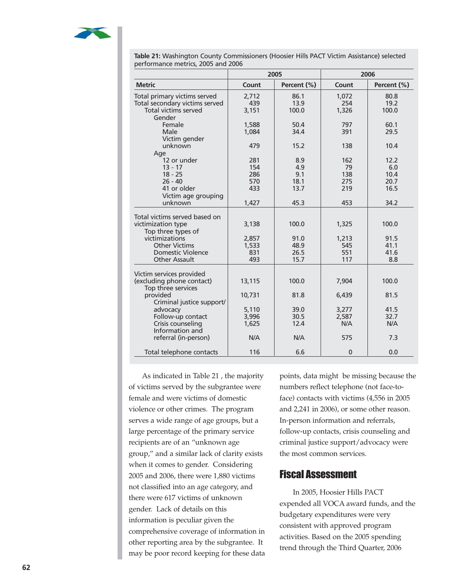

|                                                 | 2005   |             | 2006  |             |
|-------------------------------------------------|--------|-------------|-------|-------------|
| <b>Metric</b>                                   | Count  | Percent (%) | Count | Percent (%) |
| Total primary victims served                    | 2,712  | 86.1        | 1,072 | 80.8        |
| Total secondary victims served                  | 439    | 13.9        | 254   | 19.2        |
| <b>Total victims served</b><br>Gender           | 3,151  | 100.0       | 1,326 | 100.0       |
| Female                                          | 1,588  | 50.4        | 797   | 60.1        |
| Male                                            | 1,084  | 34.4        | 391   | 29.5        |
| Victim gender                                   |        |             |       |             |
| unknown<br>Age                                  | 479    | 15.2        | 138   | 10.4        |
| 12 or under                                     | 281    | 8.9         | 162   | 12.2        |
| $13 - 17$                                       | 154    | 4.9         | 79    | 6.0         |
| $18 - 25$                                       | 286    | 9.1         | 138   | 10.4        |
| $26 - 40$                                       | 570    | 18.1        | 275   | 20.7        |
| 41 or older                                     | 433    | 13.7        | 219   | 16.5        |
| Victim age grouping                             |        |             |       |             |
| unknown                                         | 1,427  | 45.3        | 453   | 34.2        |
| Total victims served based on                   |        |             |       |             |
| victimization type                              | 3,138  | 100.0       | 1,325 | 100.0       |
| Top three types of                              |        |             |       |             |
| victimizations                                  | 2,857  | 91.0        | 1,213 | 91.5        |
| <b>Other Victims</b>                            | 1,533  | 48.9        | 545   | 41.1        |
| <b>Domestic Violence</b>                        | 831    | 26.5        | 551   | 41.6        |
| <b>Other Assault</b>                            | 493    | 15.7        | 117   | 8.8         |
| Victim services provided                        |        |             |       |             |
| (excluding phone contact)<br>Top three services | 13,115 | 100.0       | 7,904 | 100.0       |
| provided<br>Criminal justice support/           | 10,731 | 81.8        | 6,439 | 81.5        |
| advocacy                                        | 5,110  | 39.0        | 3,277 | 41.5        |
| Follow-up contact                               | 3,996  | 30.5        | 2,587 | 32.7        |
| Crisis counseling                               | 1,625  | 12.4        | N/A   | N/A         |
| Information and                                 |        |             |       |             |
| referral (in-person)                            | N/A    | N/A         | 575   | 7.3         |
| Total telephone contacts                        | 116    | 6.6         | 0     | 0.0         |

**Table 21:** Washington County Commissioners (Hoosier Hills PACT Victim Assistance) selected performance metrics, 2005 and 2006

As indicated in Table 21 , the majority of victims served by the subgrantee were female and were victims of domestic violence or other crimes. The program serves a wide range of age groups, but a large percentage of the primary service recipients are of an "unknown age group," and a similar lack of clarity exists when it comes to gender. Considering 2005 and 2006, there were 1,880 victims not classified into an age category, and there were 617 victims of unknown gender. Lack of details on this information is peculiar given the comprehensive coverage of information in other reporting area by the subgrantee. It may be poor record keeping for these data

points, data might be missing because the numbers reflect telephone (not face-toface) contacts with victims (4,556 in 2005 and 2,241 in 2006), or some other reason. In-person information and referrals, follow-up contacts, crisis counseling and criminal justice support/advocacy were the most common services.

#### Fiscal Assessment

In 2005, Hoosier Hills PACT expended all VOCA award funds, and the budgetary expenditures were very consistent with approved program activities. Based on the 2005 spending trend through the Third Quarter, 2006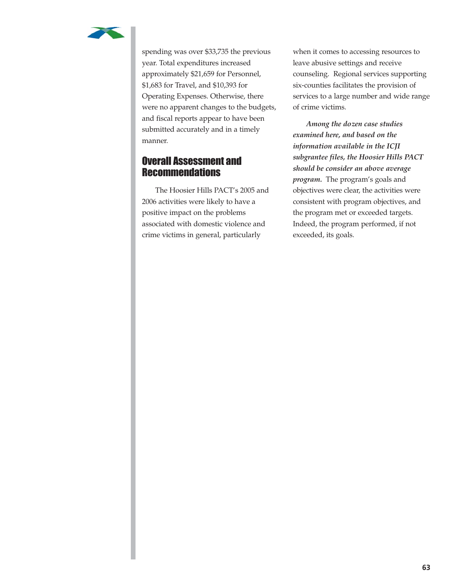

spending was over \$33,735 the previous year. Total expenditures increased approximately \$21,659 for Personnel, \$1,683 for Travel, and \$10,393 for Operating Expenses. Otherwise, there were no apparent changes to the budgets, and fiscal reports appear to have been submitted accurately and in a timely manner.

#### Overall Assessment and Recommendations

The Hoosier Hills PACT's 2005 and 2006 activities were likely to have a positive impact on the problems associated with domestic violence and crime victims in general, particularly

when it comes to accessing resources to leave abusive settings and receive counseling. Regional services supporting six-counties facilitates the provision of services to a large number and wide range of crime victims.

*Among the dozen case studies examined here, and based on the information available in the ICJI subgrantee files, the Hoosier Hills PACT should be consider an above average program.* The program's goals and objectives were clear, the activities were consistent with program objectives, and the program met or exceeded targets. Indeed, the program performed, if not exceeded, its goals.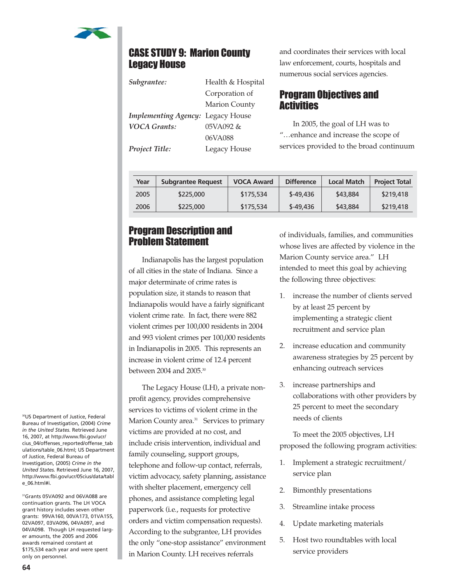

#### CASE STUDY 9: Marion County Legacy House

| Subgrantee:                              | Health & Hospital    |
|------------------------------------------|----------------------|
|                                          | Corporation of       |
|                                          | <b>Marion County</b> |
| <b>Implementing Agency:</b> Legacy House |                      |
| <b>VOCA Grants:</b>                      | $05$ VA $092$ &      |
|                                          | 06VA088              |
| Project Title:                           | Legacy House         |

and coordinates their services with local law enforcement, courts, hospitals and numerous social services agencies.

#### Program Objectives and **Activities**

In 2005, the goal of LH was to "…enhance and increase the scope of services provided to the broad continuum

| Year | <b>Subgrantee Request</b> | <b>VOCA Award</b> | <b>Difference</b> | <b>Local Match</b> | <b>Project Total</b> |
|------|---------------------------|-------------------|-------------------|--------------------|----------------------|
| 2005 | \$225,000                 | \$175,534         | $$-49,436$        | \$43,884           | \$219,418            |
| 2006 | \$225,000                 | \$175,534         | $$-49,436$        | \$43,884           | \$219,418            |

#### Program Description and Problem Statement

Indianapolis has the largest population of all cities in the state of Indiana. Since a major determinate of crime rates is population size, it stands to reason that Indianapolis would have a fairly significant violent crime rate. In fact, there were 882 violent crimes per 100,000 residents in 2004 and 993 violent crimes per 100,000 residents in Indianapolis in 2005. This represents an increase in violent crime of 12.4 percent between 2004 and 2005.<sup>30</sup>

The Legacy House (LH), a private nonprofit agency, provides comprehensive services to victims of violent crime in the Marion County area.<sup>31</sup> Services to primary victims are provided at no cost, and include crisis intervention, individual and family counseling, support groups, telephone and follow-up contact, referrals, victim advocacy, safety planning, assistance with shelter placement, emergency cell phones, and assistance completing legal paperwork (i.e., requests for protective orders and victim compensation requests). According to the subgrantee, LH provides the only "one-stop assistance" environment in Marion County. LH receives referrals

of individuals, families, and communities whose lives are affected by violence in the Marion County service area." LH intended to meet this goal by achieving the following three objectives:

- 1. increase the number of clients served by at least 25 percent by implementing a strategic client recruitment and service plan
- 2. increase education and community awareness strategies by 25 percent by enhancing outreach services
- 3. increase partnerships and collaborations with other providers by 25 percent to meet the secondary needs of clients

To meet the 2005 objectives, LH proposed the following program activities:

- 1. Implement a strategic recruitment/ service plan
- 2. Bimonthly presentations
- 3. Streamline intake process
- 4. Update marketing materials
- 5. Host two roundtables with local service providers

30US Department of Justice, Federal Bureau of Investigation, (2004) *Crime in the United States.* Retrieved June 16, 2007, at http://www.fbi.gov/ucr/ cius\_04/offenses\_reported/offense\_tab ulations/table\_06.html; US Department of Justice, Federal Bureau of Investigation, (2005) *Crime in the United States.* Retrieved June 16, 2007, http://www.fbi.gov/ucr/05cius/data/tabl e\_06.html#i.

<sup>31</sup>Grants 05VA092 and 06VA088 are continuation grants. The LH VOCA grant history includes seven other grants: 99VA160, 00VA173, 01VA155, 02VA097, 03VA096, 04VA097, and 04VA098. Though LH requested larger amounts, the 2005 and 2006 awards remained constant at \$175,534 each year and were spent only on personnel.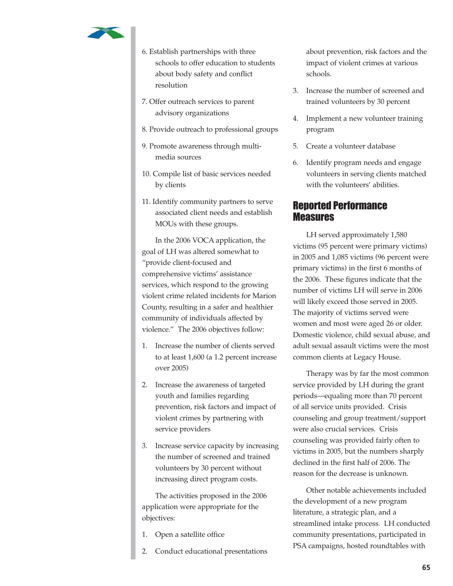

- 6. Establish partnerships with three schools to offer education to students about body safety and conflict resolution
- 7. Offer outreach services to parent advisory organizations
- 8. Provide outreach to professional groups
- 9. Promote awareness through multimedia sources
- 10. Compile list of basic services needed by clients
- 11. Identify community partners to serve associated client needs and establish MOUs with these groups.

In the 2006 VOCA application, the goal of LH was altered somewhat to "provide client-focused and comprehensive victims' assistance services, which respond to the growing violent crime related incidents for Marion County, resulting in a safer and healthier community of individuals affected by violence." The 2006 objectives follow:

- 1. Increase the number of clients served to at least 1,600 (a 1.2 percent increase over 2005)
- 2. Increase the awareness of targeted youth and families regarding prevention, risk factors and impact of violent crimes by partnering with service providers
- 3. Increase service capacity by increasing the number of screened and trained volunteers by 30 percent without increasing direct program costs.

The activities proposed in the 2006 application were appropriate for the objectives:

- 1. Open a satellite office
- 2. Conduct educational presentations

about prevention, risk factors and the impact of violent crimes at various schools.

- 3. Increase the number of screened and trained volunteers by 30 percent
- 4. Implement a new volunteer training program
- 5. Create a volunteer database
- 6. Identify program needs and engage volunteers in serving clients matched with the volunteers' abilities.

#### Reported Performance Measures

LH served approximately 1,580 victims (95 percent were primary victims) in 2005 and 1,085 victims (96 percent were primary victims) in the first 6 months of the 2006. These figures indicate that the number of victims LH will serve in 2006 will likely exceed those served in 2005. The majority of victims served were women and most were aged 26 or older. Domestic violence, child sexual abuse, and adult sexual assault victims were the most common clients at Legacy House.

Therapy was by far the most common service provided by LH during the grant periods—equaling more than 70 percent of all service units provided. Crisis counseling and group treatment/support were also crucial services. Crisis counseling was provided fairly often to victims in 2005, but the numbers sharply declined in the first half of 2006. The reason for the decrease is unknown.

Other notable achievements included the development of a new program literature, a strategic plan, and a streamlined intake process. LH conducted community presentations, participated in PSA campaigns, hosted roundtables with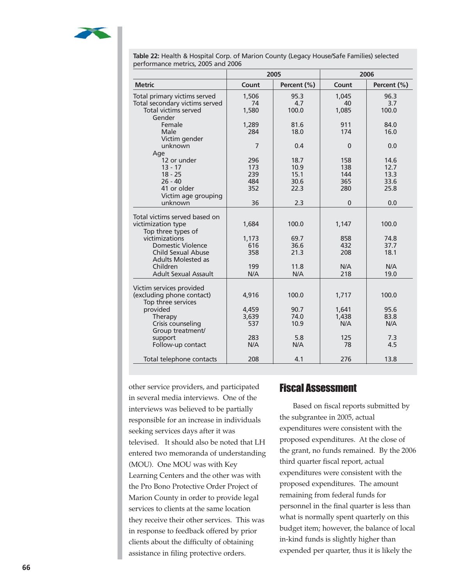

|                                                 | 2005           |              | 2006         |              |  |
|-------------------------------------------------|----------------|--------------|--------------|--------------|--|
| <b>Metric</b>                                   | Count          | Percent (%)  | Count        | Percent (%)  |  |
| Total primary victims served                    | 1,506          | 95.3         | 1,045        | 96.3         |  |
| Total secondary victims served                  | 74             | 4.7          | 40           | 3.7          |  |
| <b>Total victims served</b><br>Gender           | 1,580          | 100.0        | 1,085        | 100.0        |  |
| Female                                          | 1,289          | 81.6         | 911          | 84.0         |  |
| Male<br>Victim gender                           | 284            | 18.0         | 174          | 16.0         |  |
| unknown                                         | $\overline{7}$ | 0.4          | $\mathbf{0}$ | 0.0          |  |
| Age                                             |                |              |              |              |  |
| 12 or under                                     | 296            | 18.7         | 158          | 14.6         |  |
| $13 - 17$<br>$18 - 25$                          | 173<br>239     | 10.9<br>15.1 | 138<br>144   | 12.7<br>13.3 |  |
| $26 - 40$                                       | 484            | 30.6         | 365          | 33.6         |  |
| 41 or older                                     | 352            | 22.3         | 280          | 25.8         |  |
| Victim age grouping                             |                |              |              |              |  |
| unknown                                         | 36             | 2.3          | $\Omega$     | 0.0          |  |
| Total victims served based on                   |                |              |              |              |  |
| victimization type<br>Top three types of        | 1,684          | 100.0        | 1,147        | 100.0        |  |
| victimizations                                  | 1,173          | 69.7         | 858          | 74.8         |  |
| <b>Domestic Violence</b>                        | 616            | 36.6         | 432          | 37.7         |  |
| <b>Child Sexual Abuse</b>                       | 358            | 21.3         | 208          | 18.1         |  |
| <b>Adults Molested as</b><br>Children           | 199            | 11.8         | N/A          | N/A          |  |
| <b>Adult Sexual Assault</b>                     | N/A            | N/A          | 218          | 19.0         |  |
|                                                 |                |              |              |              |  |
| Victim services provided                        |                |              |              |              |  |
| (excluding phone contact)<br>Top three services | 4,916          | 100.0        | 1,717        | 100.0        |  |
| provided                                        | 4,459          | 90.7         | 1,641        | 95.6         |  |
| Therapy                                         | 3,639          | 74.0         | 1,438        | 83.8         |  |
| Crisis counseling                               | 537            | 10.9         | N/A          | N/A          |  |
| Group treatment/                                |                |              |              |              |  |
| support                                         | 283            | 5.8          | 125          | 7.3          |  |
| Follow-up contact                               | N/A            | N/A          | 78           | 4.5          |  |
| Total telephone contacts                        | 208            | 4.1          | 276          | 13.8         |  |

**Table 22:** Health & Hospital Corp. of Marion County (Legacy House/Safe Families) selected performance metrics, 2005 and 2006

other service providers, and participated in several media interviews. One of the interviews was believed to be partially responsible for an increase in individuals seeking services days after it was televised. It should also be noted that LH entered two memoranda of understanding (MOU). One MOU was with Key Learning Centers and the other was with the Pro Bono Protective Order Project of Marion County in order to provide legal services to clients at the same location they receive their other services. This was in response to feedback offered by prior clients about the difficulty of obtaining assistance in filing protective orders.

#### Fiscal Assessment

Based on fiscal reports submitted by the subgrantee in 2005, actual expenditures were consistent with the proposed expenditures. At the close of the grant, no funds remained. By the 2006 third quarter fiscal report, actual expenditures were consistent with the proposed expenditures. The amount remaining from federal funds for personnel in the final quarter is less than what is normally spent quarterly on this budget item; however, the balance of local in-kind funds is slightly higher than expended per quarter, thus it is likely the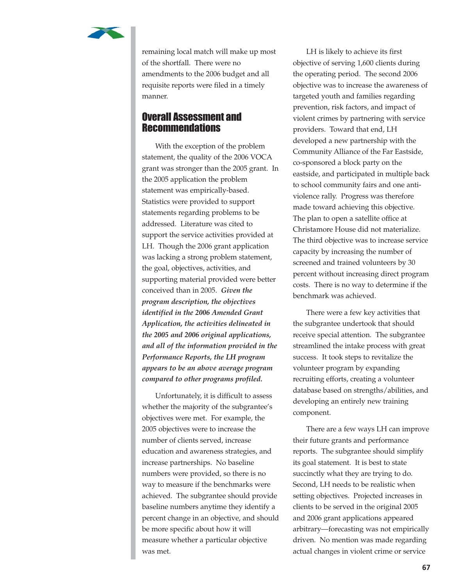

remaining local match will make up most of the shortfall. There were no amendments to the 2006 budget and all requisite reports were filed in a timely manner.

#### Overall Assessment and Recommendations

With the exception of the problem statement, the quality of the 2006 VOCA grant was stronger than the 2005 grant. In the 2005 application the problem statement was empirically-based. Statistics were provided to support statements regarding problems to be addressed. Literature was cited to support the service activities provided at LH. Though the 2006 grant application was lacking a strong problem statement, the goal, objectives, activities, and supporting material provided were better conceived than in 2005. *Given the program description, the objectives identified in the 2006 Amended Grant Application, the activities delineated in the 2005 and 2006 original applications, and all of the information provided in the Performance Reports, the LH program appears to be an above average program compared to other programs profiled.* 

Unfortunately, it is difficult to assess whether the majority of the subgrantee's objectives were met. For example, the 2005 objectives were to increase the number of clients served, increase education and awareness strategies, and increase partnerships. No baseline numbers were provided, so there is no way to measure if the benchmarks were achieved. The subgrantee should provide baseline numbers anytime they identify a percent change in an objective, and should be more specific about how it will measure whether a particular objective was met.

LH is likely to achieve its first objective of serving 1,600 clients during the operating period. The second 2006 objective was to increase the awareness of targeted youth and families regarding prevention, risk factors, and impact of violent crimes by partnering with service providers. Toward that end, LH developed a new partnership with the Community Alliance of the Far Eastside, co-sponsored a block party on the eastside, and participated in multiple back to school community fairs and one antiviolence rally. Progress was therefore made toward achieving this objective. The plan to open a satellite office at Christamore House did not materialize. The third objective was to increase service capacity by increasing the number of screened and trained volunteers by 30 percent without increasing direct program costs. There is no way to determine if the benchmark was achieved.

There were a few key activities that the subgrantee undertook that should receive special attention. The subgrantee streamlined the intake process with great success. It took steps to revitalize the volunteer program by expanding recruiting efforts, creating a volunteer database based on strengths/abilities, and developing an entirely new training component.

There are a few ways LH can improve their future grants and performance reports. The subgrantee should simplify its goal statement. It is best to state succinctly what they are trying to do. Second, LH needs to be realistic when setting objectives. Projected increases in clients to be served in the original 2005 and 2006 grant applications appeared arbitrary—forecasting was not empirically driven. No mention was made regarding actual changes in violent crime or service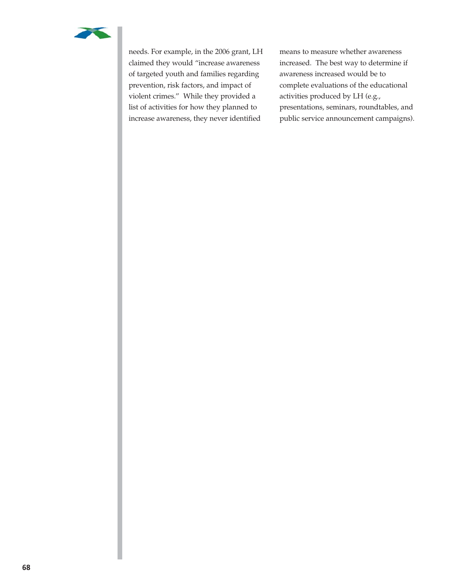

needs. For example, in the 2006 grant, LH claimed they would "increase awareness of targeted youth and families regarding prevention, risk factors, and impact of violent crimes." While they provided a list of activities for how they planned to increase awareness, they never identified

means to measure whether awareness increased. The best way to determine if awareness increased would be to complete evaluations of the educational activities produced by LH (e.g., presentations, seminars, roundtables, and public service announcement campaigns).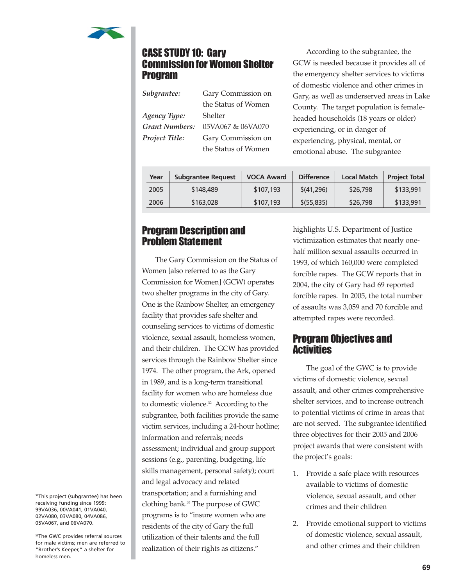

### CASE STUDY 10: Gary Commission for Women Shelter Program

| Subgrantee:           | Gary Commission on  |  |  |
|-----------------------|---------------------|--|--|
|                       | the Status of Women |  |  |
| Agency Type:          | <b>Shelter</b>      |  |  |
| <b>Grant Numbers:</b> | 05VA067 & 06VA070   |  |  |
| Project Title:        | Gary Commission on  |  |  |
|                       | the Status of Women |  |  |

According to the subgrantee, the GCW is needed because it provides all of the emergency shelter services to victims of domestic violence and other crimes in Gary, as well as underserved areas in Lake County. The target population is femaleheaded households (18 years or older) experiencing, or in danger of experiencing, physical, mental, or emotional abuse. The subgrantee

| Year | <b>Subgrantee Request</b> | <b>VOCA Award</b> | <b>Difference</b> | <b>Local Match</b> | <b>Project Total</b> |
|------|---------------------------|-------------------|-------------------|--------------------|----------------------|
| 2005 | \$148,489                 | \$107,193         | \$(41,296)        | \$26,798           | \$133,991            |
| 2006 | \$163,028                 | \$107,193         | $$$ (55,835)      | \$26,798           | \$133,991            |

## Program Description and Problem Statement

The Gary Commission on the Status of Women [also referred to as the Gary Commission for Women] (GCW) operates two shelter programs in the city of Gary. One is the Rainbow Shelter, an emergency facility that provides safe shelter and counseling services to victims of domestic violence, sexual assault, homeless women, and their children. The GCW has provided services through the Rainbow Shelter since 1974. The other program, the Ark, opened in 1989, and is a long-term transitional facility for women who are homeless due to domestic violence.<sup>32</sup> According to the subgrantee, both facilities provide the same victim services, including a 24-hour hotline; information and referrals; needs assessment; individual and group support sessions (e.g., parenting, budgeting, life skills management, personal safety); court and legal advocacy and related transportation; and a furnishing and clothing bank.33 The purpose of GWC programs is to "insure women who are residents of the city of Gary the full utilization of their talents and the full realization of their rights as citizens."

highlights U.S. Department of Justice victimization estimates that nearly onehalf million sexual assaults occurred in 1993, of which 160,000 were completed forcible rapes. The GCW reports that in 2004, the city of Gary had 69 reported forcible rapes. In 2005, the total number of assaults was 3,059 and 70 forcible and attempted rapes were recorded.

# Program Objectives and Activities

The goal of the GWC is to provide victims of domestic violence, sexual assault, and other crimes comprehensive shelter services, and to increase outreach to potential victims of crime in areas that are not served. The subgrantee identified three objectives for their 2005 and 2006 project awards that were consistent with the project's goals:

- 1. Provide a safe place with resources available to victims of domestic violence, sexual assault, and other crimes and their children
- 2. Provide emotional support to victims of domestic violence, sexual assault, and other crimes and their children

<sup>32</sup>This project (subgrantee) has been receiving funding since 1999: 99VA036, 00VA041, 01VA040, 02VA080, 03VA080, 04VA086, 05VA067, and 06VA070.

<sup>33</sup>The GWC provides referral sources for male victims; men are referred to "Brother's Keeper," a shelter for homeless men.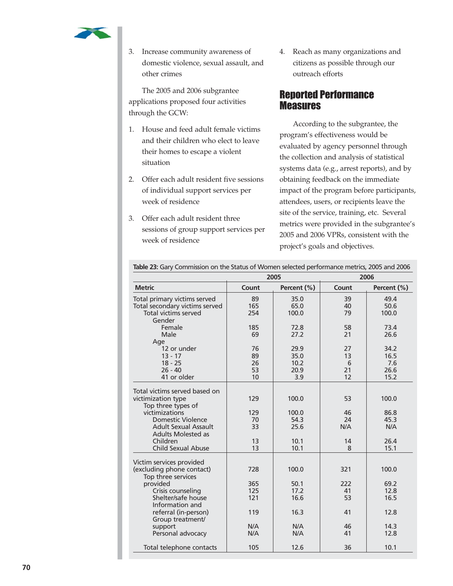

3. Increase community awareness of domestic violence, sexual assault, and other crimes

The 2005 and 2006 subgrantee applications proposed four activities through the GCW:

- 1. House and feed adult female victims and their children who elect to leave their homes to escape a violent situation
- 2. Offer each adult resident five sessions of individual support services per week of residence
- 3. Offer each adult resident three sessions of group support services per week of residence

4. Reach as many organizations and citizens as possible through our outreach efforts

## Reported Performance **Measures**

According to the subgrantee, the program's effectiveness would be evaluated by agency personnel through the collection and analysis of statistical systems data (e.g., arrest reports), and by obtaining feedback on the immediate impact of the program before participants, attendees, users, or recipients leave the site of the service, training, etc. Several metrics were provided in the subgrantee's 2005 and 2006 VPRs, consistent with the project's goals and objectives.

|                                                                                                                                                                                          | 2005                         |                                        | 2006                        |                                      |
|------------------------------------------------------------------------------------------------------------------------------------------------------------------------------------------|------------------------------|----------------------------------------|-----------------------------|--------------------------------------|
| <b>Metric</b>                                                                                                                                                                            | Count                        | Percent (%)                            | Count                       | Percent (%)                          |
| Total primary victims served<br>Total secondary victims served<br><b>Total victims served</b><br>Gender                                                                                  | 89<br>165<br>254             | 35.0<br>65.0<br>100.0                  | 39<br>40<br>79              | 49.4<br>50.6<br>100.0                |
| Female<br>Male<br>Age                                                                                                                                                                    | 185<br>69                    | 72.8<br>27.2                           | 58<br>21                    | 73.4<br>26.6                         |
| 12 or under<br>$13 - 17$<br>$18 - 25$<br>$26 - 40$<br>41 or older                                                                                                                        | 76<br>89<br>26<br>53<br>10   | 29.9<br>35.0<br>10.2<br>20.9<br>3.9    | 27<br>13<br>6<br>21<br>12   | 34.2<br>16.5<br>7.6<br>26.6<br>15.2  |
| Total victims served based on<br>victimization type<br>Top three types of<br>victimizations<br>Domestic Violence<br><b>Adult Sexual Assault</b><br><b>Adults Molested as</b><br>Children | 129<br>129<br>70<br>33<br>13 | 100.0<br>100.0<br>54.3<br>25.6<br>10.1 | 53<br>46<br>24<br>N/A<br>14 | 100.0<br>86.8<br>45.3<br>N/A<br>26.4 |
| <b>Child Sexual Abuse</b><br>Victim services provided<br>(excluding phone contact)                                                                                                       | 13<br>728                    | 10.1<br>100.0                          | 8<br>321                    | 15.1<br>100.0                        |
| Top three services<br>provided<br>Crisis counseling<br>Shelter/safe house<br>Information and                                                                                             | 365<br>125<br>121            | 50.1<br>17.2<br>16.6                   | 222<br>41<br>53             | 69.2<br>12.8<br>16.5                 |
| referral (in-person)<br>Group treatment/<br>support<br>Personal advocacy                                                                                                                 | 119<br>N/A<br>N/A            | 16.3<br>N/A<br>N/A                     | 41<br>46<br>41              | 12.8<br>14.3<br>12.8                 |
| Total telephone contacts                                                                                                                                                                 | 105                          | 12.6                                   | 36                          | 10.1                                 |

**Table 23:** Gary Commission on the Status of Women selected performance metrics, 2005 and 2006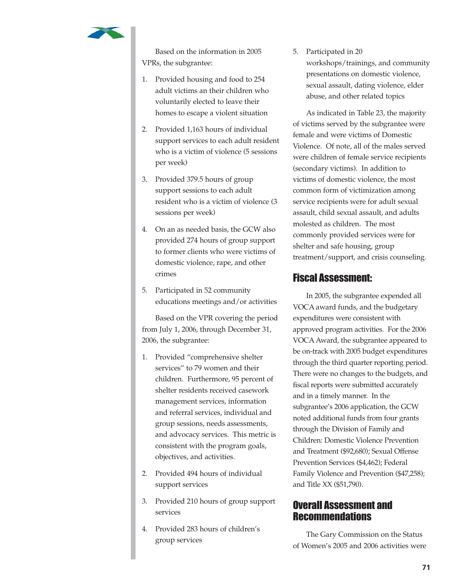Based on the information in 2005 VPRs, the subgrantee:

- 1. Provided housing and food to 254 adult victims an their children who voluntarily elected to leave their homes to escape a violent situation
- 2. Provided 1,163 hours of individual support services to each adult resident who is a victim of violence (5 sessions per week)
- 3. Provided 379.5 hours of group support sessions to each adult resident who is a victim of violence (3 sessions per week)
- 4. On an as needed basis, the GCW also provided 274 hours of group support to former clients who were victims of domestic violence, rape, and other crimes
- 5. Participated in 52 community educations meetings and/or activities

Based on the VPR covering the period from July 1, 2006, through December 31, 2006, the subgrantee:

- 1. Provided "comprehensive shelter services" to 79 women and their children. Furthermore, 95 percent of shelter residents received casework management services, information and referral services, individual and group sessions, needs assessments, and advocacy services. This metric is consistent with the program goals, objectives, and activities.
- 2. Provided 494 hours of individual support services
- 3. Provided 210 hours of group support services
- 4. Provided 283 hours of children's group services

5. Participated in 20 workshops/trainings, and community presentations on domestic violence, sexual assault, dating violence, elder abuse, and other related topics

As indicated in Table 23, the majority of victims served by the subgrantee were female and were victims of Domestic Violence. Of note, all of the males served were children of female service recipients (secondary victims). In addition to victims of domestic violence, the most common form of victimization among service recipients were for adult sexual assault, child sexual assault, and adults molested as children. The most commonly provided services were for shelter and safe housing, group treatment/support, and crisis counseling.

# Fiscal Assessment:

In 2005, the subgrantee expended all VOCA award funds, and the budgetary expenditures were consistent with approved program activities. For the 2006 VOCA Award, the subgrantee appeared to be on-track with 2005 budget expenditures through the third quarter reporting period. There were no changes to the budgets, and fiscal reports were submitted accurately and in a timely manner. In the subgrantee's 2006 application, the GCW noted additional funds from four grants through the Division of Family and Children: Domestic Violence Prevention and Treatment (\$92,680); Sexual Offense Prevention Services (\$4,462); Federal Family Violence and Prevention (\$47,258); and Title XX (\$51,790).

# Overall Assessment and Recommendations

The Gary Commission on the Status of Women's 2005 and 2006 activities were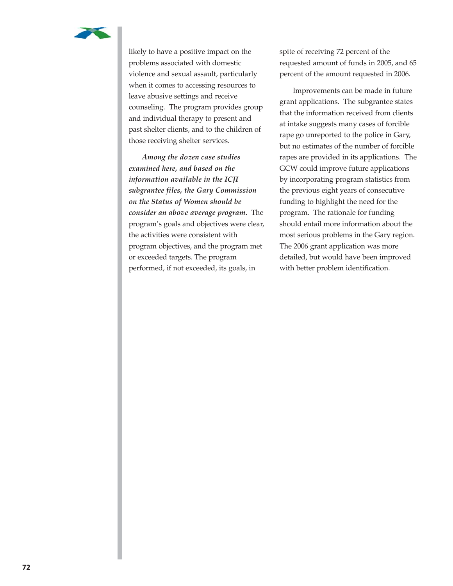

likely to have a positive impact on the problems associated with domestic violence and sexual assault, particularly when it comes to accessing resources to leave abusive settings and receive counseling. The program provides group and individual therapy to present and past shelter clients, and to the children of those receiving shelter services.

*Among the dozen case studies examined here, and based on the information available in the ICJI subgrantee files, the Gary Commission on the Status of Women should be consider an above average program.* The program's goals and objectives were clear, the activities were consistent with program objectives, and the program met or exceeded targets. The program performed, if not exceeded, its goals, in

spite of receiving 72 percent of the requested amount of funds in 2005, and 65 percent of the amount requested in 2006.

Improvements can be made in future grant applications. The subgrantee states that the information received from clients at intake suggests many cases of forcible rape go unreported to the police in Gary, but no estimates of the number of forcible rapes are provided in its applications. The GCW could improve future applications by incorporating program statistics from the previous eight years of consecutive funding to highlight the need for the program. The rationale for funding should entail more information about the most serious problems in the Gary region. The 2006 grant application was more detailed, but would have been improved with better problem identification.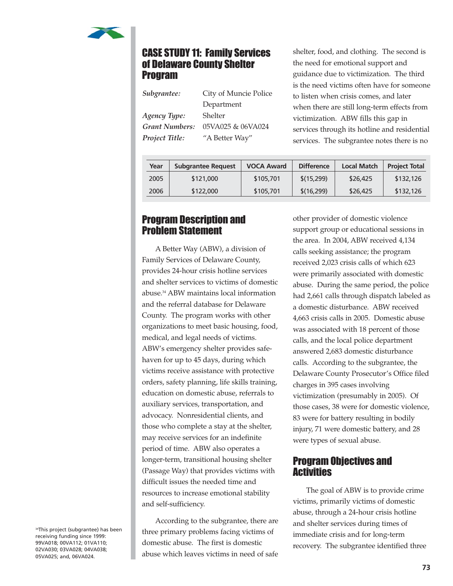

### CASE STUDY 11: Family Services of Delaware County Shelter Program

| Subgrantee:           | City of Muncie Police |
|-----------------------|-----------------------|
|                       | Department            |
| Agency Type:          | Shelter               |
| <b>Grant Numbers:</b> | 05VA025 & 06VA024     |
| Project Title:        | "A Better Way"        |

shelter, food, and clothing. The second is the need for emotional support and guidance due to victimization. The third is the need victims often have for someone to listen when crisis comes, and later when there are still long-term effects from victimization. ABW fills this gap in services through its hotline and residential services. The subgrantee notes there is no

| Year | <b>Subgrantee Request</b> | <b>VOCA Award</b> | <b>Difference</b> | <b>Local Match</b> | <b>Project Total</b> |
|------|---------------------------|-------------------|-------------------|--------------------|----------------------|
| 2005 | \$121,000                 | \$105,701         | \$(15,299)        | \$26,425           | \$132,126            |
| 2006 | \$122,000                 | \$105,701         | \$(16, 299)       | \$26,425           | \$132,126            |

# Program Description and Problem Statement

A Better Way (ABW), a division of Family Services of Delaware County, provides 24-hour crisis hotline services and shelter services to victims of domestic abuse.34 ABW maintains local information and the referral database for Delaware County. The program works with other organizations to meet basic housing, food, medical, and legal needs of victims. ABW's emergency shelter provides safehaven for up to 45 days, during which victims receive assistance with protective orders, safety planning, life skills training, education on domestic abuse, referrals to auxiliary services, transportation, and advocacy. Nonresidential clients, and those who complete a stay at the shelter, may receive services for an indefinite period of time. ABW also operates a longer-term, transitional housing shelter (Passage Way) that provides victims with difficult issues the needed time and resources to increase emotional stability and self-sufficiency.

<sup>34</sup>This project (subgrantee) has been receiving funding since 1999: 99VA018; 00VA112; 01VA110; 02VA030; 03VA028; 04VA038; 05VA025; and, 06VA024.

According to the subgrantee, there are three primary problems facing victims of domestic abuse. The first is domestic abuse which leaves victims in need of safe

other provider of domestic violence support group or educational sessions in the area. In 2004, ABW received 4,134 calls seeking assistance; the program received 2,023 crisis calls of which 623 were primarily associated with domestic abuse. During the same period, the police had 2,661 calls through dispatch labeled as a domestic disturbance. ABW received 4,663 crisis calls in 2005. Domestic abuse was associated with 18 percent of those calls, and the local police department answered 2,683 domestic disturbance calls. According to the subgrantee, the Delaware County Prosecutor's Office filed charges in 395 cases involving victimization (presumably in 2005). Of those cases, 38 were for domestic violence, 83 were for battery resulting in bodily injury, 71 were domestic battery, and 28 were types of sexual abuse.

# Program Objectives and **Activities**

The goal of ABW is to provide crime victims, primarily victims of domestic abuse, through a 24-hour crisis hotline and shelter services during times of immediate crisis and for long-term recovery. The subgrantee identified three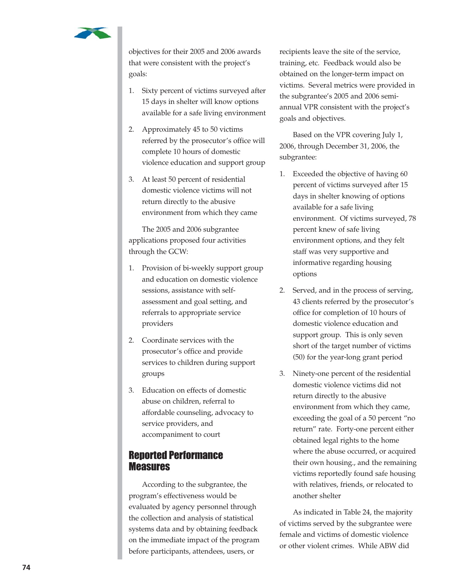

objectives for their 2005 and 2006 awards that were consistent with the project's goals:

- 1. Sixty percent of victims surveyed after 15 days in shelter will know options available for a safe living environment
- 2. Approximately 45 to 50 victims referred by the prosecutor's office will complete 10 hours of domestic violence education and support group
- 3. At least 50 percent of residential domestic violence victims will not return directly to the abusive environment from which they came

The 2005 and 2006 subgrantee applications proposed four activities through the GCW:

- 1. Provision of bi-weekly support group and education on domestic violence sessions, assistance with selfassessment and goal setting, and referrals to appropriate service providers
- 2. Coordinate services with the prosecutor's office and provide services to children during support groups
- 3. Education on effects of domestic abuse on children, referral to affordable counseling, advocacy to service providers, and accompaniment to court

# Reported Performance Measures

According to the subgrantee, the program's effectiveness would be evaluated by agency personnel through the collection and analysis of statistical systems data and by obtaining feedback on the immediate impact of the program before participants, attendees, users, or

recipients leave the site of the service, training, etc. Feedback would also be obtained on the longer-term impact on victims. Several metrics were provided in the subgrantee's 2005 and 2006 semiannual VPR consistent with the project's goals and objectives.

Based on the VPR covering July 1, 2006, through December 31, 2006, the subgrantee:

- 1. Exceeded the objective of having 60 percent of victims surveyed after 15 days in shelter knowing of options available for a safe living environment. Of victims surveyed, 78 percent knew of safe living environment options, and they felt staff was very supportive and informative regarding housing options
- 2. Served, and in the process of serving, 43 clients referred by the prosecutor's office for completion of 10 hours of domestic violence education and support group. This is only seven short of the target number of victims (50) for the year-long grant period
- 3. Ninety-one percent of the residential domestic violence victims did not return directly to the abusive environment from which they came, exceeding the goal of a 50 percent "no return" rate. Forty-one percent either obtained legal rights to the home where the abuse occurred, or acquired their own housing., and the remaining victims reportedly found safe housing with relatives, friends, or relocated to another shelter

As indicated in Table 24, the majority of victims served by the subgrantee were female and victims of domestic violence or other violent crimes. While ABW did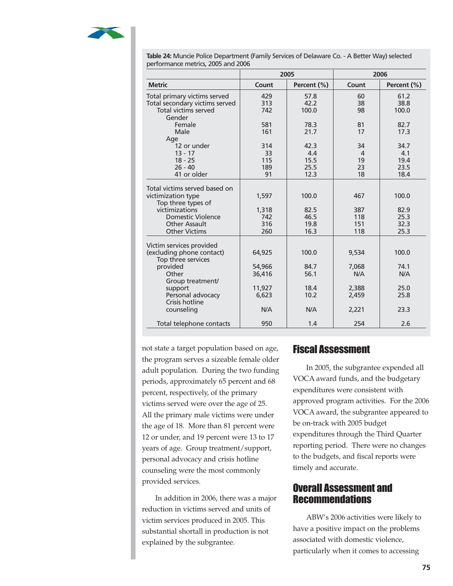

|                                | 2005   |             | 2006  |             |
|--------------------------------|--------|-------------|-------|-------------|
| <b>Metric</b>                  | Count  | Percent (%) | Count | Percent (%) |
| Total primary victims served   | 429    | 57.8        | 60    | 61.2        |
| Total secondary victims served | 313    | 42.2        | 38    | 38.8        |
| Total victims served           | 742    | 100.0       | 98    | 100.0       |
| Gender                         |        |             |       |             |
| Female                         | 581    | 78.3        | 81    | 82.7        |
| Male                           | 161    | 21.7        | 17    | 17.3        |
| Age                            |        |             |       |             |
| 12 or under                    | 314    | 42.3        | 34    | 34.7        |
| $13 - 17$                      | 33     | 4.4         | 4     | 4.1         |
| $18 - 25$                      | 115    | 15.5        | 19    | 19.4        |
| $26 - 40$                      | 189    | 25.5        | 23    | 23.5        |
| 41 or older                    | 91     | 12.3        | 18    | 18.4        |
|                                |        |             |       |             |
| Total victims served based on  |        |             |       |             |
| victimization type             | 1,597  | 100.0       | 467   | 100.0       |
| Top three types of             |        |             |       |             |
| victimizations                 | 1,318  | 82.5        | 387   | 82.9        |
| <b>Domestic Violence</b>       | 742    | 46.5        | 118   | 25.3        |
| <b>Other Assault</b>           | 316    | 19.8        | 151   | 32.3        |
| <b>Other Victims</b>           | 260    | 16.3        | 118   | 25.3        |
|                                |        |             |       |             |
| Victim services provided       |        |             |       |             |
| (excluding phone contact)      | 64,925 | 100.0       | 9,534 | 100.0       |
| Top three services             |        |             |       |             |
| provided                       | 54,966 | 84.7        | 7,068 | 74.1        |
| Other                          | 36,416 | 56.1        | N/A   | N/A         |
| Group treatment/               |        |             |       |             |
| support                        | 11,927 | 18.4        | 2,388 | 25.0        |
| Personal advocacy              | 6,623  | 10.2        | 2,459 | 25.8        |
| Crisis hotline                 |        |             |       |             |
| counseling                     | N/A    | N/A         | 2,221 | 23.3        |
| Total telephone contacts       | 950    | 1.4         | 254   | 2.6         |

**Table 24:** Muncie Police Department (Family Services of Delaware Co. - A Better Way) selected performance metrics, 2005 and 2006

not state a target population based on age, the program serves a sizeable female older adult population. During the two funding periods, approximately 65 percent and 68 percent, respectively, of the primary victims served were over the age of 25. All the primary male victims were under the age of 18. More than 81 percent were 12 or under, and 19 percent were 13 to 17 years of age. Group treatment/support, personal advocacy and crisis hotline counseling were the most commonly provided services.

In addition in 2006, there was a major reduction in victims served and units of victim services produced in 2005. This substantial shortall in production is not explained by the subgrantee.

#### Fiscal Assessment

In 2005, the subgrantee expended all VOCA award funds, and the budgetary expenditures were consistent with approved program activities. For the 2006 VOCA award, the subgrantee appeared to be on-track with 2005 budget expenditures through the Third Quarter reporting period. There were no changes to the budgets, and fiscal reports were timely and accurate.

#### Overall Assessment and Recommendations

ABW's 2006 activities were likely to have a positive impact on the problems associated with domestic violence, particularly when it comes to accessing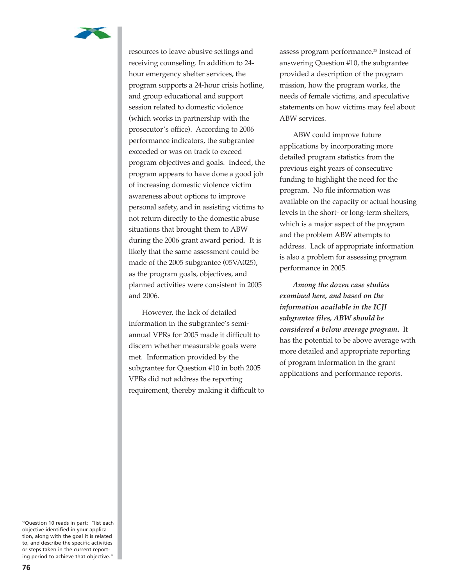

resources to leave abusive settings and receiving counseling. In addition to 24 hour emergency shelter services, the program supports a 24-hour crisis hotline, and group educational and support session related to domestic violence (which works in partnership with the prosecutor's office). According to 2006 performance indicators, the subgrantee exceeded or was on track to exceed program objectives and goals. Indeed, the program appears to have done a good job of increasing domestic violence victim awareness about options to improve personal safety, and in assisting victims to not return directly to the domestic abuse situations that brought them to ABW during the 2006 grant award period. It is likely that the same assessment could be made of the 2005 subgrantee (05VA025), as the program goals, objectives, and planned activities were consistent in 2005 and 2006.

However, the lack of detailed information in the subgrantee's semiannual VPRs for 2005 made it difficult to discern whether measurable goals were met. Information provided by the subgrantee for Question #10 in both 2005 VPRs did not address the reporting requirement, thereby making it difficult to assess program performance.<sup>35</sup> Instead of answering Question #10, the subgrantee provided a description of the program mission, how the program works, the needs of female victims, and speculative statements on how victims may feel about ABW services.

ABW could improve future applications by incorporating more detailed program statistics from the previous eight years of consecutive funding to highlight the need for the program. No file information was available on the capacity or actual housing levels in the short- or long-term shelters, which is a major aspect of the program and the problem ABW attempts to address. Lack of appropriate information is also a problem for assessing program performance in 2005.

*Among the dozen case studies examined here, and based on the information available in the ICJI subgrantee files, ABW should be considered a below average program.* It has the potential to be above average with more detailed and appropriate reporting of program information in the grant applications and performance reports.

<sup>&</sup>lt;sup>35</sup>Question 10 reads in part: "list each objective identified in your application, along with the goal it is related to, and describe the specific activities or steps taken in the current reporting period to achieve that objective."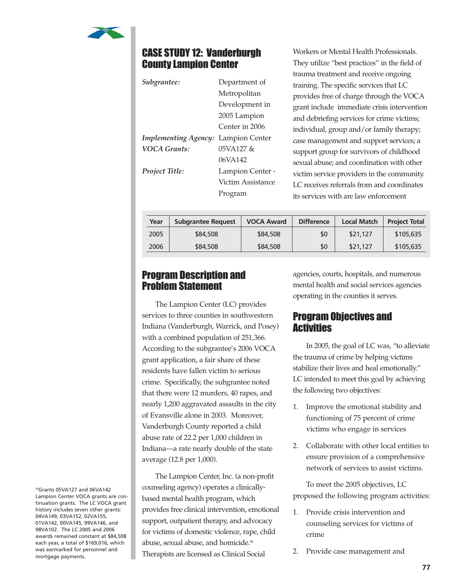

# CASE STUDY 12: Vanderburgh County Lampion Center

| Subgrantee:                 | Department of         |
|-----------------------------|-----------------------|
|                             | Metropolitan          |
|                             | Development in        |
|                             | 2005 Lampion          |
|                             | Center in 2006        |
| <b>Implementing Agency:</b> | <b>Lampion Center</b> |
| <b>VOCA Grants:</b>         | $05VA127$ &           |
|                             | 06VA142               |
| Project Title:              | Lampion Center -      |
|                             | Victim Assistance     |
|                             | Program               |

Workers or Mental Health Professionals. They utilize "best practices" in the field of trauma treatment and receive ongoing training. The specific services that LC provides free of charge through the VOCA grant include immediate crisis intervention and debriefing services for crime victims; individual, group and/or family therapy; case management and support services; a support group for survivors of childhood sexual abuse; and coordination with other victim service providers in the community. LC receives referrals from and coordinates its services with are law enforcement

| Year | <b>Subgrantee Request</b> | <b>VOCA Award</b> | <b>Difference</b> | <b>Local Match</b> | <b>Project Total</b> |
|------|---------------------------|-------------------|-------------------|--------------------|----------------------|
| 2005 | \$84,508                  | \$84,508          | \$0               | \$21,127           | \$105,635            |
| 2006 | \$84,508                  | \$84,508          | \$0               | \$21,127           | \$105,635            |

# Program Description and Problem Statement

The Lampion Center (LC) provides services to three counties in southwestern Indiana (Vanderburgh, Warrick, and Posey) with a combined population of 251,366. According to the subgrantee's 2006 VOCA grant application, a fair share of these residents have fallen victim to serious crime. Specifically, the subgrantee noted that there were 12 murders, 40 rapes, and nearly 1,200 aggravated assaults in the city of Evansville alone in 2003. Moreover, Vanderburgh County reported a child abuse rate of 22.2 per 1,000 children in Indiana—a rate nearly double of the state average (12.8 per 1,000).

The Lampion Center, Inc. (a non-profit counseling agency) operates a clinicallybased mental health program, which provides free clinical intervention, emotional support, outpatient therapy, and advocacy for victims of domestic violence, rape, child abuse, sexual abuse, and homicide.<sup>36</sup> Therapists are licensed as Clinical Social

agencies, courts, hospitals, and numerous mental health and social services agencies operating in the counties it serves.

# Program Objectives and **Activities**

In 2005, the goal of LC was, "to alleviate the trauma of crime by helping victims stabilize their lives and heal emotionally." LC intended to meet this goal by achieving the following two objectives:

- 1. Improve the emotional stability and functioning of 75 percent of crime victims who engage in services
- 2. Collaborate with other local entities to ensure provision of a comprehensive network of services to assist victims.

To meet the 2005 objectives, LC proposed the following program activities:

- 1. Provide crisis intervention and counseling services for victims of crime
- 2. Provide case management and

<sup>36</sup>Grants 05VA127 and 06VA142 Lampion Center VOCA grants are continuation grants. The LC VOCA grant history includes seven other grants: 04VA149, 03VA152, 02VA155, 01VA142, 00VA145, 99VA146, and 98VA102. The LC 2005 and 2006 awards remained constant at \$84,508 each year, a total of \$169,016, which was earmarked for personnel and mortgage payments.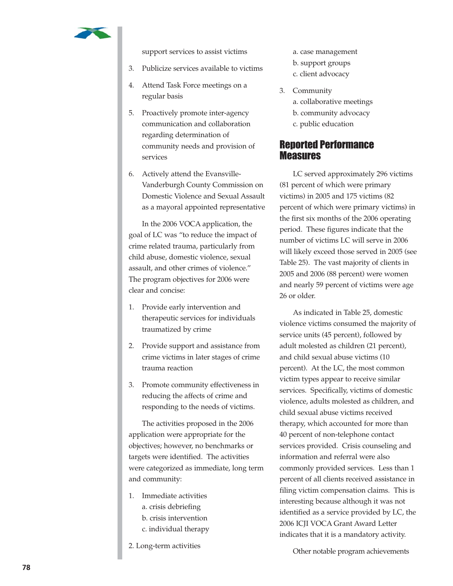

support services to assist victims

- 3. Publicize services available to victims
- 4. Attend Task Force meetings on a regular basis
- 5. Proactively promote inter-agency communication and collaboration regarding determination of community needs and provision of services
- 6. Actively attend the Evansville-Vanderburgh County Commission on Domestic Violence and Sexual Assault as a mayoral appointed representative

In the 2006 VOCA application, the goal of LC was "to reduce the impact of crime related trauma, particularly from child abuse, domestic violence, sexual assault, and other crimes of violence." The program objectives for 2006 were clear and concise:

- 1. Provide early intervention and therapeutic services for individuals traumatized by crime
- 2. Provide support and assistance from crime victims in later stages of crime trauma reaction
- 3. Promote community effectiveness in reducing the affects of crime and responding to the needs of victims.

The activities proposed in the 2006 application were appropriate for the objectives; however, no benchmarks or targets were identified. The activities were categorized as immediate, long term and community:

- 1. Immediate activities a. crisis debriefing b. crisis intervention c. individual therapy
- 2. Long-term activities

a. case management b. support groups c. client advocacy

3. Community a. collaborative meetings b. community advocacy c. public education

#### Reported Performance Measures

LC served approximately 296 victims (81 percent of which were primary victims) in 2005 and 175 victims (82 percent of which were primary victims) in the first six months of the 2006 operating period. These figures indicate that the number of victims LC will serve in 2006 will likely exceed those served in 2005 (see Table 25). The vast majority of clients in 2005 and 2006 (88 percent) were women and nearly 59 percent of victims were age 26 or older.

As indicated in Table 25, domestic violence victims consumed the majority of service units (45 percent), followed by adult molested as children (21 percent), and child sexual abuse victims (10 percent). At the LC, the most common victim types appear to receive similar services. Specifically, victims of domestic violence, adults molested as children, and child sexual abuse victims received therapy, which accounted for more than 40 percent of non-telephone contact services provided. Crisis counseling and information and referral were also commonly provided services. Less than 1 percent of all clients received assistance in filing victim compensation claims. This is interesting because although it was not identified as a service provided by LC, the 2006 ICJI VOCA Grant Award Letter indicates that it is a mandatory activity.

Other notable program achievements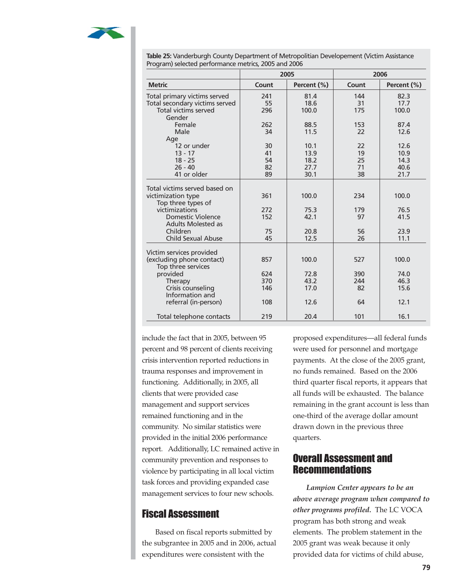

|                                                | 2005  |             | 2006  |             |
|------------------------------------------------|-------|-------------|-------|-------------|
| <b>Metric</b>                                  | Count | Percent (%) | Count | Percent (%) |
| Total primary victims served                   | 241   | 81.4        | 144   | 82.3        |
| Total secondary victims served                 | 55    | 18.6        | 31    | 17.7        |
| <b>Total victims served</b><br>Gender          | 296   | 100.0       | 175   | 100.0       |
| Female                                         | 262   | 88.5        | 153   | 87.4        |
| Male                                           | 34    | 11.5        | 22    | 12.6        |
| Age                                            |       |             |       |             |
| 12 or under                                    | 30    | 10.1        | 22    | 12.6        |
| $13 - 17$                                      | 41    | 13.9        | 19    | 10.9        |
| $18 - 25$                                      | 54    | 18.2        | 25    | 14.3        |
| $26 - 40$                                      | 82    | 27.7        | 71    | 40.6        |
| 41 or older                                    | 89    | 30.1        | 38    | 21.7        |
| Total victims served based on                  |       |             |       |             |
| victimization type                             | 361   | 100.0       | 234   | 100.0       |
| Top three types of                             |       |             |       |             |
| victimizations                                 | 272   | 75.3        | 179   | 76.5        |
| Domestic Violence<br><b>Adults Molested as</b> | 152   | 42.1        | 97    | 41.5        |
| Children                                       | 75    | 20.8        | 56    | 23.9        |
| <b>Child Sexual Abuse</b>                      | 45    | 12.5        | 26    | 11.1        |
| Victim services provided                       |       |             |       |             |
| (excluding phone contact)                      | 857   | 100.0       | 527   | 100.0       |
| Top three services                             |       |             |       |             |
| provided                                       | 624   | 72.8        | 390   | 74.0        |
| Therapy                                        | 370   | 43.2        | 244   | 46.3        |
| Crisis counseling<br>Information and           | 146   | 17.0        | 82    | 15.6        |
| referral (in-person)                           | 108   | 12.6        | 64    | 12.1        |
| Total telephone contacts                       | 219   | 20.4        | 101   | 16.1        |

**Table 25:** Vanderburgh County Department of Metropolitian Developement (Victim Assistance Program) selected performance metrics, 2005 and 2006

include the fact that in 2005, between 95 percent and 98 percent of clients receiving crisis intervention reported reductions in trauma responses and improvement in functioning. Additionally, in 2005, all clients that were provided case management and support services remained functioning and in the community. No similar statistics were provided in the initial 2006 performance report. Additionally, LC remained active in community prevention and responses to violence by participating in all local victim task forces and providing expanded case management services to four new schools.

## Fiscal Assessment

Based on fiscal reports submitted by the subgrantee in 2005 and in 2006, actual expenditures were consistent with the

proposed expenditures—all federal funds were used for personnel and mortgage payments. At the close of the 2005 grant, no funds remained. Based on the 2006 third quarter fiscal reports, it appears that all funds will be exhausted. The balance remaining in the grant account is less than one-third of the average dollar amount drawn down in the previous three quarters.

## Overall Assessment and Recommendations

*Lampion Center appears to be an above average program when compared to other programs profiled.* The LC VOCA program has both strong and weak elements. The problem statement in the 2005 grant was weak because it only provided data for victims of child abuse,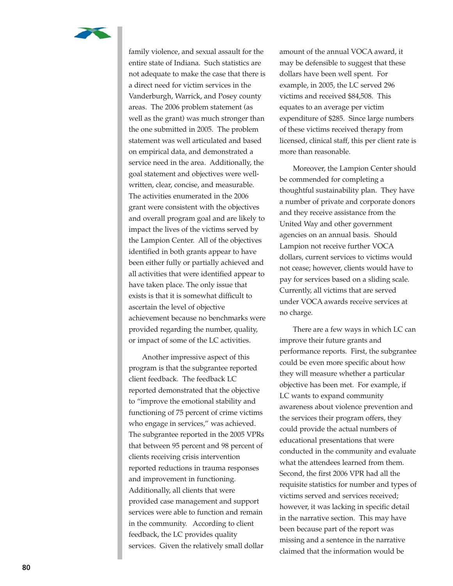

family violence, and sexual assault for the entire state of Indiana. Such statistics are not adequate to make the case that there is a direct need for victim services in the Vanderburgh, Warrick, and Posey county areas. The 2006 problem statement (as well as the grant) was much stronger than the one submitted in 2005. The problem statement was well articulated and based on empirical data, and demonstrated a service need in the area. Additionally, the goal statement and objectives were wellwritten, clear, concise, and measurable. The activities enumerated in the 2006 grant were consistent with the objectives and overall program goal and are likely to impact the lives of the victims served by the Lampion Center. All of the objectives identified in both grants appear to have been either fully or partially achieved and all activities that were identified appear to have taken place. The only issue that exists is that it is somewhat difficult to ascertain the level of objective achievement because no benchmarks were provided regarding the number, quality, or impact of some of the LC activities.

Another impressive aspect of this program is that the subgrantee reported client feedback. The feedback LC reported demonstrated that the objective to "improve the emotional stability and functioning of 75 percent of crime victims who engage in services," was achieved. The subgrantee reported in the 2005 VPRs that between 95 percent and 98 percent of clients receiving crisis intervention reported reductions in trauma responses and improvement in functioning. Additionally, all clients that were provided case management and support services were able to function and remain in the community. According to client feedback, the LC provides quality services. Given the relatively small dollar

amount of the annual VOCA award, it may be defensible to suggest that these dollars have been well spent. For example, in 2005, the LC served 296 victims and received \$84,508. This equates to an average per victim expenditure of \$285. Since large numbers of these victims received therapy from licensed, clinical staff, this per client rate is more than reasonable.

Moreover, the Lampion Center should be commended for completing a thoughtful sustainability plan. They have a number of private and corporate donors and they receive assistance from the United Way and other government agencies on an annual basis. Should Lampion not receive further VOCA dollars, current services to victims would not cease; however, clients would have to pay for services based on a sliding scale. Currently, all victims that are served under VOCA awards receive services at no charge.

There are a few ways in which LC can improve their future grants and performance reports. First, the subgrantee could be even more specific about how they will measure whether a particular objective has been met. For example, if LC wants to expand community awareness about violence prevention and the services their program offers, they could provide the actual numbers of educational presentations that were conducted in the community and evaluate what the attendees learned from them. Second, the first 2006 VPR had all the requisite statistics for number and types of victims served and services received; however, it was lacking in specific detail in the narrative section. This may have been because part of the report was missing and a sentence in the narrative claimed that the information would be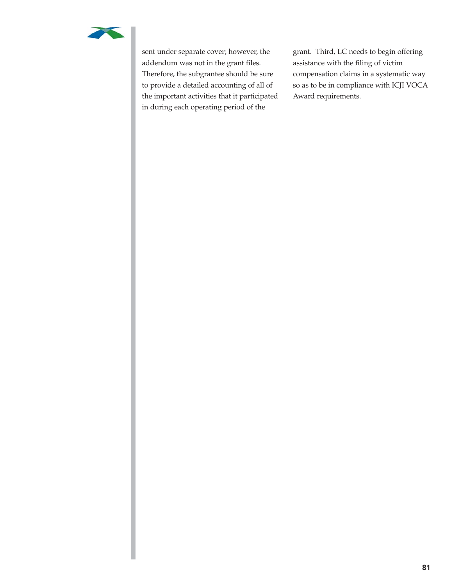

sent under separate cover; however, the addendum was not in the grant files. Therefore, the subgrantee should be sure to provide a detailed accounting of all of the important activities that it participated in during each operating period of the

grant. Third, LC needs to begin offering assistance with the filing of victim compensation claims in a systematic way so as to be in compliance with ICJI VOCA Award requirements.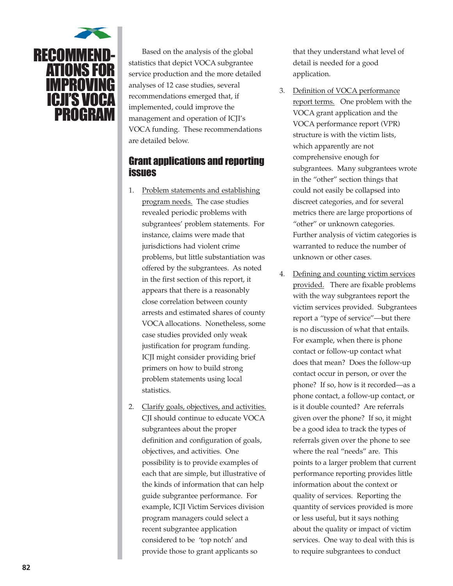

Based on the analysis of the global statistics that depict VOCA subgrantee service production and the more detailed analyses of 12 case studies, several recommendations emerged that, if implemented, could improve the management and operation of ICJI's VOCA funding. These recommendations are detailed below.

## Grant applications and reporting issues

- 1. Problem statements and establishing program needs. The case studies revealed periodic problems with subgrantees' problem statements. For instance, claims were made that jurisdictions had violent crime problems, but little substantiation was offered by the subgrantees. As noted in the first section of this report, it appears that there is a reasonably close correlation between county arrests and estimated shares of county VOCA allocations. Nonetheless, some case studies provided only weak justification for program funding. ICJI might consider providing brief primers on how to build strong problem statements using local statistics.
- 2. Clarify goals, objectives, and activities. CJI should continue to educate VOCA subgrantees about the proper definition and configuration of goals, objectives, and activities. One possibility is to provide examples of each that are simple, but illustrative of the kinds of information that can help guide subgrantee performance. For example, ICJI Victim Services division program managers could select a recent subgrantee application considered to be 'top notch' and provide those to grant applicants so

that they understand what level of detail is needed for a good application.

- 3. Definition of VOCA performance report terms. One problem with the VOCA grant application and the VOCA performance report (VPR) structure is with the victim lists, which apparently are not comprehensive enough for subgrantees. Many subgrantees wrote in the "other" section things that could not easily be collapsed into discreet categories, and for several metrics there are large proportions of "other" or unknown categories. Further analysis of victim categories is warranted to reduce the number of unknown or other cases.
- 4. Defining and counting victim services provided. There are fixable problems with the way subgrantees report the victim services provided. Subgrantees report a "type of service"—but there is no discussion of what that entails. For example, when there is phone contact or follow-up contact what does that mean? Does the follow-up contact occur in person, or over the phone? If so, how is it recorded—as a phone contact, a follow-up contact, or is it double counted? Are referrals given over the phone? If so, it might be a good idea to track the types of referrals given over the phone to see where the real "needs" are. This points to a larger problem that current performance reporting provides little information about the context or quality of services. Reporting the quantity of services provided is more or less useful, but it says nothing about the quality or impact of victim services. One way to deal with this is to require subgrantees to conduct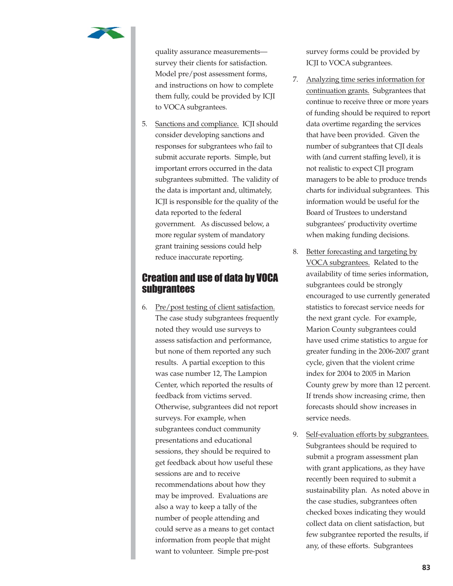

quality assurance measurements survey their clients for satisfaction. Model pre/post assessment forms, and instructions on how to complete them fully, could be provided by ICJI to VOCA subgrantees.

5. Sanctions and compliance. ICJI should consider developing sanctions and responses for subgrantees who fail to submit accurate reports. Simple, but important errors occurred in the data subgrantees submitted. The validity of the data is important and, ultimately, ICJI is responsible for the quality of the data reported to the federal government. As discussed below, a more regular system of mandatory grant training sessions could help reduce inaccurate reporting.

## Creation and use of data by VOCA subgrantees

6. Pre/post testing of client satisfaction. The case study subgrantees frequently noted they would use surveys to assess satisfaction and performance, but none of them reported any such results. A partial exception to this was case number 12, The Lampion Center, which reported the results of feedback from victims served. Otherwise, subgrantees did not report surveys. For example, when subgrantees conduct community presentations and educational sessions, they should be required to get feedback about how useful these sessions are and to receive recommendations about how they may be improved. Evaluations are also a way to keep a tally of the number of people attending and could serve as a means to get contact information from people that might want to volunteer. Simple pre-post

survey forms could be provided by ICJI to VOCA subgrantees.

- 7. Analyzing time series information for continuation grants. Subgrantees that continue to receive three or more years of funding should be required to report data overtime regarding the services that have been provided. Given the number of subgrantees that CJI deals with (and current staffing level), it is not realistic to expect CJI program managers to be able to produce trends charts for individual subgrantees. This information would be useful for the Board of Trustees to understand subgrantees' productivity overtime when making funding decisions.
- 8. Better forecasting and targeting by VOCA subgrantees. Related to the availability of time series information, subgrantees could be strongly encouraged to use currently generated statistics to forecast service needs for the next grant cycle. For example, Marion County subgrantees could have used crime statistics to argue for greater funding in the 2006-2007 grant cycle, given that the violent crime index for 2004 to 2005 in Marion County grew by more than 12 percent. If trends show increasing crime, then forecasts should show increases in service needs.
- 9. Self-evaluation efforts by subgrantees. Subgrantees should be required to submit a program assessment plan with grant applications, as they have recently been required to submit a sustainability plan. As noted above in the case studies, subgrantees often checked boxes indicating they would collect data on client satisfaction, but few subgrantee reported the results, if any, of these efforts. Subgrantees